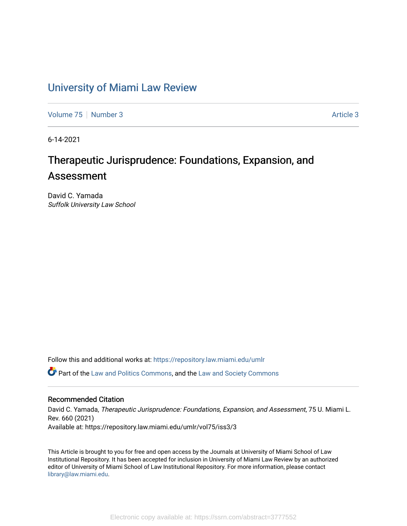## [University of Miami Law Review](https://repository.law.miami.edu/umlr)

[Volume 75](https://repository.law.miami.edu/umlr/vol75) [Number 3](https://repository.law.miami.edu/umlr/vol75/iss3) [Article 3](https://repository.law.miami.edu/umlr/vol75/iss3/3) Article 3 Article 3

6-14-2021

# Therapeutic Jurisprudence: Foundations, Expansion, and Assessment

David C. Yamada Suffolk University Law School

Follow this and additional works at: [https://repository.law.miami.edu/umlr](https://repository.law.miami.edu/umlr?utm_source=repository.law.miami.edu%2Fumlr%2Fvol75%2Fiss3%2F3&utm_medium=PDF&utm_campaign=PDFCoverPages)

Part of the [Law and Politics Commons,](http://network.bepress.com/hgg/discipline/867?utm_source=repository.law.miami.edu%2Fumlr%2Fvol75%2Fiss3%2F3&utm_medium=PDF&utm_campaign=PDFCoverPages) and the [Law and Society Commons](http://network.bepress.com/hgg/discipline/853?utm_source=repository.law.miami.edu%2Fumlr%2Fvol75%2Fiss3%2F3&utm_medium=PDF&utm_campaign=PDFCoverPages) 

## Recommended Citation

David C. Yamada, Therapeutic Jurisprudence: Foundations, Expansion, and Assessment, 75 U. Miami L. Rev. 660 (2021) Available at: https://repository.law.miami.edu/umlr/vol75/iss3/3

This Article is brought to you for free and open access by the Journals at University of Miami School of Law Institutional Repository. It has been accepted for inclusion in University of Miami Law Review by an authorized editor of University of Miami School of Law Institutional Repository. For more information, please contact [library@law.miami.edu.](mailto:library@law.miami.edu)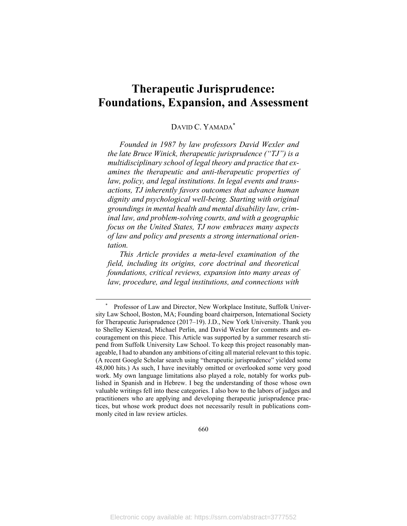# **Therapeutic Jurisprudence: Foundations, Expansion, and Assessment**

## DAVID C. YAMADA\*

*Founded in 1987 by law professors David Wexler and the late Bruce Winick, therapeutic jurisprudence ("TJ") is a multidisciplinary school of legal theory and practice that examines the therapeutic and anti-therapeutic properties of law, policy, and legal institutions. In legal events and transactions, TJ inherently favors outcomes that advance human dignity and psychological well-being. Starting with original groundings in mental health and mental disability law, criminal law, and problem-solving courts, and with a geographic focus on the United States, TJ now embraces many aspects of law and policy and presents a strong international orientation.* 

*This Article provides a meta-level examination of the field, including its origins, core doctrinal and theoretical foundations, critical reviews, expansion into many areas of law, procedure, and legal institutions, and connections with* 

 <sup>\*</sup> Professor of Law and Director, New Workplace Institute, Suffolk University Law School, Boston, MA; Founding board chairperson, International Society for Therapeutic Jurisprudence (2017–19). J.D., New York University. Thank you to Shelley Kierstead, Michael Perlin, and David Wexler for comments and encouragement on this piece. This Article was supported by a summer research stipend from Suffolk University Law School. To keep this project reasonably manageable, I had to abandon any ambitions of citing all material relevant to this topic. (A recent Google Scholar search using "therapeutic jurisprudence" yielded some 48,000 hits.) As such, I have inevitably omitted or overlooked some very good work. My own language limitations also played a role, notably for works published in Spanish and in Hebrew. I beg the understanding of those whose own valuable writings fell into these categories. I also bow to the labors of judges and practitioners who are applying and developing therapeutic jurisprudence practices, but whose work product does not necessarily result in publications commonly cited in law review articles.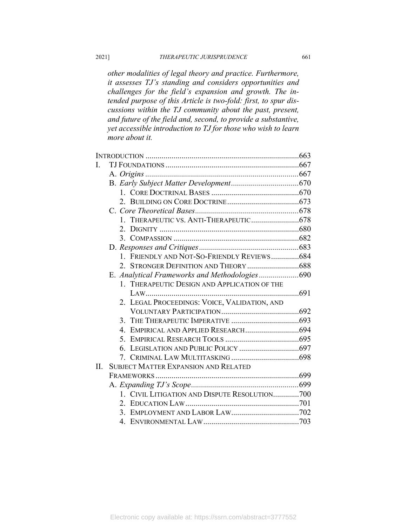*other modalities of legal theory and practice. Furthermore, it assesses TJ's standing and considers opportunities and challenges for the field's expansion and growth. The intended purpose of this Article is two-fold: first, to spur discussions within the TJ community about the past, present, and future of the field and, second, to provide a substantive, yet accessible introduction to TJ for those who wish to learn more about it.* 

| L   |                                               |  |
|-----|-----------------------------------------------|--|
|     |                                               |  |
|     |                                               |  |
|     |                                               |  |
|     |                                               |  |
|     |                                               |  |
|     |                                               |  |
|     |                                               |  |
|     |                                               |  |
|     |                                               |  |
|     | 1. FRIENDLY AND NOT-SO-FRIENDLY REVIEWS684    |  |
|     |                                               |  |
|     | E. Analytical Frameworks and Methodologies690 |  |
|     | 1. THERAPEUTIC DESIGN AND APPLICATION OF THE  |  |
|     |                                               |  |
|     | 2. LEGAL PROCEEDINGS: VOICE, VALIDATION, AND  |  |
|     |                                               |  |
|     |                                               |  |
|     | $\mathbf{4}_{\cdot}$                          |  |
|     |                                               |  |
|     |                                               |  |
|     |                                               |  |
| II. | <b>SUBJECT MATTER EXPANSION AND RELATED</b>   |  |
|     |                                               |  |
|     |                                               |  |
|     | 1. CIVIL LITIGATION AND DISPUTE RESOLUTION700 |  |
|     |                                               |  |
|     |                                               |  |
|     | $4_{\scriptscriptstyle{\perp}}$               |  |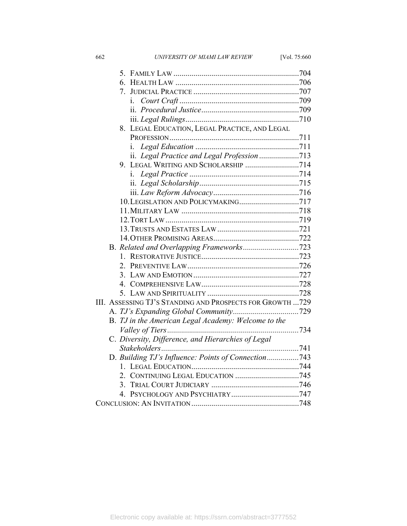662 *UNIVERSITY OF MIAMI LAW REVIEW* [Vol. 75:660

| 7.                                                        |  |
|-----------------------------------------------------------|--|
| $\mathbf{1}$ .                                            |  |
|                                                           |  |
|                                                           |  |
| 8. LEGAL EDUCATION, LEGAL PRACTICE, AND LEGAL             |  |
|                                                           |  |
| 1.                                                        |  |
|                                                           |  |
| 9. LEGAL WRITING AND SCHOLARSHIP 714                      |  |
|                                                           |  |
|                                                           |  |
|                                                           |  |
|                                                           |  |
|                                                           |  |
|                                                           |  |
|                                                           |  |
|                                                           |  |
|                                                           |  |
|                                                           |  |
|                                                           |  |
|                                                           |  |
|                                                           |  |
|                                                           |  |
| III. ASSESSING TJ'S STANDING AND PROSPECTS FOR GROWTH 729 |  |
|                                                           |  |
| B. TJ in the American Legal Academy: Welcome to the       |  |
|                                                           |  |
| C. Diversity, Difference, and Hierarchies of Legal        |  |
|                                                           |  |
| D. Building TJ's Influence: Points of Connection743       |  |
|                                                           |  |
|                                                           |  |
|                                                           |  |
| $4_{-}$                                                   |  |
|                                                           |  |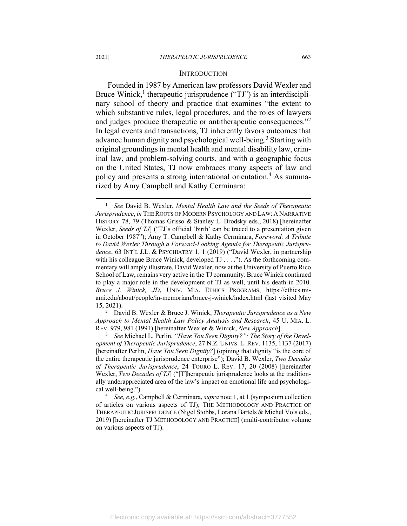#### **INTRODUCTION**

Founded in 1987 by American law professors David Wexler and Bruce Winick,<sup>1</sup> therapeutic jurisprudence ("TJ") is an interdisciplinary school of theory and practice that examines "the extent to which substantive rules, legal procedures, and the roles of lawyers and judges produce therapeutic or antitherapeutic consequences."2 In legal events and transactions, TJ inherently favors outcomes that advance human dignity and psychological well-being.<sup>3</sup> Starting with original groundings in mental health and mental disability law, criminal law, and problem-solving courts, and with a geographic focus on the United States, TJ now embraces many aspects of law and policy and presents a strong international orientation.<sup>4</sup> As summarized by Amy Campbell and Kathy Cerminara:

 David B. Wexler & Bruce J. Winick, *Therapeutic Jurisprudence as a New Approach to Mental Health Law Policy Analysis and Research*, 45 U. MIA. L. REV. 979, 981 (1991) [hereinafter Wexler & Winick, *New Approach*]. 3

 *See* Michael L. Perlin, *"Have You Seen Dignity?": The Story of the Development of Therapeutic Jurisprudence*, 27 N.Z. UNIVS. L. REV. 1135, 1137 (2017) [hereinafter Perlin, *Have You Seen Dignity?*] (opining that dignity "is the core of the entire therapeutic jurisprudence enterprise"); David B. Wexler, *Two Decades of Therapeutic Jurisprudence*, 24 TOURO L. REV. 17, 20 (2008) [hereinafter Wexler, *Two Decades of TJ*] ("[T]herapeutic jurisprudence looks at the traditionally underappreciated area of the law's impact on emotional life and psychological well-being.").

 *See, e.g.*, Campbell & Cerminara, *supra* note 1, at 1 (symposium collection of articles on various aspects of TJ); THE METHODOLOGY AND PRACTICE OF THERAPEUTIC JURISPRUDENCE (Nigel Stobbs, Lorana Bartels & Michel Vols eds., 2019) [hereinafter TJ METHODOLOGY AND PRACTICE] (multi-contributor volume on various aspects of TJ).

<sup>&</sup>lt;sup>1</sup> See David B. Wexler, Mental Health Law and the Seeds of Therapeutic *Jurisprudence*, *in* THE ROOTS OF MODERN PSYCHOLOGY AND LAW: A NARRATIVE HISTORY 78, 79 (Thomas Grisso & Stanley L. Brodsky eds., 2018) [hereinafter Wexler, *Seeds of TJ*] ("TJ's official 'birth' can be traced to a presentation given in October 1987"); Amy T. Campbell & Kathy Cerminara, *Foreword: A Tribute to David Wexler Through a Forward-Looking Agenda for Therapeutic Jurisprudence*, 63 INT'L J.L. & PSYCHIATRY 1, 1 (2019) ("David Wexler, in partnership with his colleague Bruce Winick, developed TJ . . . ."). As the forthcoming commentary will amply illustrate, David Wexler, now at the University of Puerto Rico School of Law, remains very active in the TJ community. Bruce Winick continued to play a major role in the development of TJ as well, until his death in 2010. *Bruce J. Winick, JD*, UNIV. MIA. ETHICS PROGRAMS, https://ethics.miami.edu/about/people/in-memoriam/bruce-j-winick/index.html (last visited May 15, 2021). 2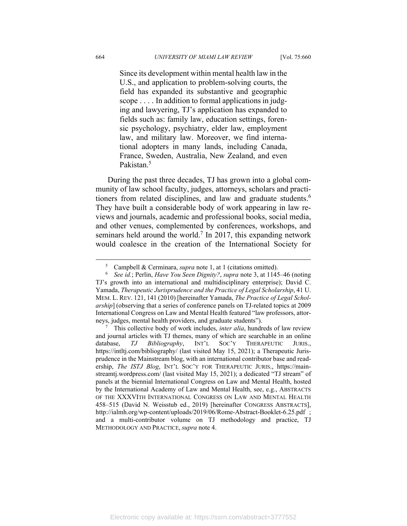Since its development within mental health law in the U.S., and application to problem-solving courts, the field has expanded its substantive and geographic scope . . . . In addition to formal applications in judging and lawyering, TJ's application has expanded to fields such as: family law, education settings, forensic psychology, psychiatry, elder law, employment law, and military law. Moreover, we find international adopters in many lands, including Canada, France, Sweden, Australia, New Zealand, and even Pakistan.<sup>5</sup>

During the past three decades, TJ has grown into a global community of law school faculty, judges, attorneys, scholars and practitioners from related disciplines, and law and graduate students.<sup>6</sup> They have built a considerable body of work appearing in law reviews and journals, academic and professional books, social media, and other venues, complemented by conferences, workshops, and seminars held around the world.<sup>7</sup> In 2017, this expanding network would coalesce in the creation of the International Society for

<sup>5</sup> Campbell & Cerminara, *supra* note 1, at 1 (citations omitted). 6

*See id.*; Perlin, *Have You Seen Dignity?*, *supra* note 3, at 1145–46 (noting TJ's growth into an international and multidisciplinary enterprise); David C. Yamada, *Therapeutic Jurisprudence and the Practice of Legal Scholarship*, 41 U. MEM. L. REV. 121, 141 (2010) [hereinafter Yamada, *The Practice of Legal Scholarship*] (observing that a series of conference panels on TJ-related topics at 2009 International Congress on Law and Mental Health featured "law professors, attorneys, judges, mental health providers, and graduate students"). 7

This collective body of work includes, *inter alia*, hundreds of law review and journal articles with TJ themes, many of which are searchable in an online database, *TJ Bibliography*, INT'L SOC'Y THERAPEUTIC JURIS., https://intltj.com/bibliography/ (last visited May 15, 2021); a Therapeutic Jurisprudence in the Mainstream blog, with an international contributor base and readership, *The ISTJ Blog*, INT'L SOC'Y FOR THERAPEUTIC JURIS., https://mainstreamtj.wordpress.com/ (last visited May 15, 2021); a dedicated "TJ stream" of panels at the biennial International Congress on Law and Mental Health, hosted by the International Academy of Law and Mental Health, see, e.g., ABSTRACTS OF THE XXXVITH INTERNATIONAL CONGRESS ON LAW AND MENTAL HEALTH 458–515 (David N. Weisstub ed., 2019) [hereinafter CONGRESS ABSTRACTS], http://ialmh.org/wp-content/uploads/2019/06/Rome-Abstract-Booklet-6.25.pdf ; and a multi-contributor volume on TJ methodology and practice, TJ METHODOLOGY AND PRACTICE, *supra* note 4.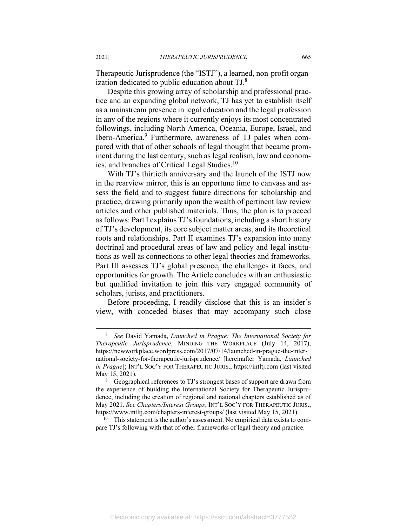Therapeutic Jurisprudence (the "ISTJ"), a learned, non-profit organization dedicated to public education about TJ.8

Despite this growing array of scholarship and professional practice and an expanding global network, TJ has yet to establish itself as a mainstream presence in legal education and the legal profession in any of the regions where it currently enjoys its most concentrated followings, including North America, Oceania, Europe, Israel, and Ibero-America.<sup>9</sup> Furthermore, awareness of TJ pales when compared with that of other schools of legal thought that became prominent during the last century, such as legal realism, law and economics, and branches of Critical Legal Studies.10

With TJ's thirtieth anniversary and the launch of the ISTJ now in the rearview mirror, this is an opportune time to canvass and assess the field and to suggest future directions for scholarship and practice, drawing primarily upon the wealth of pertinent law review articles and other published materials. Thus, the plan is to proceed as follows: Part I explains TJ's foundations, including a short history of TJ's development, its core subject matter areas, and its theoretical roots and relationships. Part II examines TJ's expansion into many doctrinal and procedural areas of law and policy and legal institutions as well as connections to other legal theories and frameworks. Part III assesses TJ's global presence, the challenges it faces, and opportunities for growth. The Article concludes with an enthusiastic but qualified invitation to join this very engaged community of scholars, jurists, and practitioners.

Before proceeding, I readily disclose that this is an insider's view, with conceded biases that may accompany such close

pare TJ's following with that of other frameworks of legal theory and practice.

<sup>8</sup>  *See* David Yamada, *Launched in Prague: The International Society for Therapeutic Jurisprudence*, MINDING THE WORKPLACE (July 14, 2017), https://newworkplace.wordpress.com/2017/07/14/launched-in-prague-the-international-society-for-therapeutic-jurisprudence/ [hereinafter Yamada, *Launched in Prague*]; INT'L SOC'Y FOR THERAPEUTIC JURIS., https://intltj.com (last visited May 15, 2021).

<sup>&</sup>lt;sup>9</sup> Geographical references to TJ's strongest bases of support are drawn from the experience of building the International Society for Therapeutic Jurisprudence, including the creation of regional and national chapters established as of May 2021. *See Chapters/Interest Groups*, INT'L SOC'Y FOR THERAPEUTIC JURIS., https://www.intltj.com/chapters-interest-groups/ (last visited May 15, 2021).<br><sup>10</sup> This statement is the author's assessment. No empirical data exists to com-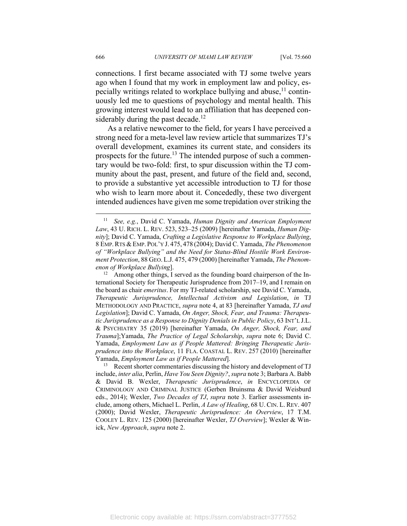connections. I first became associated with TJ some twelve years ago when I found that my work in employment law and policy, especially writings related to workplace bullying and abuse,  $11$  continuously led me to questions of psychology and mental health. This growing interest would lead to an affiliation that has deepened considerably during the past decade.<sup>12</sup>

As a relative newcomer to the field, for years I have perceived a strong need for a meta-level law review article that summarizes TJ's overall development, examines its current state, and considers its prospects for the future.<sup>13</sup> The intended purpose of such a commentary would be two-fold: first, to spur discussion within the TJ community about the past, present, and future of the field and, second, to provide a substantive yet accessible introduction to TJ for those who wish to learn more about it. Concededly, these two divergent intended audiences have given me some trepidation over striking the

<sup>11</sup> *See, e.g.*, David C. Yamada, *Human Dignity and American Employment Law*, 43 U. RICH. L. REV. 523, 523–25 (2009) [hereinafter Yamada, *Human Dignity*]; David C. Yamada, *Crafting a Legislative Response to Workplace Bullying*, 8 EMP.RTS & EMP. POL'Y J. 475, 478 (2004); David C. Yamada, *The Phenomenon of "Workplace Bullying" and the Need for Status-Blind Hostile Work Environment Protection*, 88 GEO. L.J. 475, 479 (2000) [hereinafter Yamada, *The Phenom-*

*enon of Workplace Bullying*].<br><sup>12</sup> Among other things, I served as the founding board chairperson of the International Society for Therapeutic Jurisprudence from 2017–19, and I remain on the board as chair *emeritus*. For my TJ-related scholarship, see David C. Yamada, *Therapeutic Jurisprudence, Intellectual Activism and Legislation*, *in* TJ METHODOLOGY AND PRACTICE, *supra* note 4, at 83 [hereinafter Yamada, *TJ and Legislation*]; David C. Yamada, *On Anger, Shock, Fear, and Trauma: Therapeutic Jurisprudence as a Response to Dignity Denials in Public Policy*, 63 INT'L J.L. & PSYCHIATRY 35 (2019) [hereinafter Yamada, *On Anger, Shock, Fear, and Trauma*];Yamada, *The Practice of Legal Scholarship*, *supra* note 6; David C. Yamada, *Employment Law as if People Mattered: Bringing Therapeutic Jurisprudence into the Workplace*, 11 FLA. COASTAL L. REV. 257 (2010) [hereinafter

Yamada, *Employment Law as if People Mattered*]. 13 Recent shorter commentaries discussing the history and development of TJ include, *inter alia*, Perlin, *Have You Seen Dignity?*, *supra* note 3; Barbara A. Babb & David B. Wexler, *Therapeutic Jurisprudence*, *in* ENCYCLOPEDIA OF CRIMINOLOGY AND CRIMINAL JUSTICE (Gerben Bruinsma & David Weisburd eds., 2014); Wexler, *Two Decades of TJ*, *supra* note 3. Earlier assessments include, among others, Michael L. Perlin, *A Law of Healing*, 68 U. CIN. L. REV. 407 (2000); David Wexler, *Therapeutic Jurisprudence: An Overview*, 17 T.M. COOLEY L. REV. 125 (2000) [hereinafter Wexler, *TJ Overview*]; Wexler & Winick, *New Approach*, *supra* note 2.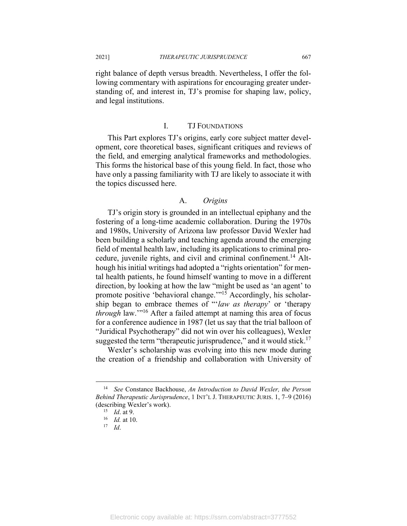right balance of depth versus breadth. Nevertheless, I offer the following commentary with aspirations for encouraging greater understanding of, and interest in, TJ's promise for shaping law, policy, and legal institutions.

## I. TJ FOUNDATIONS

This Part explores TJ's origins, early core subject matter development, core theoretical bases, significant critiques and reviews of the field, and emerging analytical frameworks and methodologies. This forms the historical base of this young field. In fact, those who have only a passing familiarity with TJ are likely to associate it with the topics discussed here.

## A. *Origins*

TJ's origin story is grounded in an intellectual epiphany and the fostering of a long-time academic collaboration. During the 1970s and 1980s, University of Arizona law professor David Wexler had been building a scholarly and teaching agenda around the emerging field of mental health law, including its applications to criminal procedure, juvenile rights, and civil and criminal confinement.<sup>14</sup> Although his initial writings had adopted a "rights orientation" for mental health patients, he found himself wanting to move in a different direction, by looking at how the law "might be used as 'an agent' to promote positive 'behavioral change."<sup>15</sup> Accordingly, his scholarship began to embrace themes of "'*law as therapy*' or 'therapy *through* law.'"16 After a failed attempt at naming this area of focus for a conference audience in 1987 (let us say that the trial balloon of "Juridical Psychotherapy" did not win over his colleagues), Wexler suggested the term "therapeutic jurisprudence," and it would stick.<sup>17</sup>

Wexler's scholarship was evolving into this new mode during the creation of a friendship and collaboration with University of

<sup>14</sup> *See* Constance Backhouse, *An Introduction to David Wexler, the Person Behind Therapeutic Jurisprudence*, 1 INT'L J. THERAPEUTIC JURIS. 1, 7–9 (2016) (describing Wexler's work). 15 *Id*. at 9. 16 *Id.* at 10. 17 *Id*.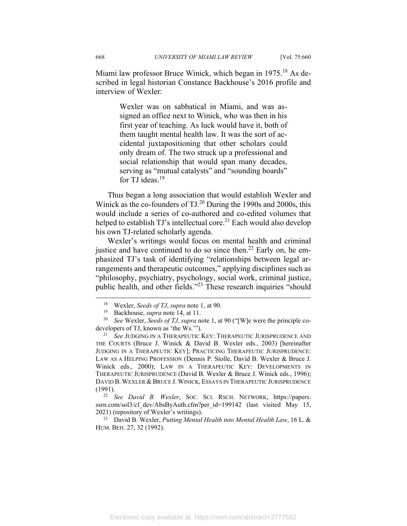Miami law professor Bruce Winick, which began in 1975.<sup>18</sup> As described in legal historian Constance Backhouse's 2016 profile and interview of Wexler:

> Wexler was on sabbatical in Miami, and was assigned an office next to Winick, who was then in his first year of teaching. As luck would have it, both of them taught mental health law. It was the sort of accidental juxtapositioning that other scholars could only dream of. The two struck up a professional and social relationship that would span many decades, serving as "mutual catalysts" and "sounding boards" for TJ ideas. $19$

Thus began a long association that would establish Wexler and Winick as the co-founders of TJ.<sup>20</sup> During the 1990s and 2000s, this would include a series of co-authored and co-edited volumes that helped to establish  $TJ$ 's intellectual core.<sup>21</sup> Each would also develop his own TJ-related scholarly agenda.

Wexler's writings would focus on mental health and criminal justice and have continued to do so since then.<sup>22</sup> Early on, he emphasized TJ's task of identifying "relationships between legal arrangements and therapeutic outcomes," applying disciplines such as "philosophy, psychiatry, psychology, social work, criminal justice, public health, and other fields."23 These research inquiries "should

HUM. BEH. 27, 32 (1992).

<sup>&</sup>lt;sup>18</sup> Wexler, *Seeds of TJ*, *supra* note 1, at 90.<br><sup>19</sup> Backhouse, *supra* note 14, at 11.<br><sup>20</sup> *See* Wexler, *Seeds of TJ*, *supra* note 1, at 90 ("[W]e were the principle codevelopers of TJ, known as 'the Ws.'"). 21 *See JUDGING IN A THERAPEUTIC KEY*: THERAPEUTIC JURISPRUDENCE AND

THE COURTS (Bruce J. Winick & David B. Wexler eds., 2003) [hereinafter JUDGING IN A THERAPEUTIC KEY]; PRACTICING THERAPEUTIC JURISPRUDENCE: LAW AS A HELPING PROFESSION (Dennis P. Stolle, David B. Wexler & Bruce J. Winick eds., 2000); LAW IN A THERAPEUTIC KEY: DEVELOPMENTS IN THERAPEUTIC JURISPRUDENCE (David B. Wexler & Bruce J. Winick eds., 1996); DAVID B. WEXLER & BRUCE J. WINICK, ESSAYS IN THERAPEUTIC JURISPRUDENCE

<sup>(1991). 22</sup> *See David B. Wexler*, SOC. SCI. RSCH. NETWORK, https://papers. ssrn.com/sol3/cf dev/AbsByAuth.cfm?per\_id=199142 (last visited May 15, 2021) (repository of Wexler's writings). 23 David B. Wexler, *Putting Mental Health into Mental Health Law*, 16 L. &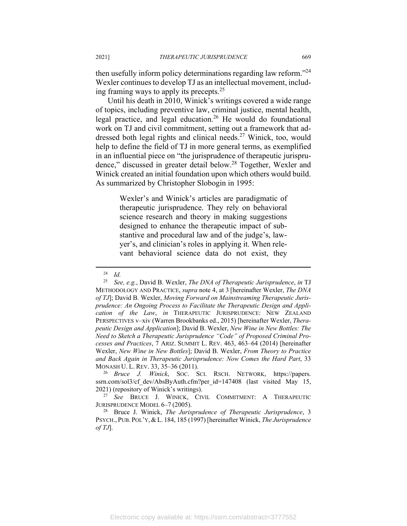then usefully inform policy determinations regarding law reform."<sup>24</sup> Wexler continues to develop TJ as an intellectual movement, including framing ways to apply its precepts.25

Until his death in 2010, Winick's writings covered a wide range of topics, including preventive law, criminal justice, mental health, legal practice, and legal education.26 He would do foundational work on TJ and civil commitment, setting out a framework that addressed both legal rights and clinical needs.<sup>27</sup> Winick, too, would help to define the field of TJ in more general terms, as exemplified in an influential piece on "the jurisprudence of therapeutic jurisprudence," discussed in greater detail below.28 Together, Wexler and Winick created an initial foundation upon which others would build. As summarized by Christopher Slobogin in 1995:

> Wexler's and Winick's articles are paradigmatic of therapeutic jurisprudence. They rely on behavioral science research and theory in making suggestions designed to enhance the therapeutic impact of substantive and procedural law and of the judge's, lawyer's, and clinician's roles in applying it. When relevant behavioral science data do not exist, they

<sup>24</sup> *Id.*

<sup>25</sup> *See, e.g.*, David B. Wexler, *The DNA of Therapeutic Jurisprudence*, *in* TJ METHODOLOGY AND PRACTICE, *supra* note 4, at 3 [hereinafter Wexler, *The DNA of TJ*]; David B. Wexler, *Moving Forward on Mainstreaming Therapeutic Jurisprudence: An Ongoing Process to Facilitate the Therapeutic Design and Application of the Law*, *in* THERAPEUTIC JURISPRUDENCE: NEW ZEALAND PERSPECTIVES v–xiv (Warren Brookbanks ed., 2015) [hereinafter Wexler, *Therapeutic Design and Application*]; David B. Wexler, *New Wine in New Bottles: The Need to Sketch a Therapeutic Jurisprudence "Code" of Proposed Criminal Processes and Practices*, 7 ARIZ. SUMMIT L. REV. 463, 463–64 (2014) [hereinafter Wexler, *New Wine in New Bottles*]; David B. Wexler, *From Theory to Practice and Back Again in Therapeutic Jurisprudence: Now Comes the Hard Part*, 33

MONASH U. L. REV. 33, 35–36 (2011). 26 *Bruce J. Winick*, SOC. SCI. RSCH. NETWORK, https://papers. ssrn.com/sol3/cf\_dev/AbsByAuth.cfm?per\_id=147408 (last visited May 15, 2021) (repository of Winick's writings). 27 *See* BRUCE J. WINICK, CIVIL COMMITMENT: <sup>A</sup> THERAPEUTIC

JURISPRUDENCE MODEL 6–7 (2005). 28 Bruce J. Winick, *The Jurisprudence of Therapeutic Jurisprudence*, 3

PSYCH., PUB. POL'Y,&L. 184, 185 (1997) [hereinafter Winick, *The Jurisprudence of TJ*].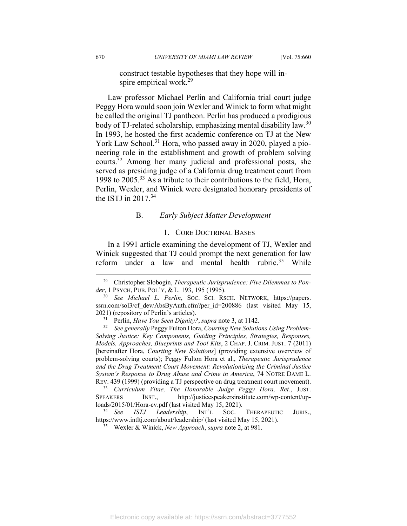construct testable hypotheses that they hope will inspire empirical work.<sup>29</sup>

Law professor Michael Perlin and California trial court judge Peggy Hora would soon join Wexler and Winick to form what might be called the original TJ pantheon. Perlin has produced a prodigious body of TJ-related scholarship, emphasizing mental disability law.<sup>30</sup> In 1993, he hosted the first academic conference on TJ at the New York Law School.<sup>31</sup> Hora, who passed away in 2020, played a pioneering role in the establishment and growth of problem solving courts.32 Among her many judicial and professional posts, she served as presiding judge of a California drug treatment court from 1998 to  $2005<sup>33</sup>$  As a tribute to their contributions to the field, Hora, Perlin, Wexler, and Winick were designated honorary presidents of the ISTJ in  $2017^{34}$ 

#### B. *Early Subject Matter Development*

#### 1. CORE DOCTRINAL BASES

In a 1991 article examining the development of TJ, Wexler and Winick suggested that TJ could prompt the next generation for law reform under a law and mental health rubric.<sup>35</sup> While

<sup>33</sup> *Curriculum Vitae, The Honorable Judge Peggy Hora, Ret.*, JUST. SPEAKERS INST., http://justicespeakersinstitute.com/wp-content/uploads/2015/01/Hora-cv.pdf (last visited May 15, 2021). 34 *See ISTJ Leadership*, INT'L SOC. THERAPEUTIC JURIS.,

https://www.intltj.com/about/leadership/ (last visited May 15, 2021). 35 Wexler & Winick, *New Approach*, *supra* note 2, at 981.

<sup>29</sup> Christopher Slobogin, *Therapeutic Jurisprudence: Five Dilemmas to Ponder*, 1 PSYCH, PUB. POL'Y, & L. 193, 195 (1995). 30 *See Michael L. Perlin*, SOC. SCI. RSCH. NETWORK, https://papers.

ssrn.com/sol3/cf dev/AbsByAuth.cfm?per id=200886 (last visited May 15, 2021) (repository of Perlin's articles). 31 Perlin, *Have You Seen Dignity?*, *supra* note 3, at 1142. 32 *See generally* Peggy Fulton Hora, *Courting New Solutions Using Problem-*

*Solving Justice: Key Components, Guiding Principles, Strategies, Responses, Models, Approaches, Blueprints and Tool Kits*, 2 CHAP. J. CRIM. JUST. 7 (2011) [hereinafter Hora, *Courting New Solutions*] (providing extensive overview of problem-solving courts); Peggy Fulton Hora et al., *Therapeutic Jurisprudence and the Drug Treatment Court Movement: Revolutionizing the Criminal Justice System's Response to Drug Abuse and Crime in America*, 74 NOTRE DAME L. REV. 439 (1999) (providing a TJ perspective on drug treatment court movement).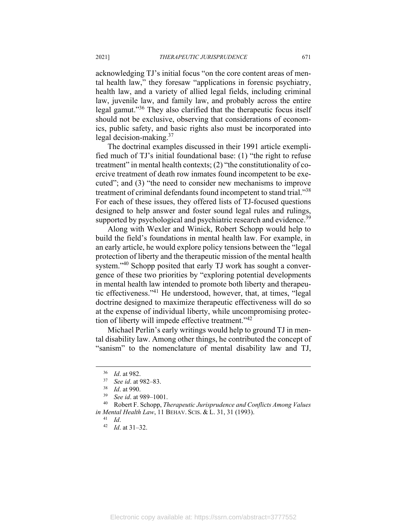acknowledging TJ's initial focus "on the core content areas of mental health law," they foresaw "applications in forensic psychiatry, health law, and a variety of allied legal fields, including criminal law, juvenile law, and family law, and probably across the entire legal gamut."36 They also clarified that the therapeutic focus itself should not be exclusive, observing that considerations of economics, public safety, and basic rights also must be incorporated into legal decision-making. $37$ 

The doctrinal examples discussed in their 1991 article exemplified much of TJ's initial foundational base: (1) "the right to refuse treatment" in mental health contexts; (2) "the constitutionality of coercive treatment of death row inmates found incompetent to be executed"; and (3) "the need to consider new mechanisms to improve treatment of criminal defendants found incompetent to stand trial."<sup>38</sup> For each of these issues, they offered lists of TJ-focused questions designed to help answer and foster sound legal rules and rulings, supported by psychological and psychiatric research and evidence.<sup>39</sup>

Along with Wexler and Winick, Robert Schopp would help to build the field's foundations in mental health law. For example, in an early article, he would explore policy tensions between the "legal protection of liberty and the therapeutic mission of the mental health system."<sup>40</sup> Schopp posited that early TJ work has sought a convergence of these two priorities by "exploring potential developments in mental health law intended to promote both liberty and therapeutic effectiveness."41 He understood, however, that, at times, "legal doctrine designed to maximize therapeutic effectiveness will do so at the expense of individual liberty, while uncompromising protection of liberty will impede effective treatment."<sup>42</sup>

Michael Perlin's early writings would help to ground TJ in mental disability law. Among other things, he contributed the concept of "sanism" to the nomenclature of mental disability law and TJ,

<sup>36</sup> *Id*. at 982. 37 *See id*. at 982–83. 38 *Id*. at 990. 39 *See id*. at 989–1001. 40 Robert F. Schopp, *Therapeutic Jurisprudence and Conflicts Among Values in Mental Health Law*, 11 BEHAV. SCIS. & L. 31, 31 (1993). 41 *Id*. 42 *Id*. at 31–32.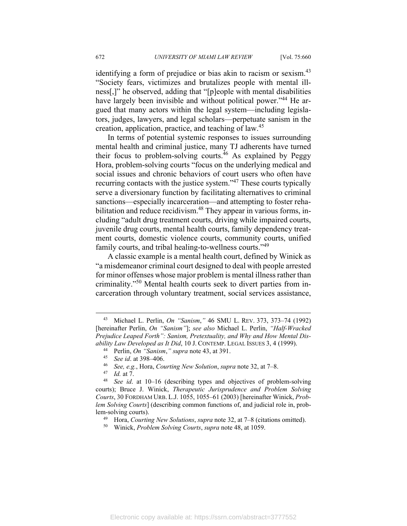identifying a form of prejudice or bias akin to racism or sexism.<sup>43</sup> "Society fears, victimizes and brutalizes people with mental illness[,]" he observed, adding that "[p]eople with mental disabilities have largely been invisible and without political power."<sup>44</sup> He argued that many actors within the legal system—including legislators, judges, lawyers, and legal scholars—perpetuate sanism in the creation, application, practice, and teaching of law.45

In terms of potential systemic responses to issues surrounding mental health and criminal justice, many TJ adherents have turned their focus to problem-solving courts.<sup>46</sup> As explained by Peggy Hora, problem-solving courts "focus on the underlying medical and social issues and chronic behaviors of court users who often have recurring contacts with the justice system."47 These courts typically serve a diversionary function by facilitating alternatives to criminal sanctions—especially incarceration—and attempting to foster rehabilitation and reduce recidivism.<sup>48</sup> They appear in various forms, including "adult drug treatment courts, driving while impaired courts, juvenile drug courts, mental health courts, family dependency treatment courts, domestic violence courts, community courts, unified family courts, and tribal healing-to-wellness courts."<sup>49</sup>

A classic example is a mental health court, defined by Winick as "a misdemeanor criminal court designed to deal with people arrested for minor offenses whose major problem is mental illness rather than criminality."50 Mental health courts seek to divert parties from incarceration through voluntary treatment, social services assistance,

<sup>43</sup> Michael L. Perlin, *On "Sanism*,*"* 46 SMU L. REV. 373, 373–74 (1992) [hereinafter Perlin, *On "Sanism"*]; *see also* Michael L. Perlin, *"Half-Wracked Prejudice Leaped Forth": Sanism, Pretextuality, and Why and How Mental Disability Law Developed as It Did,* 10 J. CONTEMP. LEGAL ISSUES 3, 4 (1999).<br>
<sup>44</sup> Perlin, *On "Sanism," supra* note 43, at 391.<br>
<sup>45</sup> *See id.* at 398–406.<br>
<sup>46</sup> *See, e.g.*, Hora, *Courting New Solution, supra* note 32,

courts); Bruce J. Winick, *Therapeutic Jurisprudence and Problem Solving Courts*, 30 FORDHAM URB. L.J. 1055, 1055–61 (2003) [hereinafter Winick, *Problem Solving Courts*] (describing common functions of, and judicial role in, problem-solving courts). 49 Hora, *Courting New Solutions*, *supra* note 32, at 7–8 (citations omitted). 50 Winick, *Problem Solving Courts*, *supra* note 48, at 1059.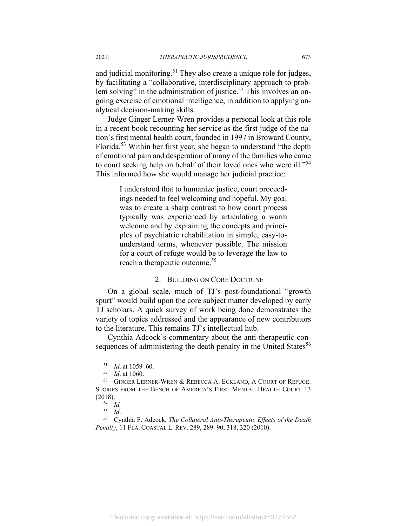and judicial monitoring.<sup>51</sup> They also create a unique role for judges, by facilitating a "collaborative, interdisciplinary approach to problem solving" in the administration of justice.<sup>52</sup> This involves an ongoing exercise of emotional intelligence, in addition to applying analytical decision-making skills.

Judge Ginger Lerner-Wren provides a personal look at this role in a recent book recounting her service as the first judge of the nation's first mental health court, founded in 1997 in Broward County, Florida.53 Within her first year, she began to understand "the depth of emotional pain and desperation of many of the families who came to court seeking help on behalf of their loved ones who were ill."54 This informed how she would manage her judicial practice:

> I understood that to humanize justice, court proceedings needed to feel welcoming and hopeful. My goal was to create a sharp contrast to how court process typically was experienced by articulating a warm welcome and by explaining the concepts and principles of psychiatric rehabilitation in simple, easy-tounderstand terms, whenever possible. The mission for a court of refuge would be to leverage the law to reach a therapeutic outcome.<sup>55</sup>

#### 2. BUILDING ON CORE DOCTRINE

On a global scale, much of TJ's post-foundational "growth spurt" would build upon the core subject matter developed by early TJ scholars. A quick survey of work being done demonstrates the variety of topics addressed and the appearance of new contributors to the literature. This remains TJ's intellectual hub.

Cynthia Adcock's commentary about the anti-therapeutic consequences of administering the death penalty in the United States<sup>56</sup>

<sup>51</sup> *Id.* at 1059–60.<br>
52 *Id.* at 1060.<br>
53 GINGER LERNER-WREN & REBECCA A. ECKLAND, A COURT OF REFUGE: STORIES FROM THE BENCH OF AMERICA'S FIRST MENTAL HEALTH COURT 13 (2018).<br> $\frac{54}{54}$  *Id.*<br> $\frac{55}{16}$ .

<sup>55</sup> *Id*. 56 Cynthia F. Adcock, *The Collateral Anti-Therapeutic Effects of the Death Penalty*, 11 FLA. COASTAL L. REV. 289, 289–90, 318, 320 (2010).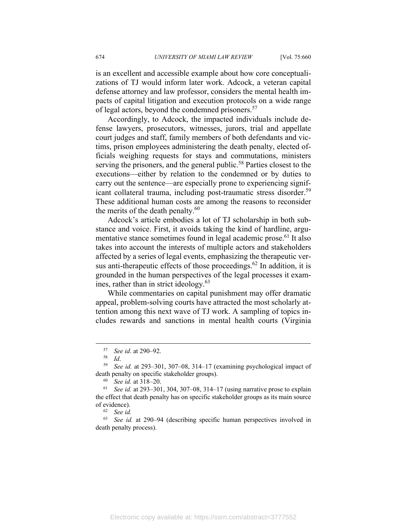is an excellent and accessible example about how core conceptualizations of TJ would inform later work. Adcock, a veteran capital defense attorney and law professor, considers the mental health impacts of capital litigation and execution protocols on a wide range of legal actors, beyond the condemned prisoners.<sup>57</sup>

Accordingly, to Adcock, the impacted individuals include defense lawyers, prosecutors, witnesses, jurors, trial and appellate court judges and staff, family members of both defendants and victims, prison employees administering the death penalty, elected officials weighing requests for stays and commutations, ministers serving the prisoners, and the general public.<sup>58</sup> Parties closest to the executions—either by relation to the condemned or by duties to carry out the sentence—are especially prone to experiencing significant collateral trauma, including post-traumatic stress disorder.<sup>59</sup> These additional human costs are among the reasons to reconsider the merits of the death penalty. $60$ 

Adcock's article embodies a lot of TJ scholarship in both substance and voice. First, it avoids taking the kind of hardline, argumentative stance sometimes found in legal academic prose.<sup>61</sup> It also takes into account the interests of multiple actors and stakeholders affected by a series of legal events, emphasizing the therapeutic versus anti-therapeutic effects of those proceedings.<sup>62</sup> In addition, it is grounded in the human perspectives of the legal processes it examines, rather than in strict ideology. $63$ 

While commentaries on capital punishment may offer dramatic appeal, problem-solving courts have attracted the most scholarly attention among this next wave of TJ work. A sampling of topics includes rewards and sanctions in mental health courts (Virginia

<sup>63</sup> *See id.* at 290–94 (describing specific human perspectives involved in death penalty process).

<sup>57</sup> *See id*. at 290–92. 58 *Id*. 59 *See id.* at 293–301, 307–08, 314–17 (examining psychological impact of death penalty on specific stakeholder groups).<br><sup>60</sup> *See id.* at 318–20.<br><sup>61</sup> *See id.* at 293–301, 304, 307–08, 314–17 (using narrative prose to explain

the effect that death penalty has on specific stakeholder groups as its main source of evidence). 62 *See id.*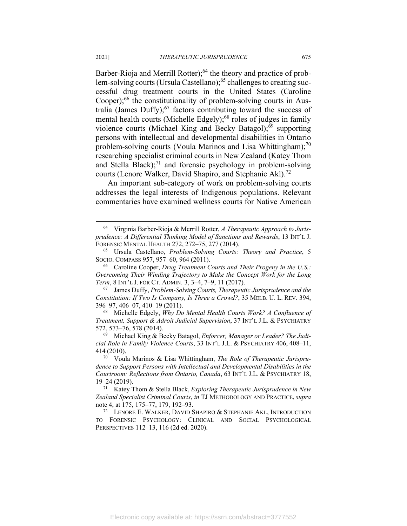Barber-Rioja and Merrill Rotter);<sup>64</sup> the theory and practice of problem-solving courts (Ursula Castellano);<sup>65</sup> challenges to creating successful drug treatment courts in the United States (Caroline Cooper); $^{66}$  the constitutionality of problem-solving courts in Australia (James Duffy); $67$  factors contributing toward the success of mental health courts (Michelle Edgely); $68$  roles of judges in family violence courts (Michael King and Becky Batagol); $^{69}$  supporting persons with intellectual and developmental disabilities in Ontario problem-solving courts (Voula Marinos and Lisa Whittingham); $^{70}$ researching specialist criminal courts in New Zealand (Katey Thom and Stella Black); $71$  and forensic psychology in problem-solving courts (Lenore Walker, David Shapiro, and Stephanie Akl).<sup>72</sup>

An important sub-category of work on problem-solving courts addresses the legal interests of Indigenous populations. Relevant commentaries have examined wellness courts for Native American

<sup>64</sup> Virginia Barber-Rioja & Merrill Rotter, *A Therapeutic Approach to Jurisprudence: A Differential Thinking Model of Sanctions and Rewards*, 13 INT'L J. FORENSIC MENTAL HEALTH 272, 272–75, 277 (2014). 65 Ursula Castellano, *Problem-Solving Courts: Theory and Practice*, 5

SOCIO. COMPASS 957, 957–60, 964 (2011).<br><sup>66</sup> Caroline Cooper, *Drug Treatment Courts and Their Progeny in the U.S.*:

*Overcoming Their Winding Trajectory to Make the Concept Work for the Long Term*, 8 INT'L J. FOR CT. ADMIN. 3, 3–4, 7–9, 11 (2017).<br><sup>67</sup> James Duffy, *Problem-Solving Courts, Therapeutic Jurisprudence and the* 

*Constitution: If Two Is Company, Is Three a Crowd?*, 35 MELB. U. L. REV. 394, 396–97, 406–07, 410–19 (2011). 68 Michelle Edgely, *Why Do Mental Health Courts Work? A Confluence of* 

*Treatment, Support & Adroit Judicial Supervision*, 37 INT'L J.L. & PSYCHIATRY 572, 573–76, 578 (2014). 69 Michael King & Becky Batagol, *Enforcer, Manager or Leader? The Judi-*

*cial Role in Family Violence Courts*, 33 INT'L J.L. & PSYCHIATRY 406, 408–11, 414 (2010).

<sup>70</sup> Voula Marinos & Lisa Whittingham, *The Role of Therapeutic Jurisprudence to Support Persons with Intellectual and Developmental Disabilities in the Courtroom: Reflections from Ontario, Canada*, 63 INT'L J.L. & PSYCHIATRY 18, 19–24 (2019). 71 Katey Thom & Stella Black, *Exploring Therapeutic Jurisprudence in New* 

*Zealand Specialist Criminal Courts*, *in* TJ METHODOLOGY AND PRACTICE, *supra* note 4, at 175, 175–77, 179, 192–93.<br><sup>72</sup> LENORE E. WALKER, DAVID SHAPIRO & STEPHANIE AKL, INTRODUCTION

TO FORENSIC PSYCHOLOGY: CLINICAL AND SOCIAL PSYCHOLOGICAL PERSPECTIVES 112–13, 116 (2d ed. 2020).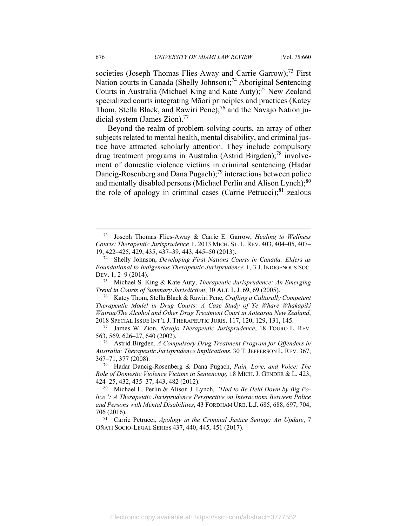societies (Joseph Thomas Flies-Away and Carrie Garrow);<sup>73</sup> First Nation courts in Canada (Shelly Johnson);<sup>74</sup> Aboriginal Sentencing Courts in Australia (Michael King and Kate Auty);<sup>75</sup> New Zealand specialized courts integrating Māori principles and practices (Katey Thom, Stella Black, and Rawiri Pene);<sup>76</sup> and the Navajo Nation judicial system (James Zion).<sup>77</sup>

Beyond the realm of problem-solving courts, an array of other subjects related to mental health, mental disability, and criminal justice have attracted scholarly attention. They include compulsory drug treatment programs in Australia (Astrid Birgden);<sup>78</sup> involvement of domestic violence victims in criminal sentencing (Hadar Dancig-Rosenberg and Dana Pugach);<sup>79</sup> interactions between police and mentally disabled persons (Michael Perlin and Alison Lynch);<sup>80</sup> the role of apology in criminal cases (Carrie Petrucci); $81$  zealous

*Therapeutic Model in Drug Courts: A Case Study of Te Whare Whakapiki Wairua/The Alcohol and Other Drug Treatment Court in Aotearoa New Zealand*,

<sup>73</sup> Joseph Thomas Flies-Away & Carrie E. Garrow, *Healing to Wellness Courts: Therapeutic Jurisprudence +*, 2013 MICH. ST. L. REV. 403, 404–05, 407–

<sup>&</sup>lt;sup>74</sup> Shelly Johnson, *Developing First Nations Courts in Canada: Elders as Foundational to Indigenous Therapeutic Jurisprudence +,* 3 J. INDIGENOUS SOC. DEV. 1, 2–9 (2014).

<sup>75</sup> Michael S. King & Kate Auty, *Therapeutic Jurisprudence: An Emerging Trend in Courts of Summary Jurisdiction*, 30 ALT. L.J. 69, 69 (2005).<br><sup>76</sup> Katey Thom, Stella Black & Rawiri Pene, *Crafting a Culturally Competent* 

<sup>2018</sup> SPECIAL ISSUE INT'L J. THERAPEUTIC JURIS. 117, 120, 129, 131, 145. 77 James W. Zion, *Navajo Therapeutic Jurisprudence*, 18 TOURO L. REV. 563, 569, 626–27, 640 (2002). 78 Astrid Birgden, *A Compulsory Drug Treatment Program for Offenders in* 

*Australia: Therapeutic Jurisprudence Implications*, 30 T.JEFFERSON L.REV. 367, 367–71, 377 (2008). 79 Hadar Dancig-Rosenberg & Dana Pugach, *Pain, Love, and Voice: The* 

*Role of Domestic Violence Victims in Sentencing*, 18 MICH. J. GENDER & L. 423, 424–25, 432, 435–37, 443, 482 (2012). 80 Michael L. Perlin & Alison J. Lynch, *"Had to Be Held Down by Big Po-*

*lice": A Therapeutic Jurisprudence Perspective on Interactions Between Police and Persons with Mental Disabilities*, 43 FORDHAM URB. L.J. 685, 688, 697, 704, 706 (2016). 81 Carrie Petrucci, *Apology in the Criminal Justice Setting: An Update*, 7

OÑATI SOCIO-LEGAL SERIES 437, 440, 445, 451 (2017).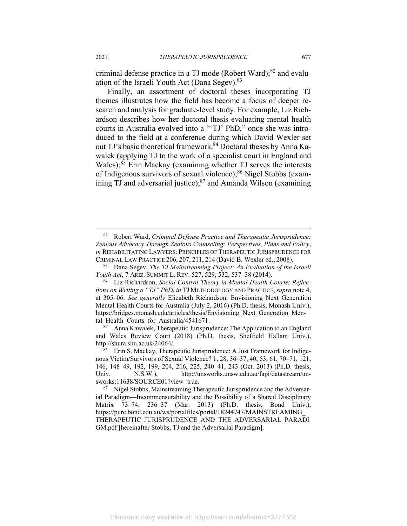criminal defense practice in a TJ mode (Robert Ward); $82$  and evaluation of the Israeli Youth Act (Dana Segev).<sup>83</sup>

Finally, an assortment of doctoral theses incorporating TJ themes illustrates how the field has become a focus of deeper research and analysis for graduate-level study. For example, Liz Richardson describes how her doctoral thesis evaluating mental health courts in Australia evolved into a "'TJ' PhD," once she was introduced to the field at a conference during which David Wexler set out TJ's basic theoretical framework.<sup>84</sup> Doctoral theses by Anna Kawalek (applying TJ to the work of a specialist court in England and Wales);<sup>85</sup> Erin Mackay (examining whether TJ serves the interests of Indigenous survivors of sexual violence);<sup>86</sup> Nigel Stobbs (examining TJ and adversarial justice); $87$  and Amanda Wilson (examining

tal\_Health\_Courts\_for\_Australia/4541671.<br> $\frac{85}{85}$  Anna Kawalek, Therapeutic Jurisprudence: The Application to an England and Wales Review Court (2018) (Ph.D. thesis, Sheffield Hallam Univ.), http://shura.shu.ac.uk/24064/.<br><sup>86</sup> Erin S. Mackay, Therapeutic Jurisprudence: A Just Framework for Indige-

<sup>82</sup> Robert Ward, *Criminal Defense Practice and Therapeutic Jurisprudence: Zealous Advocacy Through Zealous Counseling: Perspectives, Plans and Policy*, *in* REHABILITATING LAWYERS: PRINCIPLES OF THERAPEUTIC JURISPRUDENCE FOR CRIMINAL LAW PRACTICE 206, 207, 211, <sup>214</sup> (David B. Wexler ed., 2008). 83 Dana Segev, *The TJ Mainstreaming Project: An Evaluation of the Israeli* 

*Youth Act*, 7 ARIZ. SUMMIT L. REV. 527, 529, 532, 537–38 (2014).<br><sup>84</sup> Liz Richardson, *Social Control Theory in Mental Health Courts: Reflec-*

*tions on Writing a "TJ" PhD*, *in* TJ METHODOLOGY AND PRACTICE,*supra* note 4, at 305–06. *See generally* Elizabeth Richardson, Envisioning Next Generation Mental Health Courts for Australia (July 2, 2016) (Ph.D. thesis, Monash Univ.), https://bridges.monash.edu/articles/thesis/Envisioning\_Next\_Generation\_Men-

nous Victim/Survivors of Sexual Violence? 1, 28, 36–37, 40, 53, 61, 70–71, 121, 146, 148–49, 192, 199, 204, 216, 225, 240–41, 243 (Oct. 2013) (Ph.D. thesis, Univ. N.S.W.), http://unsworks.unsw.edu.au/fapi/datastream/un-

sworks:11638/SOURCE01?view=true.<br><sup>87</sup> Nigel Stobbs, Mainstreaming Therapeutic Jurisprudence and the Adversarial Paradigm—Incommensurability and the Possibility of a Shared Disciplinary Matrix 73–74, 236–37 (Mar. 2013) (Ph.D. thesis, Bond Univ.), https://pure.bond.edu.au/ws/portalfiles/portal/18244747/MAINSTREAMING\_ THERAPEUTIC\_JURISPRUDENCE\_AND\_THE\_ADVERSARIAL\_PARADI GM.pdf [hereinafter Stobbs, TJ and the Adversarial Paradigm].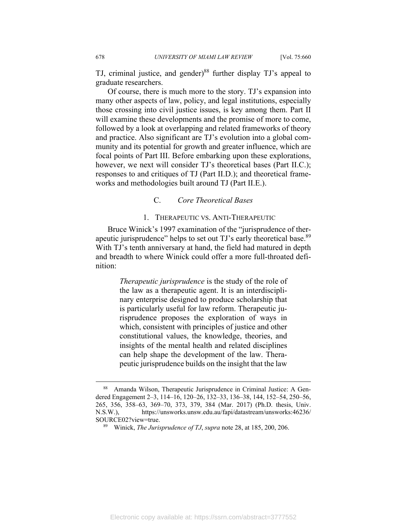TJ, criminal justice, and gender) $88$  further display TJ's appeal to graduate researchers.

Of course, there is much more to the story. TJ's expansion into many other aspects of law, policy, and legal institutions, especially those crossing into civil justice issues, is key among them. Part II will examine these developments and the promise of more to come, followed by a look at overlapping and related frameworks of theory and practice. Also significant are TJ's evolution into a global community and its potential for growth and greater influence, which are focal points of Part III. Before embarking upon these explorations, however, we next will consider TJ's theoretical bases (Part II.C.); responses to and critiques of TJ (Part II.D.); and theoretical frameworks and methodologies built around TJ (Part II.E.).

## C. *Core Theoretical Bases*

#### 1. THERAPEUTIC VS. ANTI-THERAPEUTIC

Bruce Winick's 1997 examination of the "jurisprudence of therapeutic jurisprudence" helps to set out TJ's early theoretical base.<sup>89</sup> With TJ's tenth anniversary at hand, the field had matured in depth and breadth to where Winick could offer a more full-throated definition:

> *Therapeutic jurisprudence* is the study of the role of the law as a therapeutic agent. It is an interdisciplinary enterprise designed to produce scholarship that is particularly useful for law reform. Therapeutic jurisprudence proposes the exploration of ways in which, consistent with principles of justice and other constitutional values, the knowledge, theories, and insights of the mental health and related disciplines can help shape the development of the law. Therapeutic jurisprudence builds on the insight that the law

<sup>88</sup> Amanda Wilson, Therapeutic Jurisprudence in Criminal Justice: A Gendered Engagement 2–3, 114–16, 120–26, 132–33, 136–38, 144, 152–54, 250–56, 265, 356, 358–63, 369–70, 373, 379, 384 (Mar. 2017) (Ph.D. thesis, Univ. N.S.W.), https://unsworks.unsw.edu.au/fapi/datastream/unsworks:46236/ SOURCE02?view=true. 89 Winick, *The Jurisprudence of TJ*, *supra* note 28, at 185, 200, 206.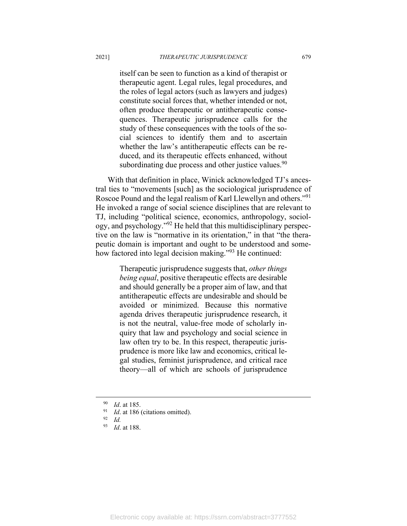itself can be seen to function as a kind of therapist or therapeutic agent. Legal rules, legal procedures, and the roles of legal actors (such as lawyers and judges) constitute social forces that, whether intended or not, often produce therapeutic or antitherapeutic consequences. Therapeutic jurisprudence calls for the study of these consequences with the tools of the social sciences to identify them and to ascertain whether the law's antitherapeutic effects can be reduced, and its therapeutic effects enhanced, without subordinating due process and other justice values. $90$ 

With that definition in place, Winick acknowledged TJ's ancestral ties to "movements [such] as the sociological jurisprudence of Roscoe Pound and the legal realism of Karl Llewellyn and others."91 He invoked a range of social science disciplines that are relevant to TJ, including "political science, economics, anthropology, sociology, and psychology."92 He held that this multidisciplinary perspective on the law is "normative in its orientation," in that "the therapeutic domain is important and ought to be understood and somehow factored into legal decision making."<sup>93</sup> He continued:

> Therapeutic jurisprudence suggests that, *other things being equal*, positive therapeutic effects are desirable and should generally be a proper aim of law, and that antitherapeutic effects are undesirable and should be avoided or minimized. Because this normative agenda drives therapeutic jurisprudence research, it is not the neutral, value-free mode of scholarly inquiry that law and psychology and social science in law often try to be. In this respect, therapeutic jurisprudence is more like law and economics, critical legal studies, feminist jurisprudence, and critical race theory—all of which are schools of jurisprudence

<sup>90</sup> *Id.* at 185.<br><sup>91</sup> *Id.* at 186 (citations omitted).<br><sup>92</sup> *Id.* at 188

<sup>93</sup> *Id*. at 188.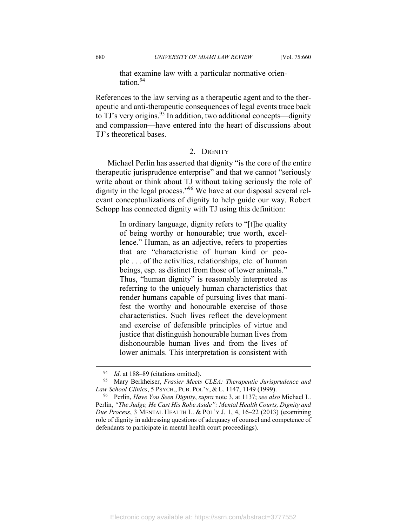that examine law with a particular normative orientation.94

References to the law serving as a therapeutic agent and to the therapeutic and anti-therapeutic consequences of legal events trace back to TJ's very origins.<sup>95</sup> In addition, two additional concepts—dignity and compassion—have entered into the heart of discussions about TJ's theoretical bases.

## 2. DIGNITY

Michael Perlin has asserted that dignity "is the core of the entire therapeutic jurisprudence enterprise" and that we cannot "seriously write about or think about TJ without taking seriously the role of dignity in the legal process."<sup>96</sup> We have at our disposal several relevant conceptualizations of dignity to help guide our way. Robert Schopp has connected dignity with TJ using this definition:

> In ordinary language, dignity refers to "[t]he quality of being worthy or honourable; true worth, excellence." Human, as an adjective, refers to properties that are "characteristic of human kind or people . . . of the activities, relationships, etc. of human beings, esp. as distinct from those of lower animals." Thus, "human dignity" is reasonably interpreted as referring to the uniquely human characteristics that render humans capable of pursuing lives that manifest the worthy and honourable exercise of those characteristics. Such lives reflect the development and exercise of defensible principles of virtue and justice that distinguish honourable human lives from dishonourable human lives and from the lives of lower animals. This interpretation is consistent with

<sup>94</sup> *Id*. at 188–89 (citations omitted). 95 Mary Berkheiser, *Frasier Meets CLEA: Therapeutic Jurisprudence and Law School Clinics*, 5 PSYCH., PUB. POL'Y, & L. 1147, 1149 (1999).<br><sup>96</sup> Perlin, *Have You Seen Dignity*, *supra* note 3, at 1137; *see also* Michael L.

Perlin, *"The Judge, He Cast His Robe Aside": Mental Health Courts, Dignity and Due Process*, 3 MENTAL HEALTH L. & POL'Y J. 1, 4, 16–22 (2013) (examining role of dignity in addressing questions of adequacy of counsel and competence of defendants to participate in mental health court proceedings).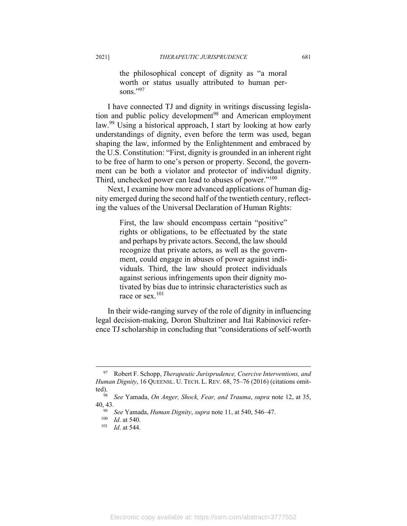the philosophical concept of dignity as "a moral worth or status usually attributed to human persons."97

I have connected TJ and dignity in writings discussing legislation and public policy development<sup>98</sup> and American employment law.<sup>99</sup> Using a historical approach, I start by looking at how early understandings of dignity, even before the term was used, began shaping the law, informed by the Enlightenment and embraced by the U.S. Constitution: "First, dignity is grounded in an inherent right to be free of harm to one's person or property. Second, the government can be both a violator and protector of individual dignity. Third, unchecked power can lead to abuses of power."<sup>100</sup>

Next, I examine how more advanced applications of human dignity emerged during the second half of the twentieth century, reflecting the values of the Universal Declaration of Human Rights:

> First, the law should encompass certain "positive" rights or obligations, to be effectuated by the state and perhaps by private actors. Second, the law should recognize that private actors, as well as the government, could engage in abuses of power against individuals. Third, the law should protect individuals against serious infringements upon their dignity motivated by bias due to intrinsic characteristics such as race or sex.<sup>101</sup>

In their wide-ranging survey of the role of dignity in influencing legal decision-making, Doron Shultziner and Itai Rabinovici reference TJ scholarship in concluding that "considerations of self-worth

<sup>97</sup> Robert F. Schopp, *Therapeutic Jurisprudence, Coercive Interventions, and Human Dignity*, 16 QUEENSL. U. TECH. L. REV. 68, 75–76 (2016) (citations omitted). 98 *See* Yamada, *On Anger, Shock, Fear, and Trauma*, *supra* note 12, at 35,

<sup>40, 43. 99</sup> *See* Yamada, *Human Dignity*, *supra* note 11, at 540, 546–47. 100 *Id*. at 540. 101 *Id*. at 544.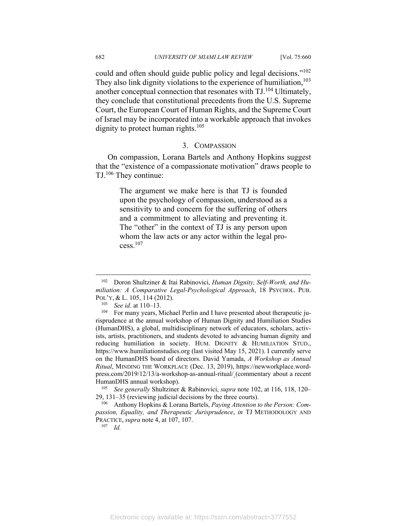could and often should guide public policy and legal decisions."102 They also link dignity violations to the experience of humiliation,  $103$ another conceptual connection that resonates with  $T J^{104}$  Ultimately, they conclude that constitutional precedents from the U.S. Supreme Court, the European Court of Human Rights, and the Supreme Court of Israel may be incorporated into a workable approach that invokes dignity to protect human rights.<sup>105</sup>

#### 3. COMPASSION

On compassion, Lorana Bartels and Anthony Hopkins suggest that the "existence of a compassionate motivation" draws people to TJ.106 They continue:

> The argument we make here is that TJ is founded upon the psychology of compassion, understood as a sensitivity to and concern for the suffering of others and a commitment to alleviating and preventing it. The "other" in the context of TJ is any person upon whom the law acts or any actor within the legal process.107

29, 131–35 (reviewing judicial decisions by the three courts). 106 Anthony Hopkins & Lorana Bartels, *Paying Attention to the Person: Com-*

*passion, Equality, and Therapeutic Jurisprudence*, *in* TJ METHODOLOGY AND PRACTICE, *supra* note 4, at 107, 107. 107 *Id.*

<sup>102</sup> Doron Shultziner & Itai Rabinovici, *Human Dignity, Self-Worth, and Humiliation: A Comparative Legal-Psychological Approach*, 18 PSYCHOL. PUB.

POL'Y, & L. 105, 114 (2012).<br><sup>103</sup> *See id.* at 110–13.<br><sup>104</sup> For many years, Michael Perlin and I have presented about therapeutic jurisprudence at the annual workshop of Human Dignity and Humiliation Studies (HumanDHS), a global, multidisciplinary network of educators, scholars, activists, artists, practitioners, and students devoted to advancing human dignity and reducing humiliation in society. HUM. DIGNITY & HUMILIATION STUD., https://www.humiliationstudies.org (last visited May 15, 2021). I currently serve on the HumanDHS board of directors. David Yamada, *A Workshop as Annual Ritual*, MINDING THE WORKPLACE (Dec. 13, 2019), https://newworkplace.wordpress.com/2019/12/13/a-workshop-as-annual-ritual/ (commentary about a recent HumanDHS annual workshop). 105 *See generally* Shultziner & Rabinovici, *supra* note 102, at 116, 118, 120–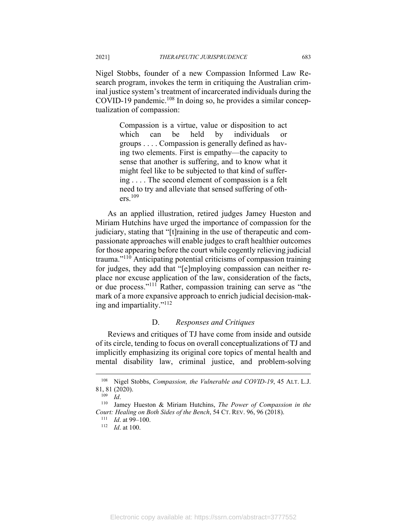Nigel Stobbs, founder of a new Compassion Informed Law Research program, invokes the term in critiquing the Australian criminal justice system's treatment of incarcerated individuals during the COVID-19 pandemic.<sup>108</sup> In doing so, he provides a similar conceptualization of compassion:

> Compassion is a virtue, value or disposition to act which can be held by individuals or groups . . . . Compassion is generally defined as having two elements. First is empathy—the capacity to sense that another is suffering, and to know what it might feel like to be subjected to that kind of suffering . . . . The second element of compassion is a felt need to try and alleviate that sensed suffering of others.109

As an applied illustration, retired judges Jamey Hueston and Miriam Hutchins have urged the importance of compassion for the judiciary, stating that "[t]raining in the use of therapeutic and compassionate approaches will enable judges to craft healthier outcomes for those appearing before the court while cogently relieving judicial trauma."110 Anticipating potential criticisms of compassion training for judges, they add that "[e]mploying compassion can neither replace nor excuse application of the law, consideration of the facts, or due process."111 Rather, compassion training can serve as "the mark of a more expansive approach to enrich judicial decision-making and impartiality."112

### D. *Responses and Critiques*

Reviews and critiques of TJ have come from inside and outside of its circle, tending to focus on overall conceptualizations of TJ and implicitly emphasizing its original core topics of mental health and mental disability law, criminal justice, and problem-solving

<sup>108</sup> Nigel Stobbs, *Compassion, the Vulnerable and COVID-19*, 45 ALT. L.J. 81, 81 (2020). 109 *Id*. 110 Jamey Hueston & Miriam Hutchins, *The Power of Compassion in the* 

*Court: Healing on Both Sides of the Bench*, 54 CT. REV. 96, 96 (2018). 111 *Id*. at 99–100. 112 *Id*. at 100.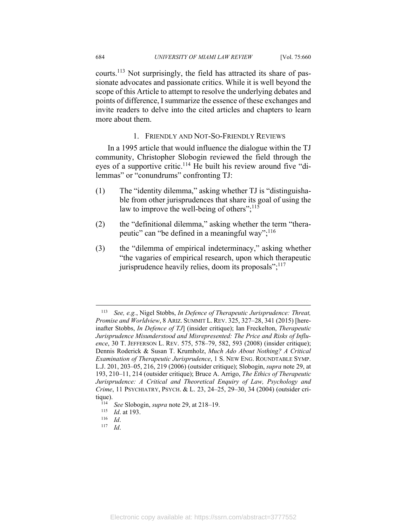courts.113 Not surprisingly, the field has attracted its share of passionate advocates and passionate critics. While it is well beyond the scope of this Article to attempt to resolve the underlying debates and points of difference, I summarize the essence of these exchanges and invite readers to delve into the cited articles and chapters to learn more about them.

## 1. FRIENDLY AND NOT-SO-FRIENDLY REVIEWS

In a 1995 article that would influence the dialogue within the TJ community, Christopher Slobogin reviewed the field through the eyes of a supportive critic.<sup>114</sup> He built his review around five "dilemmas" or "conundrums" confronting TJ:

- (1) The "identity dilemma," asking whether TJ is "distinguishable from other jurisprudences that share its goal of using the law to improve the well-being of others"; $^{115}$
- (2) the "definitional dilemma," asking whether the term "therapeutic" can "be defined in a meaningful way"; $^{116}$
- (3) the "dilemma of empirical indeterminacy," asking whether "the vagaries of empirical research, upon which therapeutic jurisprudence heavily relies, doom its proposals"; $^{117}$

<sup>113</sup> *See, e.g.*, Nigel Stobbs, *In Defence of Therapeutic Jurisprudence: Threat, Promise and Worldview*, 8 ARIZ. SUMMIT L. REV. 325, 327–28, 341 (2015) [hereinafter Stobbs, *In Defence of TJ*] (insider critique); Ian Freckelton, *Therapeutic Jurisprudence Misunderstood and Misrepresented: The Price and Risks of Influence*, 30 T. JEFFERSON L. REV. 575, 578–79, 582, 593 (2008) (insider critique); Dennis Roderick & Susan T. Krumholz, *Much Ado About Nothing? A Critical Examination of Therapeutic Jurisprudence*, 1 S. NEW ENG. ROUNDTABLE SYMP. L.J. 201, 203–05, 216, 219 (2006) (outsider critique); Slobogin, *supra* note 29, at 193, 210–11, 214 (outsider critique); Bruce A. Arrigo, *The Ethics of Therapeutic Jurisprudence: A Critical and Theoretical Enquiry of Law, Psychology and Crime*, 11 PSYCHIATRY, PSYCH. & L. 23, 24–25, 29–30, 34 (2004) (outsider critique).<br><sup>114</sup> *See* Slobogin, *supra* note 29, at 218–19.<br><sup>115</sup> *Id*. *117 Id*.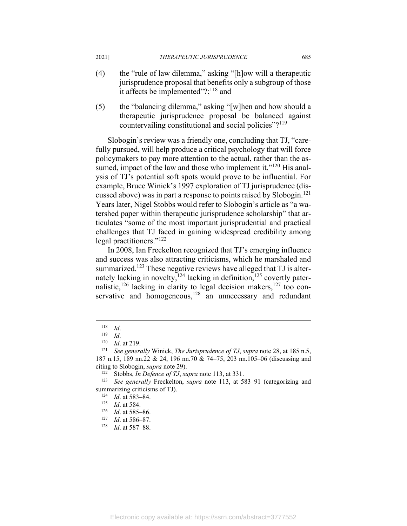- (4) the "rule of law dilemma," asking "[h]ow will a therapeutic jurisprudence proposal that benefits only a subgroup of those it affects be implemented"?; $^{118}$  and
- (5) the "balancing dilemma," asking "[w]hen and how should a therapeutic jurisprudence proposal be balanced against countervailing constitutional and social policies"?<sup>119</sup>

Slobogin's review was a friendly one, concluding that TJ, "carefully pursued, will help produce a critical psychology that will force policymakers to pay more attention to the actual, rather than the assumed, impact of the law and those who implement it."<sup>120</sup> His analysis of TJ's potential soft spots would prove to be influential. For example, Bruce Winick's 1997 exploration of TJ jurisprudence (discussed above) was in part a response to points raised by Slobogin.<sup>121</sup> Years later, Nigel Stobbs would refer to Slobogin's article as "a watershed paper within therapeutic jurisprudence scholarship" that articulates "some of the most important jurisprudential and practical challenges that TJ faced in gaining widespread credibility among legal practitioners."<sup>122</sup>

In 2008, Ian Freckelton recognized that TJ's emerging influence and success was also attracting criticisms, which he marshaled and summarized.<sup>123</sup> These negative reviews have alleged that TJ is alternately lacking in novelty,<sup>124</sup> lacking in definition,<sup>125</sup> covertly paternalistic,<sup>126</sup> lacking in clarity to legal decision makers,<sup>127</sup> too conservative and homogeneous,<sup>128</sup> an unnecessary and redundant

<sup>118</sup> *Id.*<br><sup>119</sup> *Id.* at 219.<br><sup>121</sup> *See generally* Winick, *The Jurisprudence of TJ*, *supra* note 28, at 185 n.5, 187 n.15, 189 nn.22 & 24, 196 nn.70 & 74–75, 203 nn.105–06 (discussing and citing to Slobogin, *supra* note 29).<br><sup>122</sup> Stobbs, *In Defence of TJ*, *supra* note 113, at 331.<br><sup>123</sup> See generally Freckelton, *supra* note 113, at 583–91 (categorizing and

summarizing criticisms of TJ).<br>
<sup>124</sup> *Id.* at 583–84.<br>
<sup>125</sup> *Id.* at 585–86.<br>
<sup>127</sup> *Id.* at 586–87.<br>
<sup>128</sup> *Id.* at 587–88.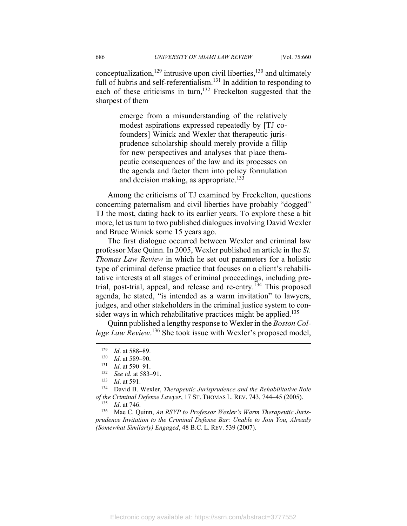conceptualization,<sup>129</sup> intrusive upon civil liberties,<sup>130</sup> and ultimately full of hubris and self-referentialism.<sup>131</sup> In addition to responding to each of these criticisms in turn,<sup>132</sup> Freckelton suggested that the sharpest of them

> emerge from a misunderstanding of the relatively modest aspirations expressed repeatedly by [TJ cofounders] Winick and Wexler that therapeutic jurisprudence scholarship should merely provide a fillip for new perspectives and analyses that place therapeutic consequences of the law and its processes on the agenda and factor them into policy formulation and decision making, as appropriate. $133$

Among the criticisms of TJ examined by Freckelton, questions concerning paternalism and civil liberties have probably "dogged" TJ the most, dating back to its earlier years. To explore these a bit more, let us turn to two published dialogues involving David Wexler and Bruce Winick some 15 years ago.

The first dialogue occurred between Wexler and criminal law professor Mae Quinn. In 2005, Wexler published an article in the *St. Thomas Law Review* in which he set out parameters for a holistic type of criminal defense practice that focuses on a client's rehabilitative interests at all stages of criminal proceedings, including pretrial, post-trial, appeal, and release and re-entry.<sup>134</sup> This proposed agenda, he stated, "is intended as a warm invitation" to lawyers, judges, and other stakeholders in the criminal justice system to consider ways in which rehabilitative practices might be applied.<sup>135</sup>

Quinn published a lengthy response to Wexler in the *Boston Col*lege Law Review.<sup>136</sup> She took issue with Wexler's proposed model,

*prudence Invitation to the Criminal Defense Bar: Unable to Join You, Already (Somewhat Similarly) Engaged*, 48 B.C. L. REV. 539 (2007).

<sup>1&</sup>lt;sup>29</sup> Id. at 588–89.<br>
<sup>130</sup> Id. at 589–90.<br>
<sup>131</sup> Id. at 590–91.<br>
<sup>133</sup> Id. at 591.<br>
<sup>133</sup> Id. at 591.<br>
<sup>134</sup> David B. Wexler, *Therapeutic Jurisprudence and the Rehabilitative Role of the Criminal Defense Lawyer*, 17 ST. THOMAS L. REV. 743, 744–45 (2005). 135 *Id*. at 746. 136 Mae C. Quinn, *An RSVP to Professor Wexler's Warm Therapeutic Juris-*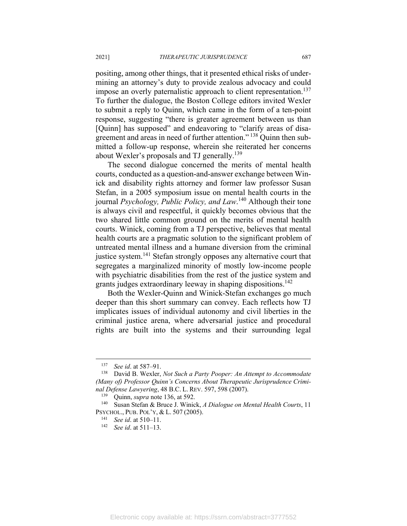positing, among other things, that it presented ethical risks of undermining an attorney's duty to provide zealous advocacy and could impose an overly paternalistic approach to client representation.<sup>137</sup> To further the dialogue, the Boston College editors invited Wexler to submit a reply to Quinn, which came in the form of a ten-point response, suggesting "there is greater agreement between us than [Quinn] has supposed" and endeavoring to "clarify areas of disagreement and areas in need of further attention."<sup>138</sup> Quinn then submitted a follow-up response, wherein she reiterated her concerns about Wexler's proposals and TJ generally.<sup>139</sup>

The second dialogue concerned the merits of mental health courts, conducted as a question-and-answer exchange between Winick and disability rights attorney and former law professor Susan Stefan, in a 2005 symposium issue on mental health courts in the journal *Psychology, Public Policy, and Law*. 140 Although their tone is always civil and respectful, it quickly becomes obvious that the two shared little common ground on the merits of mental health courts. Winick, coming from a TJ perspective, believes that mental health courts are a pragmatic solution to the significant problem of untreated mental illness and a humane diversion from the criminal justice system.<sup>141</sup> Stefan strongly opposes any alternative court that segregates a marginalized minority of mostly low-income people with psychiatric disabilities from the rest of the justice system and grants judges extraordinary leeway in shaping dispositions.<sup>142</sup>

Both the Wexler-Quinn and Winick-Stefan exchanges go much deeper than this short summary can convey. Each reflects how TJ implicates issues of individual autonomy and civil liberties in the criminal justice arena, where adversarial justice and procedural rights are built into the systems and their surrounding legal

<sup>&</sup>lt;sup>137</sup> See id. at 587–91.<br><sup>138</sup> David B. Wexler, *Not Such a Party Pooper: An Attempt to Accommodate (Many of) Professor Quinn's Concerns About Therapeutic Jurisprudence Criminal Defense Lawyering*, 48 B.C. L. REV. 597, 598 (2007).<br><sup>139</sup> Quinn, *supra* note 136, at 592.<br><sup>140</sup> Susan Stefan & Bruce J. Winick, *A Dialogue on Mental Health Courts*, 11

PSYCHOL., PUB. POL'Y, & L. <sup>507</sup> (2005). 141 *See id*. at 510–11. 142 *See id*. at 511–13.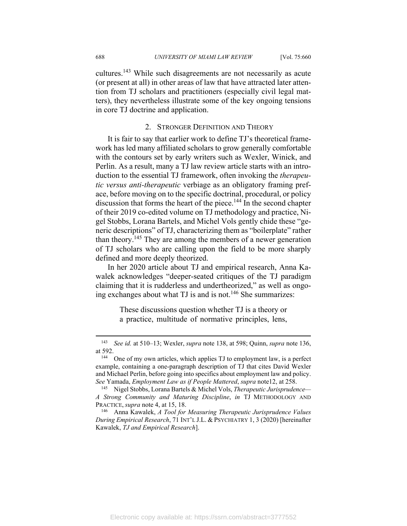cultures.143 While such disagreements are not necessarily as acute (or present at all) in other areas of law that have attracted later attention from TJ scholars and practitioners (especially civil legal matters), they nevertheless illustrate some of the key ongoing tensions in core TJ doctrine and application.

#### 2. STRONGER DEFINITION AND THEORY

It is fair to say that earlier work to define TJ's theoretical framework has led many affiliated scholars to grow generally comfortable with the contours set by early writers such as Wexler, Winick, and Perlin. As a result, many a TJ law review article starts with an introduction to the essential TJ framework, often invoking the *therapeutic versus anti-therapeutic* verbiage as an obligatory framing preface, before moving on to the specific doctrinal, procedural, or policy discussion that forms the heart of the piece.<sup>144</sup> In the second chapter of their 2019 co-edited volume on TJ methodology and practice, Nigel Stobbs, Lorana Bartels, and Michel Vols gently chide these "generic descriptions" of TJ, characterizing them as "boilerplate" rather than theory.145 They are among the members of a newer generation of TJ scholars who are calling upon the field to be more sharply defined and more deeply theorized.

In her 2020 article about TJ and empirical research, Anna Kawalek acknowledges "deeper-seated critiques of the TJ paradigm claiming that it is rudderless and undertheorized," as well as ongoing exchanges about what TJ is and is not.<sup>146</sup> She summarizes:

> These discussions question whether TJ is a theory or a practice, multitude of normative principles, lens,

<sup>143</sup> *See id.* at 510–13; Wexler, *supra* note 138, at 598; Quinn, *supra* note 136, at 592.<br><sup>144</sup> One of my own articles, which applies TJ to employment law, is a perfect

example, containing a one-paragraph description of TJ that cites David Wexler and Michael Perlin, before going into specifics about employment law and policy. *See* Yamada, *Employment Law as if People Mattered*, *supra* note12, at 258. 145 Nigel Stobbs, Lorana Bartels & Michel Vols, *Therapeutic Jurisprudence—*

*A Strong Community and Maturing Discipline*, *in* TJ METHODOLOGY AND

PRACTICE, *supra* note 4, at 15, 18.<br><sup>146</sup> Anna Kawalek, *A Tool for Measuring Therapeutic Jurisprudence Values During Empirical Research*, 71 INT'L J.L. & PSYCHIATRY 1, 3 (2020) [hereinafter Kawalek, *TJ and Empirical Research*].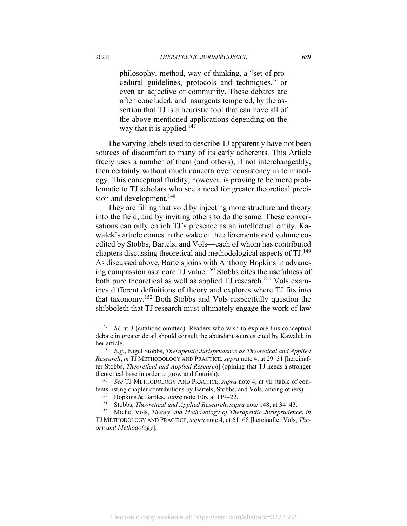philosophy, method, way of thinking, a "set of procedural guidelines, protocols and techniques," or even an adjective or community. These debates are often concluded, and insurgents tempered, by the assertion that TJ is a heuristic tool that can have all of the above-mentioned applications depending on the way that it is applied.<sup>147</sup>

The varying labels used to describe TJ apparently have not been sources of discomfort to many of its early adherents. This Article freely uses a number of them (and others), if not interchangeably, then certainly without much concern over consistency in terminology. This conceptual fluidity, however, is proving to be more problematic to TJ scholars who see a need for greater theoretical precision and development.<sup>148</sup>

They are filling that void by injecting more structure and theory into the field, and by inviting others to do the same. These conversations can only enrich TJ's presence as an intellectual entity. Kawalek's article comes in the wake of the aforementioned volume coedited by Stobbs, Bartels, and Vols—each of whom has contributed chapters discussing theoretical and methodological aspects of TJ.<sup>149</sup> As discussed above, Bartels joins with Anthony Hopkins in advancing compassion as a core TJ value.150 Stobbs cites the usefulness of both pure theoretical as well as applied TJ research.<sup>151</sup> Vols examines different definitions of theory and explores where TJ fits into that taxonomy.152 Both Stobbs and Vols respectfully question the shibboleth that TJ research must ultimately engage the work of law

<sup>&</sup>lt;sup>147</sup> *Id.* at 3 (citations omitted). Readers who wish to explore this conceptual debate in greater detail should consult the abundant sources cited by Kawalek in her article. 148 *E.g.*, Nigel Stobbs, *Therapeutic Jurisprudence as Theoretical and Applied* 

*Research*, *in* TJ METHODOLOGY AND PRACTICE, *supra* note 4, at 29–31 [hereinafter Stobbs, *Theoretical and Applied Research*] (opining that TJ needs a stronger theoretical base in order to grow and flourish). 149 *See* TJ METHODOLOGY AND PRACTICE, *supra* note 4, at vii (table of con-

tents listing chapter contributions by Bartels, Stobbs, and Vols, among others).<br><sup>150</sup> Hopkins & Bartles, *supra* note 106, at 119–22.<br><sup>151</sup> Stobbs, *Theoretical and Applied Research*, *supra* note 148, at 34–43.<br><sup>152</sup> Mic

TJ METHODOLOGY AND PRACTICE, *supra* note 4, at 61–68 [hereinafter Vols, *Theory and Methodology*].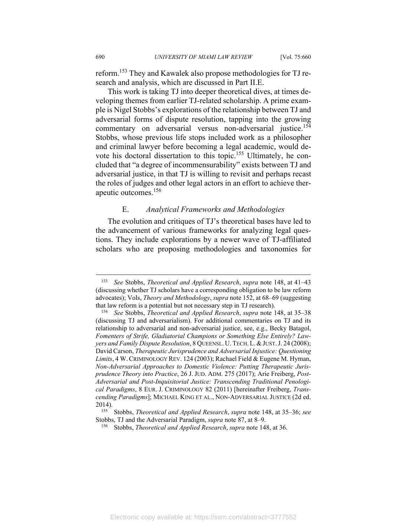reform.153 They and Kawalek also propose methodologies for TJ research and analysis, which are discussed in Part II.E.

This work is taking TJ into deeper theoretical dives, at times developing themes from earlier TJ-related scholarship. A prime example is Nigel Stobbs's explorations of the relationship between TJ and adversarial forms of dispute resolution, tapping into the growing commentary on adversarial versus non-adversarial justice.<sup>154</sup> Stobbs, whose previous life stops included work as a philosopher and criminal lawyer before becoming a legal academic, would devote his doctoral dissertation to this topic.155 Ultimately, he concluded that "a degree of incommensurability" exists between TJ and adversarial justice, in that TJ is willing to revisit and perhaps recast the roles of judges and other legal actors in an effort to achieve therapeutic outcomes.156

## E. *Analytical Frameworks and Methodologies*

The evolution and critiques of TJ's theoretical bases have led to the advancement of various frameworks for analyzing legal questions. They include explorations by a newer wave of TJ-affiliated scholars who are proposing methodologies and taxonomies for

<sup>153</sup> *See* Stobbs, *Theoretical and Applied Research*, *supra* note 148, at 41–43 (discussing whether TJ scholars have a corresponding obligation to be law reform advocates); Vols, *Theory and Methodology*, *supra* note 152, at 68–69 (suggesting that law reform is a potential but not necessary step in TJ research). 154 *See* Stobbs, *Theoretical and Applied Research*, *supra* note 148, at 35–38

<sup>(</sup>discussing TJ and adversarialism). For additional commentaries on TJ and its relationship to adversarial and non-adversarial justice, see, e.g., Becky Batagol, *Fomenters of Strife, Gladiatorial Champions or Something Else Entirely? Lawyers and Family Dispute Resolution*, 8 QUEENSL. U.TECH.L.&JUST.J. 24 (2008); David Carson, *Therapeutic Jurisprudence and Adversarial Injustice: Questioning Limits*, 4 W.CRIMINOLOGY REV. 124 (2003); Rachael Field & Eugene M. Hyman, *Non-Adversarial Approaches to Domestic Violence: Putting Therapeutic Jurisprudence Theory into Practice*, 26 J. JUD. ADM. 275 (2017); Arie Freiberg, *Post-Adversarial and Post-Inquisitorial Justice: Transcending Traditional Penological Paradigms*, 8 EUR. J. CRIMINOLOGY 82 (2011) [hereinafter Freiberg, *Transcending Paradigms*]; MICHAEL KING ET AL., NON-ADVERSARIAL JUSTICE (2d ed.

<sup>2014). 155</sup> Stobbs, *Theoretical and Applied Research*, *supra* note 148, at 35–36; *see*  Stobbs, TJ and the Adversarial Paradigm, *supra* note 87, at 8–9.<br><sup>156</sup> Stobbs, *Theoretical and Applied Research*, *supra* note 148, at 36.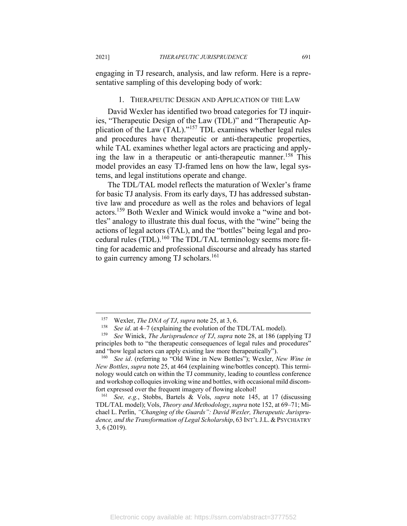engaging in TJ research, analysis, and law reform. Here is a representative sampling of this developing body of work:

#### 1. THERAPEUTIC DESIGN AND APPLICATION OF THE LAW

David Wexler has identified two broad categories for TJ inquiries, "Therapeutic Design of the Law (TDL)" and "Therapeutic Application of the Law (TAL)."157 TDL examines whether legal rules and procedures have therapeutic or anti-therapeutic properties, while TAL examines whether legal actors are practicing and applying the law in a therapeutic or anti-therapeutic manner.<sup>158</sup> This model provides an easy TJ-framed lens on how the law, legal systems, and legal institutions operate and change.

The TDL/TAL model reflects the maturation of Wexler's frame for basic TJ analysis. From its early days, TJ has addressed substantive law and procedure as well as the roles and behaviors of legal actors.159 Both Wexler and Winick would invoke a "wine and bottles" analogy to illustrate this dual focus, with the "wine" being the actions of legal actors (TAL), and the "bottles" being legal and procedural rules (TDL).<sup>160</sup> The TDL/TAL terminology seems more fitting for academic and professional discourse and already has started to gain currency among TJ scholars.<sup>161</sup>

<sup>&</sup>lt;sup>157</sup> Wexler, *The DNA of TJ*, *supra* note 25, at 3, 6.<br><sup>158</sup> *See id.* at 4–7 (explaining the evolution of the TDL/TAL model).<br><sup>159</sup> *See* Winick, *The Jurisprudence of TJ*, *supra* note 28, at 186 (applying TJ principles both to "the therapeutic consequences of legal rules and procedures" and "how legal actors can apply existing law more therapeutically"). 160 *See id*. (referring to "Old Wine in New Bottles"); Wexler, *New Wine in* 

*New Bottles*, *supra* note 25, at 464 (explaining wine/bottles concept). This terminology would catch on within the TJ community, leading to countless conference and workshop colloquies invoking wine and bottles, with occasional mild discomfort expressed over the frequent imagery of flowing alcohol! 161 *See, e.g.*, Stobbs, Bartels & Vols, *supra* note 145, at 17 (discussing

TDL/TAL model); Vols, *Theory and Methodology*,*supra* note 152, at 69–71; Michael L. Perlin, *"Changing of the Guards": David Wexler, Therapeutic Jurisprudence, and the Transformation of Legal Scholarship*, 63 INT'L J.L. & PSYCHIATRY 3, 6 (2019).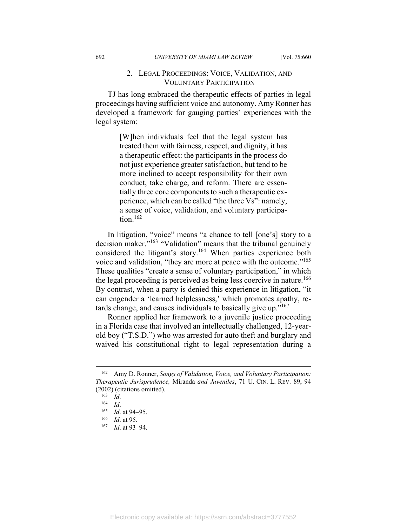## 2. LEGAL PROCEEDINGS: VOICE, VALIDATION, AND VOLUNTARY PARTICIPATION

TJ has long embraced the therapeutic effects of parties in legal proceedings having sufficient voice and autonomy. Amy Ronner has developed a framework for gauging parties' experiences with the legal system:

> [W]hen individuals feel that the legal system has treated them with fairness, respect, and dignity, it has a therapeutic effect: the participants in the process do not just experience greater satisfaction, but tend to be more inclined to accept responsibility for their own conduct, take charge, and reform. There are essentially three core components to such a therapeutic experience, which can be called "the three Vs": namely, a sense of voice, validation, and voluntary participation. $162$

In litigation, "voice" means "a chance to tell [one's] story to a decision maker."163 "Validation" means that the tribunal genuinely considered the litigant's story.<sup>164</sup> When parties experience both voice and validation, "they are more at peace with the outcome."<sup>165</sup> These qualities "create a sense of voluntary participation," in which the legal proceeding is perceived as being less coercive in nature.<sup>166</sup> By contrast, when a party is denied this experience in litigation, "it can engender a 'learned helplessness,' which promotes apathy, retards change, and causes individuals to basically give up." $167$ 

Ronner applied her framework to a juvenile justice proceeding in a Florida case that involved an intellectually challenged, 12-yearold boy ("T.S.D.") who was arrested for auto theft and burglary and waived his constitutional right to legal representation during a

<sup>162</sup> Amy D. Ronner, *Songs of Validation, Voice, and Voluntary Participation: Therapeutic Jurisprudence,* Miranda *and Juveniles*, 71 U. CIN. L. REV. 89, 94 (2002) (citations omitted).<br>
<sup>163</sup> *Id.*<br>
<sup>165</sup> *Id.* at 94–95.<br>
<sup>166</sup> *Id.* at 95.<br>
<sup>167</sup> *Id.* at 93–94.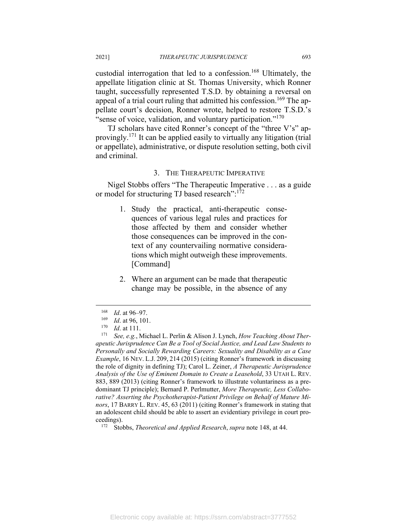custodial interrogation that led to a confession.<sup>168</sup> Ultimately, the appellate litigation clinic at St. Thomas University, which Ronner taught, successfully represented T.S.D. by obtaining a reversal on appeal of a trial court ruling that admitted his confession.<sup>169</sup> The appellate court's decision, Ronner wrote, helped to restore T.S.D.'s " sense of voice, validation, and voluntary participation."<sup>170</sup>

TJ scholars have cited Ronner's concept of the "three V's" approvingly.171 It can be applied easily to virtually any litigation (trial or appellate), administrative, or dispute resolution setting, both civil and criminal.

#### 3. THE THERAPEUTIC IMPERATIVE

Nigel Stobbs offers "The Therapeutic Imperative . . . as a guide or model for structuring TJ based research":<sup>172</sup>

- 1. Study the practical, anti-therapeutic consequences of various legal rules and practices for those affected by them and consider whether those consequences can be improved in the context of any countervailing normative considerations which might outweigh these improvements. [Command]
- 2. Where an argument can be made that therapeutic change may be possible, in the absence of any

<sup>168</sup> *Id.* at 96–97.<br>
169 *Id.* at 96, 101.<br>
170 *Id.* at 111.<br>
171 *See, e.g.*, Michael L. Perlin & Alison J. Lynch, *How Teaching About Therapeutic Jurisprudence Can Be a Tool of Social Justice, and Lead Law Students to Personally and Socially Rewarding Careers: Sexuality and Disability as a Case Example*, 16 NEV. L.J. 209, 214 (2015) (citing Ronner's framework in discussing the role of dignity in defining TJ); Carol L. Zeiner, *A Therapeutic Jurisprudence Analysis of the Use of Eminent Domain to Create a Leasehold*, 33 UTAH L. REV. 883, 889 (2013) (citing Ronner's framework to illustrate voluntariness as a predominant TJ principle); Bernard P. Perlmutter, *More Therapeutic, Less Collaborative? Asserting the Psychotherapist-Patient Privilege on Behalf of Mature Minors*, 17 BARRY L. REV. 45, 63 (2011) (citing Ronner's framework in stating that an adolescent child should be able to assert an evidentiary privilege in court proceedings). 172 Stobbs, *Theoretical and Applied Research*, *supra* note 148, at 44.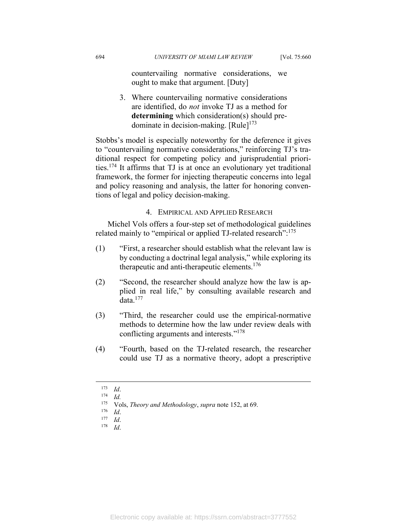countervailing normative considerations, we ought to make that argument. [Duty]

3. Where countervailing normative considerations are identified, do *not* invoke TJ as a method for **determining** which consideration(s) should predominate in decision-making.  $[Rule]^{173}$ 

Stobbs's model is especially noteworthy for the deference it gives to "countervailing normative considerations," reinforcing TJ's traditional respect for competing policy and jurisprudential priorities.174 It affirms that TJ is at once an evolutionary yet traditional framework, the former for injecting therapeutic concerns into legal and policy reasoning and analysis, the latter for honoring conventions of legal and policy decision-making.

## 4. EMPIRICAL AND APPLIED RESEARCH

Michel Vols offers a four-step set of methodological guidelines related mainly to "empirical or applied TJ-related research":<sup>175</sup>

- (1) "First, a researcher should establish what the relevant law is by conducting a doctrinal legal analysis," while exploring its therapeutic and anti-therapeutic elements.<sup>176</sup>
- (2) "Second, the researcher should analyze how the law is applied in real life," by consulting available research and data. $177$
- (3) "Third, the researcher could use the empirical-normative methods to determine how the law under review deals with conflicting arguments and interests."178
- (4) "Fourth, based on the TJ-related research, the researcher could use TJ as a normative theory, adopt a prescriptive

<sup>173</sup> *Id*. 174 *Id.*

<sup>175</sup> Vols, *Theory and Methodology*, *supra* note 152, at 69. 176 *Id*. 177 *Id*. 178 *Id*.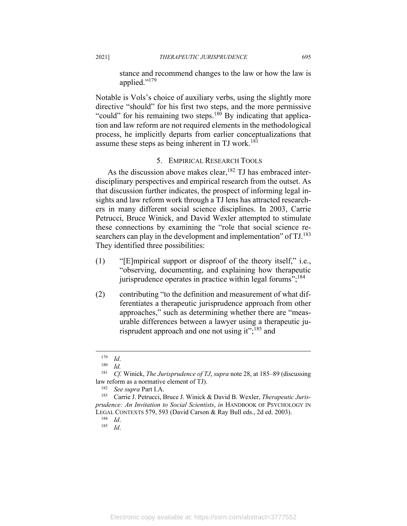stance and recommend changes to the law or how the law is applied."179

Notable is Vols's choice of auxiliary verbs, using the slightly more directive "should" for his first two steps, and the more permissive "could" for his remaining two steps. $180$  By indicating that application and law reform are not required elements in the methodological process, he implicitly departs from earlier conceptualizations that assume these steps as being inherent in TJ work.<sup>181</sup>

# 5. EMPIRICAL RESEARCH TOOLS

As the discussion above makes clear,  $182$  TJ has embraced interdisciplinary perspectives and empirical research from the outset. As that discussion further indicates, the prospect of informing legal insights and law reform work through a TJ lens has attracted researchers in many different social science disciplines. In 2003, Carrie Petrucci, Bruce Winick, and David Wexler attempted to stimulate these connections by examining the "role that social science researchers can play in the development and implementation" of  $TI$ .<sup>183</sup> They identified three possibilities:

- (1) "[E]mpirical support or disproof of the theory itself," i.e., "observing, documenting, and explaining how therapeutic jurisprudence operates in practice within legal forums";<sup>184</sup>
- (2) contributing "to the definition and measurement of what differentiates a therapeutic jurisprudence approach from other approaches," such as determining whether there are "measurable differences between a lawyer using a therapeutic jurisprudent approach and one not using it";<sup>185</sup> and

<sup>179</sup> *Id*. 180 *Id.*

<sup>181</sup> *Cf.* Winick, *The Jurisprudence of TJ*, *supra* note 28, at 185–89 (discussing law reform as a normative element of TJ). 182 *See supra* Part I.A. 183 Carrie J. Petrucci, Bruce J. Winick & David B. Wexler, *Therapeutic Juris-*

*prudence: An Invitation to Social Scientists*, *in* HANDBOOK OF PSYCHOLOGY IN LEGAL CONTEXTS 579, 593 (David Carson & Ray Bull eds., 2d ed. 2003). 184 *Id*. 185 *Id*.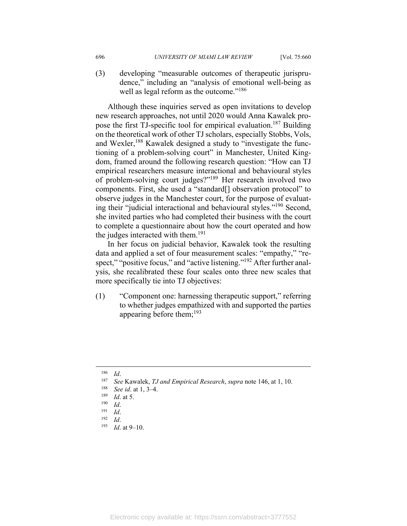(3) developing "measurable outcomes of therapeutic jurisprudence," including an "analysis of emotional well-being as well as legal reform as the outcome."<sup>186</sup>

Although these inquiries served as open invitations to develop new research approaches, not until 2020 would Anna Kawalek propose the first TJ-specific tool for empirical evaluation.<sup>187</sup> Building on the theoretical work of other TJ scholars, especially Stobbs, Vols, and Wexler,<sup>188</sup> Kawalek designed a study to "investigate the functioning of a problem-solving court" in Manchester, United Kingdom, framed around the following research question: "How can TJ empirical researchers measure interactional and behavioural styles of problem-solving court judges?"189 Her research involved two components. First, she used a "standard[] observation protocol" to observe judges in the Manchester court, for the purpose of evaluating their "judicial interactional and behavioural styles."190 Second, she invited parties who had completed their business with the court to complete a questionnaire about how the court operated and how the judges interacted with them.<sup>191</sup>

In her focus on judicial behavior, Kawalek took the resulting data and applied a set of four measurement scales: "empathy," "respect," "positive focus," and "active listening."<sup>192</sup> After further analysis, she recalibrated these four scales onto three new scales that more specifically tie into TJ objectives:

(1) "Component one: harnessing therapeutic support," referring to whether judges empathized with and supported the parties appearing before them;  $193$ 

<sup>&</sup>lt;sup>186</sup> *Id.*<br>
<sup>187</sup> *See* Kawalek, *TJ and Empirical Research*, *supra* note 146, at 1, 10.<br>
<sup>188</sup> *See id.* at 1, 3–4.<br>
<sup>189</sup> *Id.*<br>
<sup>190</sup> *Id.*<br>
<sup>191</sup> *Id.*<br>
<sup>191</sup> *Id.*<br>
<sup>192</sup> *Id.*<br>
<sup>192</sup> *Id.*<br>
<sup>192</sup> *Id.*<br>
<sup>192</sup> *Id.*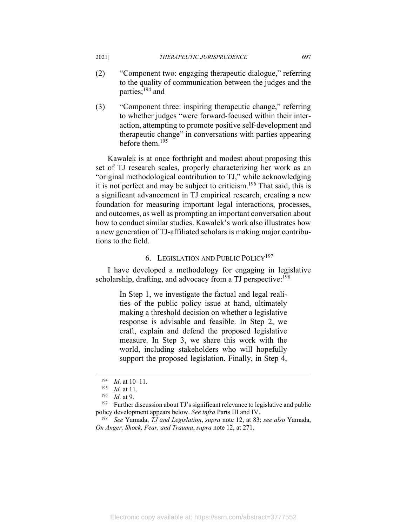- (2) "Component two: engaging therapeutic dialogue," referring to the quality of communication between the judges and the parties;<sup>194</sup> and
- (3) "Component three: inspiring therapeutic change," referring to whether judges "were forward-focused within their interaction, attempting to promote positive self-development and therapeutic change" in conversations with parties appearing before them.195

Kawalek is at once forthright and modest about proposing this set of TJ research scales, properly characterizing her work as an "original methodological contribution to TJ," while acknowledging it is not perfect and may be subject to criticism.196 That said, this is a significant advancement in TJ empirical research, creating a new foundation for measuring important legal interactions, processes, and outcomes, as well as prompting an important conversation about how to conduct similar studies. Kawalek's work also illustrates how a new generation of TJ-affiliated scholars is making major contributions to the field.

## 6. LEGISLATION AND PUBLIC POLICY<sup>197</sup>

I have developed a methodology for engaging in legislative scholarship, drafting, and advocacy from a TJ perspective:<sup>198</sup>

> In Step 1, we investigate the factual and legal realities of the public policy issue at hand, ultimately making a threshold decision on whether a legislative response is advisable and feasible. In Step 2, we craft, explain and defend the proposed legislative measure. In Step 3, we share this work with the world, including stakeholders who will hopefully support the proposed legislation. Finally, in Step 4,

<sup>194</sup>*Id.* at 10–11.<br>
<sup>195</sup> *Id.* at 11.<br>
<sup>196</sup> *Id.* at 9.<br>
<sup>197</sup> Further discussion about TJ's significant relevance to legislative and public policy development appears below. *See infra* Parts III and IV. 198 *See* Yamada, *TJ and Legislation*, *supra* note 12, at 83; *see also* Yamada,

*On Anger, Shock, Fear, and Trauma*, *supra* note 12, at 271.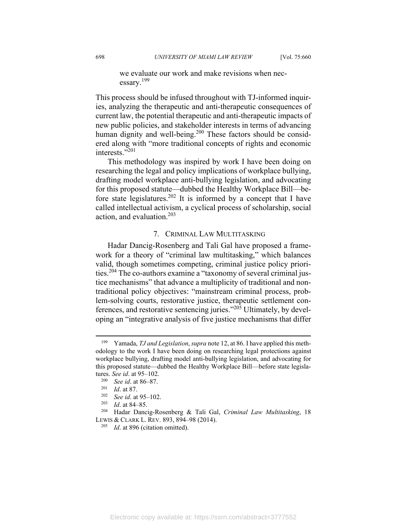we evaluate our work and make revisions when necessary.199

This process should be infused throughout with TJ-informed inquiries, analyzing the therapeutic and anti-therapeutic consequences of current law, the potential therapeutic and anti-therapeutic impacts of new public policies, and stakeholder interests in terms of advancing human dignity and well-being.<sup>200</sup> These factors should be considered along with "more traditional concepts of rights and economic interests."201

This methodology was inspired by work I have been doing on researching the legal and policy implications of workplace bullying, drafting model workplace anti-bullying legislation, and advocating for this proposed statute—dubbed the Healthy Workplace Bill—before state legislatures.202 It is informed by a concept that I have called intellectual activism, a cyclical process of scholarship, social action, and evaluation.203

## 7. CRIMINAL LAW MULTITASKING

Hadar Dancig-Rosenberg and Tali Gal have proposed a framework for a theory of "criminal law multitasking," which balances valid, though sometimes competing, criminal justice policy priorities.204 The co-authors examine a "taxonomy of several criminal justice mechanisms" that advance a multiplicity of traditional and nontraditional policy objectives: "mainstream criminal process, problem-solving courts, restorative justice, therapeutic settlement conferences, and restorative sentencing juries."205 Ultimately, by developing an "integrative analysis of five justice mechanisms that differ

<sup>199</sup> Yamada, *TJ and Legislation*, *supra* note 12, at 86. I have applied this methodology to the work I have been doing on researching legal protections against workplace bullying, drafting model anti-bullying legislation, and advocating for this proposed statute—dubbed the Healthy Workplace Bill—before state legisla-

tures. *See id.* at 95–102.<br>
<sup>200</sup> *See id.* at 86–87.<br>
<sup>202</sup> *See id.* at 95–102.<br>
<sup>203</sup> *Id.* at 84–85.<br>
<sup>204</sup> Hadar Dancig-Rosenberg & Tali Gal, *Criminal Law Multitasking*, 18 LEWIS & CLARK L. REV. 893, 894–98 (2014). 205 *Id*. at 896 (citation omitted).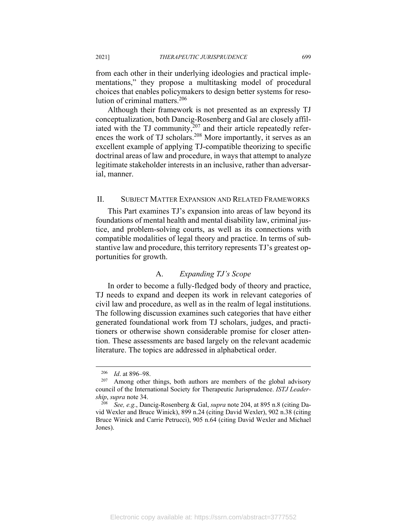from each other in their underlying ideologies and practical implementations," they propose a multitasking model of procedural choices that enables policymakers to design better systems for resolution of criminal matters.206

Although their framework is not presented as an expressly TJ conceptualization, both Dancig-Rosenberg and Gal are closely affiliated with the TJ community,  $207$  and their article repeatedly references the work of TJ scholars.<sup>208</sup> More importantly, it serves as an excellent example of applying TJ-compatible theorizing to specific doctrinal areas of law and procedure, in ways that attempt to analyze legitimate stakeholder interests in an inclusive, rather than adversarial, manner.

## II. SUBJECT MATTER EXPANSION AND RELATED FRAMEWORKS

This Part examines TJ's expansion into areas of law beyond its foundations of mental health and mental disability law, criminal justice, and problem-solving courts, as well as its connections with compatible modalities of legal theory and practice. In terms of substantive law and procedure, this territory represents TJ's greatest opportunities for growth.

# A. *Expanding TJ's Scope*

In order to become a fully-fledged body of theory and practice, TJ needs to expand and deepen its work in relevant categories of civil law and procedure, as well as in the realm of legal institutions. The following discussion examines such categories that have either generated foundational work from TJ scholars, judges, and practitioners or otherwise shown considerable promise for closer attention. These assessments are based largely on the relevant academic literature. The topics are addressed in alphabetical order.

<sup>206</sup> *Id*. at 896–98. 207 Among other things, both authors are members of the global advisory council of the International Society for Therapeutic Jurisprudence. *ISTJ Leadership*, *supra* note 34. 208 *See, e.g.*, Dancig-Rosenberg & Gal, *supra* note 204, at 895 n.8 (citing Da-

vid Wexler and Bruce Winick), 899 n.24 (citing David Wexler), 902 n.38 (citing Bruce Winick and Carrie Petrucci), 905 n.64 (citing David Wexler and Michael Jones).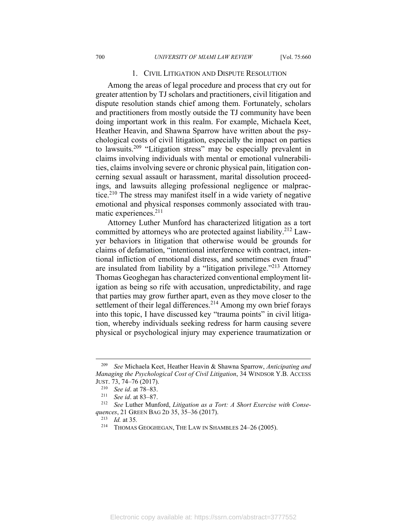#### 1. CIVIL LITIGATION AND DISPUTE RESOLUTION

Among the areas of legal procedure and process that cry out for greater attention by TJ scholars and practitioners, civil litigation and dispute resolution stands chief among them. Fortunately, scholars and practitioners from mostly outside the TJ community have been doing important work in this realm. For example, Michaela Keet, Heather Heavin, and Shawna Sparrow have written about the psychological costs of civil litigation, especially the impact on parties to lawsuits.209 "Litigation stress" may be especially prevalent in claims involving individuals with mental or emotional vulnerabilities, claims involving severe or chronic physical pain, litigation concerning sexual assault or harassment, marital dissolution proceedings, and lawsuits alleging professional negligence or malpractice.<sup>210</sup> The stress may manifest itself in a wide variety of negative emotional and physical responses commonly associated with traumatic experiences.211

Attorney Luther Munford has characterized litigation as a tort committed by attorneys who are protected against liability.212 Lawyer behaviors in litigation that otherwise would be grounds for claims of defamation, "intentional interference with contract, intentional infliction of emotional distress, and sometimes even fraud" are insulated from liability by a "litigation privilege."<sup> $213$ </sup> Attorney Thomas Geoghegan has characterized conventional employment litigation as being so rife with accusation, unpredictability, and rage that parties may grow further apart, even as they move closer to the settlement of their legal differences.<sup>214</sup> Among my own brief forays into this topic, I have discussed key "trauma points" in civil litigation, whereby individuals seeking redress for harm causing severe physical or psychological injury may experience traumatization or

<sup>209</sup> *See* Michaela Keet, Heather Heavin & Shawna Sparrow, *Anticipating and Managing the Psychological Cost of Civil Litigation*, 34 WINDSOR Y.B. ACCESS

JUST. 73, 74–76 (2017). 210 *See id*. at 78–83. 211 *See id*. at 83–87. 212 *See* Luther Munford, *Litigation as a Tort: A Short Exercise with Consequences*, 21 GREEN BAG 2D 35, 35–36 (2017). 213 *Id.* at 35*.*

<sup>214</sup> THOMAS GEOGHEGAN, THE LAW IN SHAMBLES 24–26 (2005).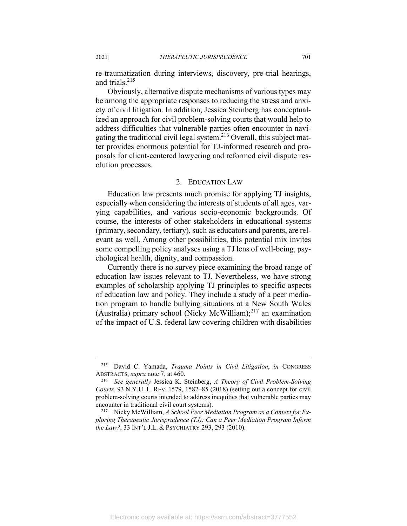re-traumatization during interviews, discovery, pre-trial hearings, and trials.215

Obviously, alternative dispute mechanisms of various types may be among the appropriate responses to reducing the stress and anxiety of civil litigation. In addition, Jessica Steinberg has conceptualized an approach for civil problem-solving courts that would help to address difficulties that vulnerable parties often encounter in navigating the traditional civil legal system.<sup>216</sup> Overall, this subject matter provides enormous potential for TJ-informed research and proposals for client-centered lawyering and reformed civil dispute resolution processes.

#### 2. EDUCATION LAW

Education law presents much promise for applying TJ insights, especially when considering the interests of students of all ages, varying capabilities, and various socio-economic backgrounds. Of course, the interests of other stakeholders in educational systems (primary, secondary, tertiary), such as educators and parents, are relevant as well. Among other possibilities, this potential mix invites some compelling policy analyses using a TJ lens of well-being, psychological health, dignity, and compassion.

Currently there is no survey piece examining the broad range of education law issues relevant to TJ. Nevertheless, we have strong examples of scholarship applying TJ principles to specific aspects of education law and policy. They include a study of a peer mediation program to handle bullying situations at a New South Wales (Australia) primary school (Nicky McWilliam); $^{217}$  an examination of the impact of U.S. federal law covering children with disabilities

<sup>215</sup> David C. Yamada, *Trauma Points in Civil Litigation*, *in* CONGRESS ABSTRACTS, *supra* note 7, at 460. 216 *See generally* Jessica K. Steinberg, *A Theory of Civil Problem-Solving* 

*Courts*, 93 N.Y.U. L. REV. 1579, 1582–85 (2018) (setting out a concept for civil problem-solving courts intended to address inequities that vulnerable parties may encounter in traditional civil court systems). 217 Nicky McWilliam, *A School Peer Mediation Program as a Context for Ex-*

*ploring Therapeutic Jurisprudence (TJ): Can a Peer Mediation Program Inform the Law?*, 33 INT'L J.L. & PSYCHIATRY 293, 293 (2010).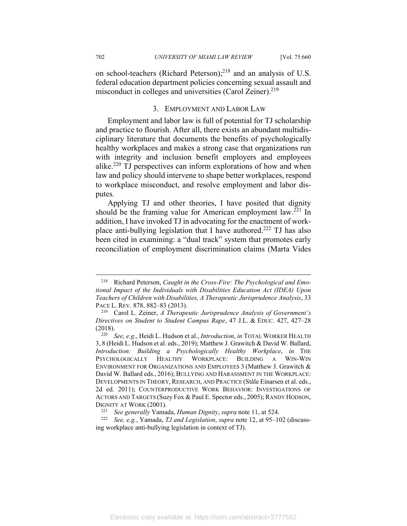on school-teachers (Richard Peterson);<sup>218</sup> and an analysis of U.S. federal education department policies concerning sexual assault and misconduct in colleges and universities (Carol Zeiner).<sup>219</sup>

# 3. EMPLOYMENT AND LABOR LAW

Employment and labor law is full of potential for TJ scholarship and practice to flourish. After all, there exists an abundant multidisciplinary literature that documents the benefits of psychologically healthy workplaces and makes a strong case that organizations run with integrity and inclusion benefit employers and employees alike.<sup>220</sup> TJ perspectives can inform explorations of how and when law and policy should intervene to shape better workplaces, respond to workplace misconduct, and resolve employment and labor disputes.

Applying TJ and other theories, I have posited that dignity should be the framing value for American employment law.<sup>221</sup> In addition, I have invoked TJ in advocating for the enactment of workplace anti-bullying legislation that I have authored.222 TJ has also been cited in examining: a "dual track" system that promotes early reconciliation of employment discrimination claims (Marta Vides

<sup>218</sup> Richard Peterson, *Caught in the Cross-Fire: The Psychological and Emotional Impact of the Individuals with Disabilities Education Act (IDEA) Upon Teachers of Children with Disabilities, A Therapeutic Jurisprudence Analysis*, 33 PACE L. REV. 878, 882–83 (2013). 219 Carol L. Zeiner, *A Therapeutic Jurisprudence Analysis of Government's* 

*Directives on Student to Student Campus Rape*, 47 J.L. & EDUC. 427, 427–28 (2018). 220 *See, e.g*., Heidi L. Hudson et al., *Introduction*, *in* TOTAL WORKER HEALTH

<sup>3, 8 (</sup>Heidi L. Hudson et al. eds., 2019); Matthew J. Grawitch & David W. Ballard, *Introduction: Building a Psychologically Healthy Workplace*, *in* THE PSYCHOLOGICALLY HEALTHY WORKPLACE: BUILDING A WIN-WIN ENVIRONMENT FOR ORGANIZATIONS AND EMPLOYEES 3 (Matthew J. Grawitch & David W. Ballard eds., 2016); BULLYING AND HARASSMENT IN THE WORKPLACE: DEVELOPMENTS IN THEORY, RESEARCH, AND PRACTICE (Ståle Einarsen et al. eds., 2d ed. 2011); COUNTERPRODUCTIVE WORK BEHAVIOR: INVESTIGATIONS OF ACTORS AND TARGETS (Suzy Fox & Paul E. Spector eds., 2005);RANDY HODSON,

DIGNITY AT WORK (2001). 221 *See generally* Yamada, *Human Dignity*, *supra* note 11, at 524. 222 *See, e.g.*, Yamada, *TJ and Legislation*, *supra* note 12, at 95–102 (discussing workplace anti-bullying legislation in context of TJ).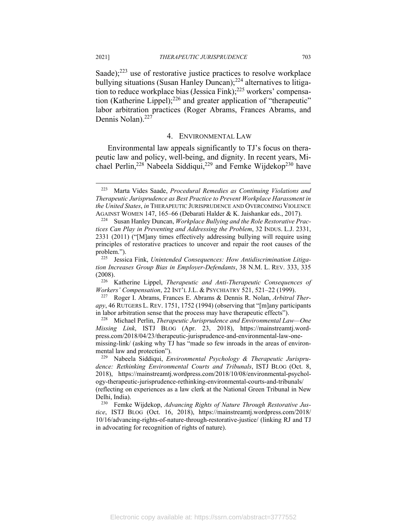Saade): $223$  use of restorative justice practices to resolve workplace bullying situations (Susan Hanley Duncan);<sup>224</sup> alternatives to litigation to reduce workplace bias (Jessica Fink);<sup>225</sup> workers' compensation (Katherine Lippel); $226$  and greater application of "therapeutic" labor arbitration practices (Roger Abrams, Frances Abrams, and Dennis Nolan).<sup>227</sup>

#### 4. ENVIRONMENTAL LAW

Environmental law appeals significantly to TJ's focus on therapeutic law and policy, well-being, and dignity. In recent years, Michael Perlin,<sup>228</sup> Nabeela Siddiqui,<sup>229</sup> and Femke Wijdekop<sup>230</sup> have

<sup>223</sup> Marta Vides Saade, *Procedural Remedies as Continuing Violations and Therapeutic Jurisprudence as Best Practice to Prevent Workplace Harassment in the United States*, *in* THERAPEUTIC JURISPRUDENCE AND OVERCOMING VIOLENCE

AGAINST WOMEN 147, 165–66 (Debarati Halder & K. Jaishankar eds., 2017). 224 Susan Hanley Duncan, *Workplace Bullying and the Role Restorative Practices Can Play in Preventing and Addressing the Problem*, 32 INDUS. L.J. 2331, 2331 (2011) ("[M]any times effectively addressing bullying will require using principles of restorative practices to uncover and repair the root causes of the problem.").

<sup>225</sup> Jessica Fink, *Unintended Consequences: How Antidiscrimination Litigation Increases Group Bias in Employer-Defendants*, 38 N.M. L. REV. 333, 335

<sup>(2008). 226</sup> Katherine Lippel, *Therapeutic and Anti-Therapeutic Consequences of* 

*Workers' Compensation*, 22 INT'L J.L. & PSYCHIATRY 521, 521–22 (1999).<br><sup>227</sup> Roger I. Abrams, Frances E. Abrams & Dennis R. Nolan, *Arbitral Therapy*, 46 RUTGERS L. REV. 1751, 1752 (1994) (observing that "[m]any participants in labor arbitration sense that the process may have therapeutic effects"). 228 Michael Perlin, *Therapeutic Jurisprudence and Environmental Law—One* 

*Missing Link*, ISTJ BLOG (Apr. 23, 2018), https://mainstreamtj.wordpress.com/2018/04/23/therapeutic-jurisprudence-and-environmental-law-onemissing-link/ (asking why TJ has "made so few inroads in the areas of environmental law and protection").<br><sup>229</sup> Nabeela Siddiqui, *Environmental Psychology & Therapeutic Jurispru-*

*dence: Rethinking Environmental Courts and Tribunals*, ISTJ BLOG (Oct. 8, 2018), https://mainstreamtj.wordpress.com/2018/10/08/environmental-psychology-therapeutic-jurisprudence-rethinking-environmental-courts-and-tribunals/ (reflecting on experiences as a law clerk at the National Green Tribunal in New

Delhi, India). 230 Femke Wijdekop, *Advancing Rights of Nature Through Restorative Justice*, ISTJ BLOG (Oct. 16, 2018), https://mainstreamtj.wordpress.com/2018/ 10/16/advancing-rights-of-nature-through-restorative-justice/ (linking RJ and TJ in advocating for recognition of rights of nature).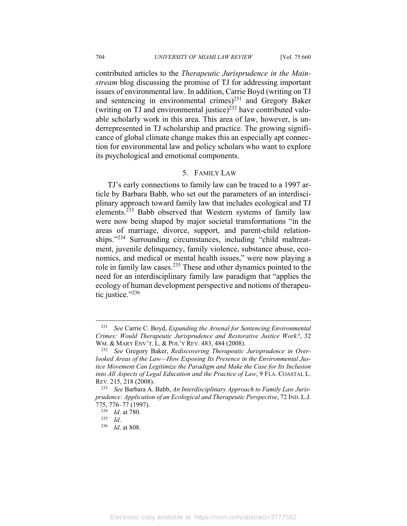contributed articles to the *Therapeutic Jurisprudence in the Mainstream* blog discussing the promise of TJ for addressing important issues of environmental law. In addition, Carrie Boyd (writing on TJ and sentencing in environmental crimes) $^{231}$  and Gregory Baker (writing on TJ and environmental justice)<sup>232</sup> have contributed valuable scholarly work in this area. This area of law, however, is underrepresented in TJ scholarship and practice. The growing significance of global climate change makes this an especially apt connection for environmental law and policy scholars who want to explore its psychological and emotional components.

### 5. FAMILY LAW

TJ's early connections to family law can be traced to a 1997 article by Barbara Babb, who set out the parameters of an interdisciplinary approach toward family law that includes ecological and TJ elements.233 Babb observed that Western systems of family law were now being shaped by major societal transformations "in the areas of marriage, divorce, support, and parent-child relationships."<sup>234</sup> Surrounding circumstances, including "child maltreatment, juvenile delinquency, family violence, substance abuse, economics, and medical or mental health issues," were now playing a role in family law cases.<sup>235</sup> These and other dynamics pointed to the need for an interdisciplinary family law paradigm that "applies the ecology of human development perspective and notions of therapeutic justice."<sup>236</sup>

<sup>231</sup> *See* Carrie C. Boyd, *Expanding the Arsenal for Sentencing Environmental Crimes: Would Therapeutic Jurisprudence and Restorative Justice Work?*, 32 WM. & MARY ENV'T. L. & POL'Y REV. 483, 484 (2008).<br><sup>232</sup> See Gregory Baker, *Rediscovering Therapeutic Jurisprudence in Over-*

*looked Areas of the Law—How Exposing Its Presence in the Environmental Justice Movement Can Legitimize the Paradigm and Make the Case for Its Inclusion into All Aspects of Legal Education and the Practice of Law*, 9 FLA. COASTAL L. REV. 215, 218 (2008). 233 *See* Barbara A. Babb, *An Interdisciplinary Approach to Family Law Juris-*

*prudence: Application of an Ecological and Therapeutic Perspective*, 72 IND. L.J. 775, 776–77 (1997). 234 *Id*. at 780. 235 *Id*. 236 *Id*. at 808.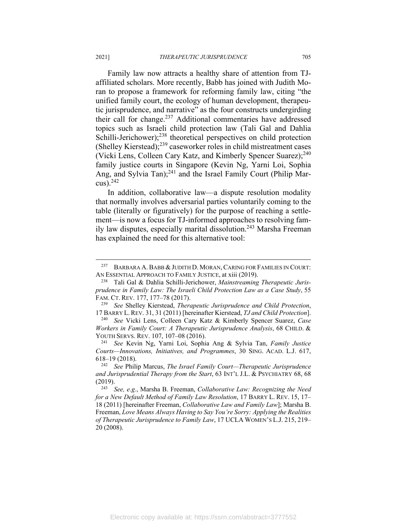Family law now attracts a healthy share of attention from TJaffiliated scholars. More recently, Babb has joined with Judith Moran to propose a framework for reforming family law, citing "the unified family court, the ecology of human development, therapeutic jurisprudence, and narrative" as the four constructs undergirding their call for change.<sup>237</sup> Additional commentaries have addressed topics such as Israeli child protection law (Tali Gal and Dahlia Schilli-Jerichower);<sup>238</sup> theoretical perspectives on child protection (Shelley Kierstead); $239$  caseworker roles in child mistreatment cases (Vicki Lens, Colleen Cary Katz, and Kimberly Spencer Suarez):<sup>240</sup> family justice courts in Singapore (Kevin Ng, Yarni Loi, Sophia Ang, and Sylvia Tan);<sup>241</sup> and the Israel Family Court (Philip Marcus). $242$ 

In addition, collaborative law—a dispute resolution modality that normally involves adversarial parties voluntarily coming to the table (literally or figuratively) for the purpose of reaching a settlement—is now a focus for TJ-informed approaches to resolving family law disputes, especially marital dissolution.<sup>243</sup> Marsha Freeman has explained the need for this alternative tool:

17 BARRY L. REV. 31, 31 (2011) [hereinafter Kierstead, *TJ and Child Protection*]. 240 *See* Vicki Lens, Colleen Cary Katz & Kimberly Spencer Suarez, *Case* 

<sup>&</sup>lt;sup>237</sup> BARBARA A. BABB & JUDITH D. MORAN, CARING FOR FAMILIES IN COURT: AN ESSENTIAL APPROACH TO FAMILY JUSTICE, at xiii (2019). 238 Tali Gal & Dahlia Schilli-Jerichower, *Mainstreaming Therapeutic Juris-*

*prudence in Family Law: The Israeli Child Protection Law as a Case Study*, 55 FAM. CT. REV. 177, 177–78 (2017). 239 *See* Shelley Kierstead, *Therapeutic Jurisprudence and Child Protection*,

*Workers in Family Court: A Therapeutic Jurisprudence Analysis*, 68 CHILD. & YOUTH SERVS. REV. 107, 107–08 (2016). 241 *See* Kevin Ng, Yarni Loi, Sophia Ang & Sylvia Tan, *Family Justice* 

*Courts—Innovations, Initiatives, and Programmes*, 30 SING. ACAD. L.J. 617, 618–19 (2018). 242 *See* Philip Marcus, *The Israel Family Court—Therapeutic Jurisprudence* 

*and Jurisprudential Therapy from the Start*, 63 INT'L J.L. & PSYCHIATRY 68, 68 (2019). 243 *See, e.g.*, Marsha B. Freeman, *Collaborative Law: Recognizing the Need* 

*for a New Default Method of Family Law Resolution*, 17 BARRY L. REV. 15, 17– 18 (2011) [hereinafter Freeman, *Collaborative Law and Family Law*]; Marsha B. Freeman, *Love Means Always Having to Say You're Sorry: Applying the Realities of Therapeutic Jurisprudence to Family Law*, 17 UCLA WOMEN'S L.J. 215, 219– 20 (2008).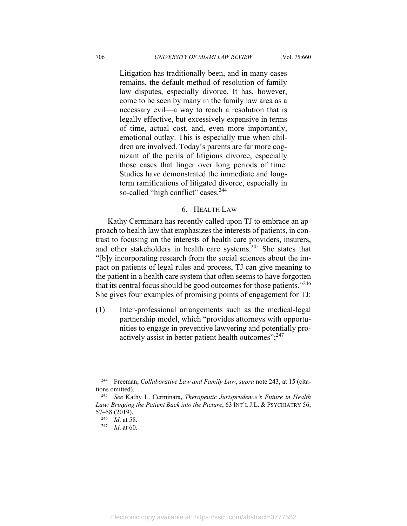Litigation has traditionally been, and in many cases remains, the default method of resolution of family law disputes, especially divorce. It has, however, come to be seen by many in the family law area as a necessary evil—a way to reach a resolution that is legally effective, but excessively expensive in terms of time, actual cost, and, even more importantly, emotional outlay. This is especially true when children are involved. Today's parents are far more cognizant of the perils of litigious divorce, especially those cases that linger over long periods of time. Studies have demonstrated the immediate and longterm ramifications of litigated divorce, especially in so-called "high conflict" cases.<sup>244</sup>

#### 6. HEALTH LAW

Kathy Cerminara has recently called upon TJ to embrace an approach to health law that emphasizes the interests of patients, in contrast to focusing on the interests of health care providers, insurers, and other stakeholders in health care systems.<sup>245</sup> She states that "[b]y incorporating research from the social sciences about the impact on patients of legal rules and process, TJ can give meaning to the patient in a health care system that often seems to have forgotten that its central focus should be good outcomes for those patients."<sup>246</sup> She gives four examples of promising points of engagement for TJ:

(1) Inter-professional arrangements such as the medical-legal partnership model, which "provides attorneys with opportunities to engage in preventive lawyering and potentially proactively assist in better patient health outcomes"; $^{247}$ 

<sup>244</sup> Freeman, *Collaborative Law and Family Law*, *supra* note 243, at 15 (citations omitted). 245 *See* Kathy L. Cerminara, *Therapeutic Jurisprudence's Future in Health* 

*Law: Bringing the Patient Back into the Picture*, 63 INT'L J.L. & PSYCHIATRY 56, 57–58 (2019). 246 *Id*. at 58. 247 *Id*. at 60.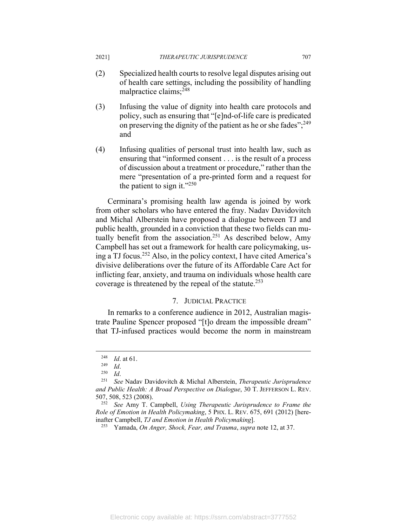- (2) Specialized health courts to resolve legal disputes arising out of health care settings, including the possibility of handling malpractice claims;248
- (3) Infusing the value of dignity into health care protocols and policy, such as ensuring that "[e]nd-of-life care is predicated on preserving the dignity of the patient as he or she fades"; $^{249}$ and
- (4) Infusing qualities of personal trust into health law, such as ensuring that "informed consent . . . is the result of a process of discussion about a treatment or procedure," rather than the mere "presentation of a pre-printed form and a request for the patient to sign it." $^{250}$

Cerminara's promising health law agenda is joined by work from other scholars who have entered the fray. Nadav Davidovitch and Michal Alberstein have proposed a dialogue between TJ and public health, grounded in a conviction that these two fields can mutually benefit from the association.<sup>251</sup> As described below, Amy Campbell has set out a framework for health care policymaking, using a TJ focus.252 Also, in the policy context, I have cited America's divisive deliberations over the future of its Affordable Care Act for inflicting fear, anxiety, and trauma on individuals whose health care coverage is threatened by the repeal of the statute.<sup>253</sup>

## 7. JUDICIAL PRACTICE

In remarks to a conference audience in 2012, Australian magistrate Pauline Spencer proposed "[t]o dream the impossible dream" that TJ-infused practices would become the norm in mainstream

<sup>248</sup> *Id*. at 61. 249 *Id*. 250 *Id*. 251 *See* Nadav Davidovitch & Michal Alberstein, *Therapeutic Jurisprudence and Public Health: A Broad Perspective on Dialogue*, 30 T. JEFFERSON L. REV. 507, 508, 523 (2008). 252 *See* Amy T. Campbell, *Using Therapeutic Jurisprudence to Frame the* 

*Role of Emotion in Health Policymaking*, 5 PHX. L. REV. 675, 691 (2012) [hereinafter Campbell, *TJ and Emotion in Health Policymaking*]. 253 Yamada, *On Anger, Shock, Fear, and Trauma*, *supra* note 12, at 37.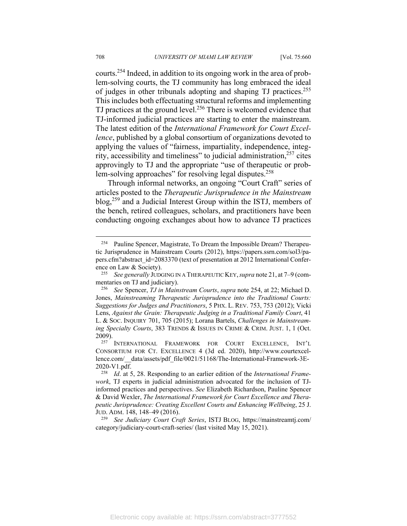courts.254 Indeed, in addition to its ongoing work in the area of problem-solving courts, the TJ community has long embraced the ideal of judges in other tribunals adopting and shaping TJ practices.255 This includes both effectuating structural reforms and implementing TJ practices at the ground level.<sup>256</sup> There is welcomed evidence that TJ-informed judicial practices are starting to enter the mainstream. The latest edition of the *International Framework for Court Excellence*, published by a global consortium of organizations devoted to applying the values of "fairness, impartiality, independence, integrity, accessibility and timeliness" to judicial administration, $257$  cites approvingly to TJ and the appropriate "use of therapeutic or problem-solving approaches" for resolving legal disputes.<sup>258</sup>

Through informal networks, an ongoing "Court Craft" series of articles posted to the *Therapeutic Jurisprudence in the Mainstream* blog,259 and a Judicial Interest Group within the ISTJ, members of the bench, retired colleagues, scholars, and practitioners have been conducting ongoing exchanges about how to advance TJ practices

<sup>&</sup>lt;sup>254</sup> Pauline Spencer, Magistrate, To Dream the Impossible Dream? Therapeutic Jurisprudence in Mainstream Courts (2012), https://papers.ssrn.com/sol3/papers.cfm?abstract\_id=2083370 (text of presentation at 2012 International Conference on Law & Society). 255 *See generally* JUDGING IN A THERAPEUTIC KEY,*supra* note 21, at 7–9 (com-

mentaries on TJ and judiciary).<br><sup>256</sup> See Spencer, *TJ in Mainstream Courts*, *supra* note 254, at 22; Michael D.

Jones, *Mainstreaming Therapeutic Jurisprudence into the Traditional Courts: Suggestions for Judges and Practitioners*, 5 PHX. L. REV. 753, 753 (2012); Vicki Lens, *Against the Grain: Therapeutic Judging in a Traditional Family Court*, 41 L. & SOC. INQUIRY 701, 705 (2015); Lorana Bartels, *Challenges in Mainstreaming Specialty Courts*, 383 TRENDS & ISSUES IN CRIME & CRIM. JUST. 1, 1 (Oct.

<sup>2009). 257</sup> INTERNATIONAL FRAMEWORK FOR COURT EXCELLENCE, INT'L CONSORTIUM FOR CT. EXCELLENCE 4 (3d ed. 2020), http://www.courtexcellence.com/\_\_data/assets/pdf\_file/0021/51168/The-International-Framework-3E-2020-V1.pdf. 258 *Id*. at 5, 28. Responding to an earlier edition of the *International Frame-*

*work*, TJ experts in judicial administration advocated for the inclusion of TJinformed practices and perspectives. *See* Elizabeth Richardson, Pauline Spencer & David Wexler, *The International Framework for Court Excellence and Therapeutic Jurisprudence: Creating Excellent Courts and Enhancing Wellbeing*, 25 J. JUD. ADM. 148, 148–49 (2016). 259 *See Judiciary Court Craft Series*, ISTJ BLOG, https://mainstreamtj.com/

category/judiciary-court-craft-series/ (last visited May 15, 2021).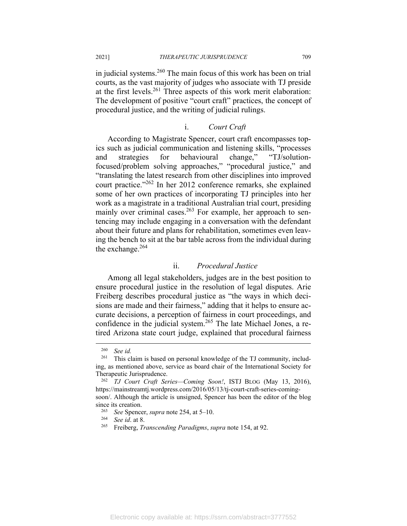in judicial systems.<sup>260</sup> The main focus of this work has been on trial courts, as the vast majority of judges who associate with TJ preside at the first levels.261 Three aspects of this work merit elaboration: The development of positive "court craft" practices, the concept of procedural justice, and the writing of judicial rulings.

# i. *Court Craft*

According to Magistrate Spencer, court craft encompasses topics such as judicial communication and listening skills, "processes and strategies for behavioural change," "TJ/solutionfocused/problem solving approaches," "procedural justice," and "translating the latest research from other disciplines into improved court practice."262 In her 2012 conference remarks, she explained some of her own practices of incorporating TJ principles into her work as a magistrate in a traditional Australian trial court, presiding mainly over criminal cases.<sup>263</sup> For example, her approach to sentencing may include engaging in a conversation with the defendant about their future and plans for rehabilitation, sometimes even leaving the bench to sit at the bar table across from the individual during the exchange. $264$ 

# ii. *Procedural Justice*

Among all legal stakeholders, judges are in the best position to ensure procedural justice in the resolution of legal disputes. Arie Freiberg describes procedural justice as "the ways in which decisions are made and their fairness," adding that it helps to ensure accurate decisions, a perception of fairness in court proceedings, and confidence in the judicial system.<sup>265</sup> The late Michael Jones, a retired Arizona state court judge, explained that procedural fairness

 $\frac{260}{261}$  *See id.* 

This claim is based on personal knowledge of the TJ community, including, as mentioned above, service as board chair of the International Society for Therapeutic Jurisprudence. 262 *TJ Court Craft Series—Coming Soon!*, ISTJ BLOG (May 13, 2016),

https://mainstreamtj.wordpress.com/2016/05/13/tj-court-craft-series-comingsoon/. Although the article is unsigned, Spencer has been the editor of the blog

since its creation.<br><sup>263</sup> See Spencer, *supra* note 254, at 5–10.<br><sup>264</sup> See id. at 8.<br><sup>265</sup> Freiberg, *Transcending Paradigms*, *supra* note 154, at 92.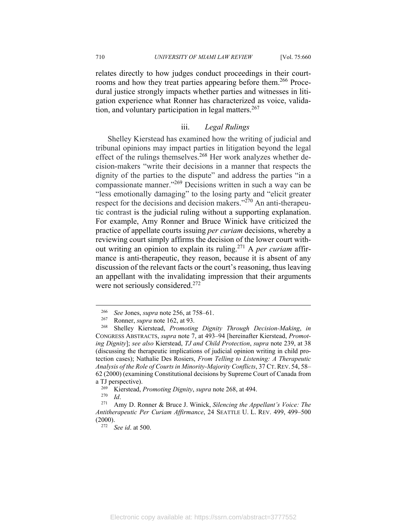relates directly to how judges conduct proceedings in their courtrooms and how they treat parties appearing before them.<sup>266</sup> Procedural justice strongly impacts whether parties and witnesses in litigation experience what Ronner has characterized as voice, validation, and voluntary participation in legal matters.<sup>267</sup>

# iii. *Legal Rulings*

Shelley Kierstead has examined how the writing of judicial and tribunal opinions may impact parties in litigation beyond the legal effect of the rulings themselves.<sup>268</sup> Her work analyzes whether decision-makers "write their decisions in a manner that respects the dignity of the parties to the dispute" and address the parties "in a compassionate manner."269 Decisions written in such a way can be "less emotionally damaging" to the losing party and "elicit greater respect for the decisions and decision makers."<sup>270</sup> An anti-therapeutic contrast is the judicial ruling without a supporting explanation. For example, Amy Ronner and Bruce Winick have criticized the practice of appellate courts issuing *per curiam* decisions, whereby a reviewing court simply affirms the decision of the lower court without writing an opinion to explain its ruling.271 A *per curiam* affirmance is anti-therapeutic, they reason, because it is absent of any discussion of the relevant facts or the court's reasoning, thus leaving an appellant with the invalidating impression that their arguments were not seriously considered.<sup>272</sup>

<sup>266</sup> *See* Jones, *supra* note 256, at 758–61. 267 Ronner, *supra* note 162, at 93. 268 Shelley Kierstead, *Promoting Dignity Through Decision-Making*, *in* CONGRESS ABSTRACTS, *supra* note 7, at 493–94 [hereinafter Kierstead, *Promoting Dignity*]; *see also* Kierstead, *TJ and Child Protection*, *supra* note 239, at 38 (discussing the therapeutic implications of judicial opinion writing in child protection cases); Nathalie Des Rosiers, *From Telling to Listening: A Therapeutic Analysis of the Role of Courts in Minority-Majority Conflicts*, 37 CT.REV. 54, 58– 62 (2000) (examining Constitutional decisions by Supreme Court of Canada from

a TJ perspective).<br><sup>269</sup> Kierstead, *Promoting Dignity*, *supra* note 268, at 494.<br><sup>270</sup> *Id*. 271 Amy D. Ronner & Bruce J. Winick, *Silencing the Appellant's Voice: The Antitherapeutic Per Curiam Affirmance*, 24 SEATTLE U. L. REV. 499, 499–500 (2000). 272 *See id*. at 500.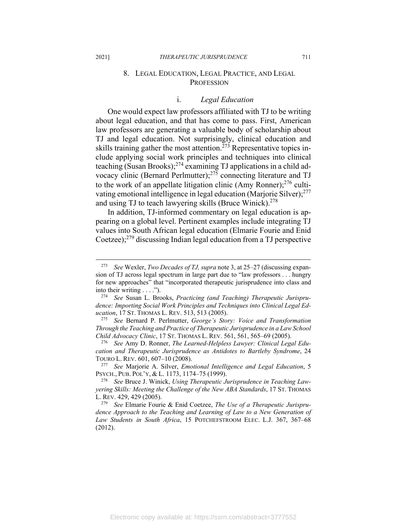# 8. LEGAL EDUCATION, LEGAL PRACTICE, AND LEGAL **PROFESSION**

### i. *Legal Education*

One would expect law professors affiliated with TJ to be writing about legal education, and that has come to pass. First, American law professors are generating a valuable body of scholarship about TJ and legal education. Not surprisingly, clinical education and skills training gather the most attention.<sup> $273$ </sup> Representative topics include applying social work principles and techniques into clinical teaching (Susan Brooks); $^{274}$  examining TJ applications in a child advocacy clinic (Bernard Perlmutter); $2^{75}$  connecting literature and TJ to the work of an appellate litigation clinic (Amy Ronner); $^{276}$  cultivating emotional intelligence in legal education (Marjorie Silver); $277$ and using TJ to teach lawyering skills (Bruce Winick).<sup>278</sup>

In addition, TJ-informed commentary on legal education is appearing on a global level. Pertinent examples include integrating TJ values into South African legal education (Elmarie Fourie and Enid Coetzee); $279$  discussing Indian legal education from a TJ perspective

<sup>273</sup> *See* Wexler, *Two Decades of TJ, supra* note 3, at 25–27 (discussing expansion of TJ across legal spectrum in large part due to "law professors . . . hungry for new approaches" that "incorporated therapeutic jurisprudence into class and into their writing . . . ."). 274 *See* Susan L. Brooks, *Practicing (and Teaching) Therapeutic Jurispru-*

*dence: Importing Social Work Principles and Techniques into Clinical Legal Education*, 17 ST. THOMAS L. REV. 513, 513 (2005). 275 *See* Bernard P. Perlmutter, *George's Story: Voice and Transformation* 

*Through the Teaching and Practice of Therapeutic Jurisprudence in a Law School Child Advocacy Clinic*, 17 ST. THOMAS L. REV. 561, 561, 565–69 (2005). 276 *See* Amy D. Ronner, *The Learned-Helpless Lawyer: Clinical Legal Edu-*

*cation and Therapeutic Jurisprudence as Antidotes to Bartleby Syndrome*, 24

TOURO L. REV. 601, 607–10 (2008).<br><sup>277</sup> See Marjorie A. Silver, *Emotional Intelligence and Legal Education*, 5<br>PSYCH., PUB. POL'Y, & L. 1173, 1174–75 (1999).

<sup>&</sup>lt;sup>278</sup> See Bruce J. Winick, *Using Therapeutic Jurisprudence in Teaching Lawyering Skills: Meeting the Challenge of the New ABA Standards*, 17 ST. THOMAS L. REV. 429, 429 (2005). 279 *See* Elmarie Fourie & Enid Coetzee, *The Use of a Therapeutic Jurispru-*

*dence Approach to the Teaching and Learning of Law to a New Generation of Law Students in South Africa*, 15 POTCHEFSTROOM ELEC. L.J. 367, 367–68 (2012).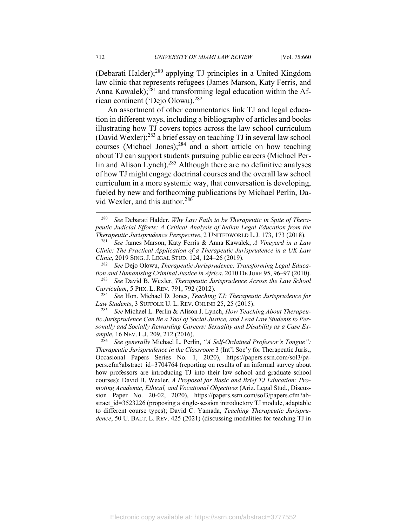(Debarati Halder); $^{280}$  applying TJ principles in a United Kingdom law clinic that represents refugees (James Marson, Katy Ferris, and Anna Kawalek); $^{281}$  and transforming legal education within the African continent ('Dejo Olowu).<sup>282</sup>

An assortment of other commentaries link TJ and legal education in different ways, including a bibliography of articles and books illustrating how TJ covers topics across the law school curriculum (David Wexler);283 a brief essay on teaching TJ in several law school courses (Michael Jones);284 and a short article on how teaching about TJ can support students pursuing public careers (Michael Perlin and Alison Lynch).<sup>285</sup> Although there are no definitive analyses of how TJ might engage doctrinal courses and the overall law school curriculum in a more systemic way, that conversation is developing, fueled by new and forthcoming publications by Michael Perlin, David Wexler, and this author.<sup>286</sup>

*Law Students*, 3 SUFFOLK U. L. REV. ONLINE 25, 25 (2015). 285 *See* Michael L. Perlin & Alison J. Lynch, *How Teaching About Therapeu-*

*tic Jurisprudence Can Be a Tool of Social Justice, and Lead Law Students to Personally and Socially Rewarding Careers: Sexuality and Disability as a Case Example*, 16 NEV. L.J. 209, 212 (2016). 286 *See generally* Michael L. Perlin, *"A Self-Ordained Professor's Tongue":* 

*Therapeutic Jurisprudence in the Classroom* 3 (Int'l Soc'y for Therapeutic Juris., Occasional Papers Series No. 1, 2020), https://papers.ssrn.com/sol3/papers.cfm?abstract\_id=3704764 (reporting on results of an informal survey about how professors are introducing TJ into their law school and graduate school courses); David B. Wexler, *A Proposal for Basic and Brief TJ Education: Promoting Academic, Ethical, and Vocational Objectives* (Ariz. Legal Stud., Discussion Paper No. 20-02, 2020), https://papers.ssrn.com/sol3/papers.cfm?abstract id=3523226 (proposing a single-session introductory TJ module, adaptable to different course types); David C. Yamada, *Teaching Therapeutic Jurisprudence*, 50 U. BALT. L. REV. 425 (2021) (discussing modalities for teaching TJ in

<sup>280</sup> *See* Debarati Halder, *Why Law Fails to be Therapeutic in Spite of Therapeutic Judicial Efforts: A Critical Analysis of Indian Legal Education from the Therapeutic Jurisprudence Perspective*, 2 UNITEDWORLD L.J. 173, 173 (2018). 281 *See* James Marson, Katy Ferris & Anna Kawalek, *A Vineyard in a Law* 

*Clinic: The Practical Application of a Therapeutic Jurisprudence in a UK Law Clinic*, 2019 SING. J. LEGAL STUD. 124, 124–26 (2019). 282 *See* Dejo Olowu, *Therapeutic Jurisprudence: Transforming Legal Educa-*

*tion and Humanising Criminal Justice in Africa*, 2010 DE JURE 95, 96–97 (2010). 283 *See* David B. Wexler, *Therapeutic Jurisprudence Across the Law School* 

*Curriculum*, 5 PHX. L. REV. 791, 792 (2012). 284 *See* Hon. Michael D. Jones, *Teaching TJ: Therapeutic Jurisprudence for*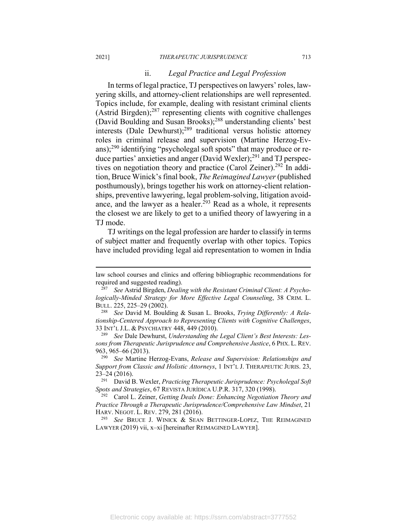#### ii. *Legal Practice and Legal Profession*

In terms of legal practice, TJ perspectives on lawyers' roles, lawyering skills, and attorney-client relationships are well represented. Topics include, for example, dealing with resistant criminal clients (Astrid Birgden); $287$  representing clients with cognitive challenges (David Boulding and Susan Brooks);288 understanding clients' best interests (Dale Dewhurst); $^{289}$  traditional versus holistic attorney roles in criminal release and supervision (Martine Herzog-Evans); $^{290}$  identifying "psycholegal soft spots" that may produce or reduce parties' anxieties and anger (David Wexler);<sup>291</sup> and TJ perspectives on negotiation theory and practice (Carol Zeiner).<sup>292</sup> In addition, Bruce Winick's final book, *The Reimagined Lawyer* (published posthumously), brings together his work on attorney-client relationships, preventive lawyering, legal problem-solving, litigation avoidance, and the lawyer as a healer.<sup> $293$ </sup> Read as a whole, it represents the closest we are likely to get to a unified theory of lawyering in a TJ mode.

TJ writings on the legal profession are harder to classify in terms of subject matter and frequently overlap with other topics. Topics have included providing legal aid representation to women in India

*sons from Therapeutic Jurisprudence and Comprehensive Justice*, 6 PHX. L. REV. 963, 965–66 (2013). 290 *See* Martine Herzog-Evans, *Release and Supervision: Relationships and* 

*Support from Classic and Holistic Attorneys*, 1 INT'L J. THERAPEUTIC JURIS. 23, 23–24 (2016). 291 David B. Wexler, *Practicing Therapeutic Jurisprudence: Psycholegal Soft* 

LAWYER (2019) vii, x–xi [hereinafter REIMAGINED LAWYER].

law school courses and clinics and offering bibliographic recommendations for required and suggested reading). 287 *See* Astrid Birgden, *Dealing with the Resistant Criminal Client: A Psycho-*

*logically-Minded Strategy for More Effective Legal Counseling*, 38 CRIM. L. BULL. 225, 225–29 (2002). 288 *See* David M. Boulding & Susan L. Brooks, *Trying Differently: A Rela-*

*tionship-Centered Approach to Representing Clients with Cognitive Challenges*, 33 INT'L J.L. & PSYCHIATRY 448, 449 (2010). 289 *See* Dale Dewhurst, *Understanding the Legal Client's Best Interests: Les-*

*Spots and Strategies*, 67 REVISTA JURÍDICA U.P.R. 317, 320 (1998). 292 Carol L. Zeiner, *Getting Deals Done: Enhancing Negotiation Theory and* 

*Practice Through a Therapeutic Jurisprudence/Comprehensive Law Mindset*, 21 HARV. NEGOT. L. REV. 279, 281 (2016). 293 *See* BRUCE J. WINICK & SEAN BETTINGER-LOPEZ, THE REIMAGINED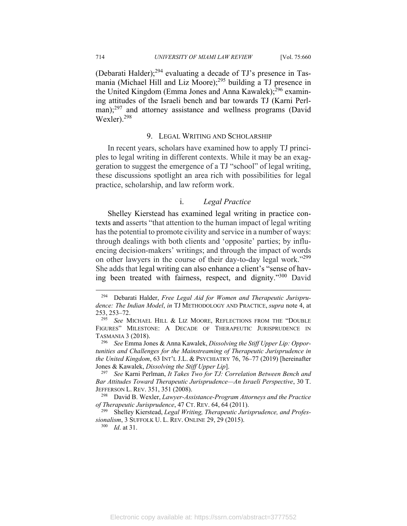(Debarati Halder); $^{294}$  evaluating a decade of TJ's presence in Tasmania (Michael Hill and Liz Moore);<sup>295</sup> building a TJ presence in the United Kingdom (Emma Jones and Anna Kawalek); $^{296}$  examining attitudes of the Israeli bench and bar towards TJ (Karni Perlman);<sup>297</sup> and attorney assistance and wellness programs (David Wexler).298

#### 9. LEGAL WRITING AND SCHOLARSHIP

In recent years, scholars have examined how to apply TJ principles to legal writing in different contexts. While it may be an exaggeration to suggest the emergence of a TJ "school" of legal writing, these discussions spotlight an area rich with possibilities for legal practice, scholarship, and law reform work.

### i. *Legal Practice*

Shelley Kierstead has examined legal writing in practice contexts and asserts "that attention to the human impact of legal writing has the potential to promote civility and service in a number of ways: through dealings with both clients and 'opposite' parties; by influencing decision-makers' writings; and through the impact of words on other lawyers in the course of their day-to-day legal work."<sup>299</sup> She adds that legal writing can also enhance a client's "sense of having been treated with fairness, respect, and dignity."300 David

<sup>294</sup> Debarati Halder, *Free Legal Aid for Women and Therapeutic Jurisprudence: The Indian Model*, *in* TJ METHODOLOGY AND PRACTICE, *supra* note 4, at 253, 253–72. 295 *See* MICHAEL HILL & LIZ MOORE, REFLECTIONS FROM THE "DOUBLE

FIGURES" MILESTONE: A DECADE OF THERAPEUTIC JURISPRUDENCE IN TASMANIA 3 (2018). 296 *See* Emma Jones & Anna Kawalek, *Dissolving the Stiff Upper Lip: Oppor-*

*tunities and Challenges for the Mainstreaming of Therapeutic Jurisprudence in the United Kingdom*, 63 INT'L J.L. & PSYCHIATRY 76, 76–77 (2019) [hereinafter Jones & Kawalek, *Dissolving the Stiff Upper Lip*]. 297 *See* Karni Perlman, *It Takes Two for TJ: Correlation Between Bench and* 

*Bar Attitudes Toward Therapeutic Jurisprudence—An Israeli Perspective*, 30 T. JEFFERSON L. REV. 351, 351 (2008). 298 David B. Wexler, *Lawyer-Assistance-Program Attorneys and the Practice* 

*of Therapeutic Jurisprudence*, 47 CT. REV. 64, 64 (2011).<br><sup>299</sup> Shelley Kierstead, *Legal Writing, Therapeutic Jurisprudence, and Profes-*

*sionalism*, 3 SUFFOLK U. L. REV. ONLINE 29, 29 (2015). 300 *Id*. at 31.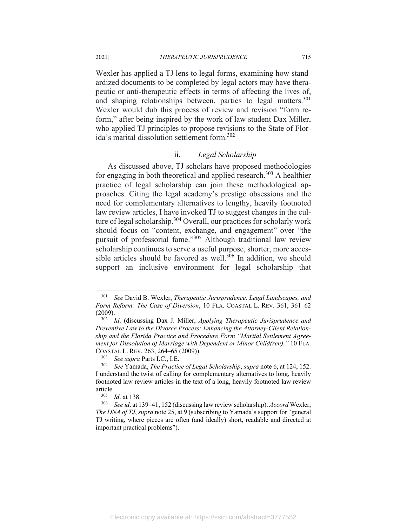Wexler has applied a TJ lens to legal forms, examining how standardized documents to be completed by legal actors may have therapeutic or anti-therapeutic effects in terms of affecting the lives of, and shaping relationships between, parties to legal matters.<sup>301</sup> Wexler would dub this process of review and revision "form reform," after being inspired by the work of law student Dax Miller, who applied TJ principles to propose revisions to the State of Florida's marital dissolution settlement form.302

# ii. *Legal Scholarship*

As discussed above, TJ scholars have proposed methodologies for engaging in both theoretical and applied research.<sup>303</sup> A healthier practice of legal scholarship can join these methodological approaches. Citing the legal academy's prestige obsessions and the need for complementary alternatives to lengthy, heavily footnoted law review articles, I have invoked TJ to suggest changes in the culture of legal scholarship.<sup>304</sup> Overall, our practices for scholarly work should focus on "content, exchange, and engagement" over "the pursuit of professorial fame."305 Although traditional law review scholarship continues to serve a useful purpose, shorter, more accessible articles should be favored as well.<sup>306</sup> In addition, we should support an inclusive environment for legal scholarship that

<sup>301</sup> *See* David B. Wexler, *Therapeutic Jurisprudence, Legal Landscapes, and Form Reform: The Case of Diversion*, 10 FLA. COASTAL L. REV. 361, 361–62 (2009). 302 *Id*. (discussing Dax J. Miller, *Applying Therapeutic Jurisprudence and* 

*Preventive Law to the Divorce Process: Enhancing the Attorney-Client Relationship and the Florida Practice and Procedure Form "Marital Settlement Agreement for Dissolution of Marriage with Dependent or Minor Child(ren),"* 10 FLA. COASTAL L. REV. 263, 264–65 (2009)). 303 *See supra* Parts I.C., I.E. 304 *See* Yamada, *The Practice of Legal Scholarship*, *supra* note 6, at 124, 152.

I understand the twist of calling for complementary alternatives to long, heavily footnoted law review articles in the text of a long, heavily footnoted law review article.<br><sup>305</sup> *Id.* at 138.<br><sup>306</sup> See id. at 139–41, 152 (discussing law review scholarship). *Accord* Wexler,

*The DNA of TJ*, *supra* note 25, at 9 (subscribing to Yamada's support for "general TJ writing, where pieces are often (and ideally) short, readable and directed at important practical problems").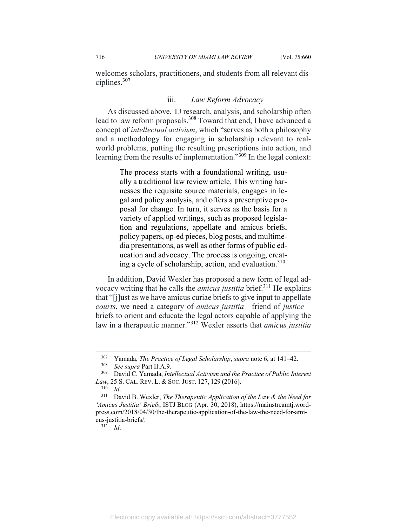welcomes scholars, practitioners, and students from all relevant disciplines.307

#### iii. *Law Reform Advocacy*

As discussed above, TJ research, analysis, and scholarship often lead to law reform proposals.<sup>308</sup> Toward that end, I have advanced a concept of *intellectual activism*, which "serves as both a philosophy and a methodology for engaging in scholarship relevant to realworld problems, putting the resulting prescriptions into action, and learning from the results of implementation."<sup>309</sup> In the legal context:

> The process starts with a foundational writing, usually a traditional law review article. This writing harnesses the requisite source materials, engages in legal and policy analysis, and offers a prescriptive proposal for change. In turn, it serves as the basis for a variety of applied writings, such as proposed legislation and regulations, appellate and amicus briefs, policy papers, op-ed pieces, blog posts, and multimedia presentations, as well as other forms of public education and advocacy. The process is ongoing, creating a cycle of scholarship, action, and evaluation. $310$

In addition, David Wexler has proposed a new form of legal advocacy writing that he calls the *amicus justitia* brief.311 He explains that "[j]ust as we have amicus curiae briefs to give input to appellate *courts*, we need a category of *amicus justitia*—friend of *justice* briefs to orient and educate the legal actors capable of applying the law in a therapeutic manner."312 Wexler asserts that *amicus justitia*

<sup>307</sup> Yamada, *The Practice of Legal Scholarship*, *supra* note 6, at 141–42. 308 *See supra* Part II.A.9. 309 David C. Yamada, *Intellectual Activism and the Practice of Public Interest Law*, 25 S. CAL. REV. L. & SOC. JUST. 127, 129 (2016).<br><sup>310</sup> *Id.* David B. Wexler, *The Therapeutic Application of the Law & the Need for* 

*<sup>&#</sup>x27;Amicus Justitia' Briefs*, ISTJ BLOG (Apr. 30, 2018), https://mainstreamtj.wordpress.com/2018/04/30/the-therapeutic-application-of-the-law-the-need-for-amicus-justitia-briefs/. 312 *Id*.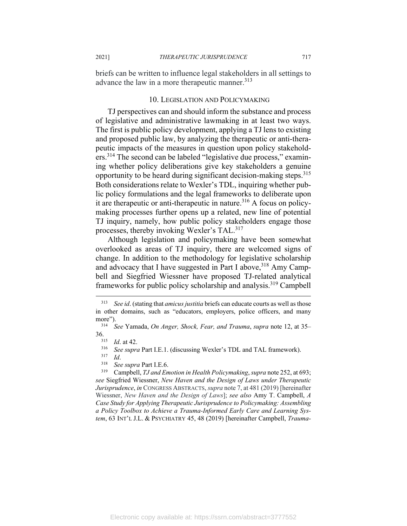briefs can be written to influence legal stakeholders in all settings to advance the law in a more therapeutic manner.<sup>313</sup>

#### 10. LEGISLATION AND POLICYMAKING

TJ perspectives can and should inform the substance and process of legislative and administrative lawmaking in at least two ways. The first is public policy development, applying a TJ lens to existing and proposed public law, by analyzing the therapeutic or anti-therapeutic impacts of the measures in question upon policy stakeholders.314 The second can be labeled "legislative due process," examining whether policy deliberations give key stakeholders a genuine opportunity to be heard during significant decision-making steps.<sup>315</sup> Both considerations relate to Wexler's TDL, inquiring whether public policy formulations and the legal frameworks to deliberate upon it are therapeutic or anti-therapeutic in nature.316 A focus on policymaking processes further opens up a related, new line of potential TJ inquiry, namely, how public policy stakeholders engage those processes, thereby invoking Wexler's TAL.<sup>317</sup>

Although legislation and policymaking have been somewhat overlooked as areas of TJ inquiry, there are welcomed signs of change. In addition to the methodology for legislative scholarship and advocacy that I have suggested in Part I above,  $318$  Amy Campbell and Siegfried Wiessner have proposed TJ-related analytical frameworks for public policy scholarship and analysis.319 Campbell

<sup>313</sup> *See id*. (stating that *amicus justitia* briefs can educate courts as well as those in other domains, such as "educators, employers, police officers, and many more").<br><sup>314</sup> See Yamada, *On Anger, Shock, Fear, and Trauma, supra* note 12, at 35–

<sup>36.&</sup>lt;br><sup>315</sup> *Id.* at 42.<br><sup>316</sup> *See supra* Part I.E.1. (discussing Wexler's TDL and TAL framework).<br><sup>317</sup> *Id.*<br><sup>318</sup> *See supra* Part I.E.6.<br><sup>318</sup> Campbell, *TJ and Emotion in Health Policymaking*, *supra* note 252, at 693 *see* Siegfried Wiessner, *New Haven and the Design of Laws under Therapeutic Jurisprudence*, *in* CONGRESS ABSTRACTS, *supra* note 7, at 481 (2019) [hereinafter Wiessner, *New Haven and the Design of Laws*]; *see also* Amy T. Campbell, *A Case Study for Applying Therapeutic Jurisprudence to Policymaking: Assembling a Policy Toolbox to Achieve a Trauma-Informed Early Care and Learning System*, 63 INT'L J.L. & PSYCHIATRY 45, 48 (2019) [hereinafter Campbell, *Trauma-*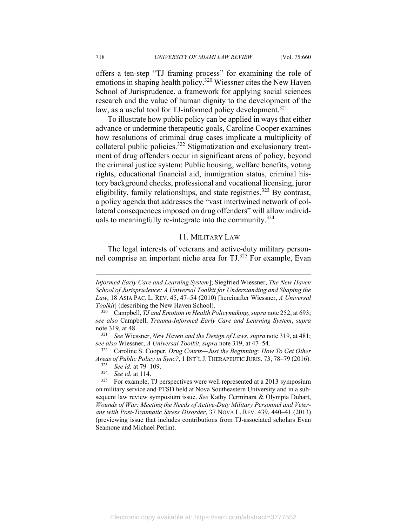offers a ten-step "TJ framing process" for examining the role of emotions in shaping health policy.<sup>320</sup> Wiessner cites the New Haven School of Jurisprudence, a framework for applying social sciences research and the value of human dignity to the development of the law, as a useful tool for TJ-informed policy development.<sup>321</sup>

To illustrate how public policy can be applied in ways that either advance or undermine therapeutic goals, Caroline Cooper examines how resolutions of criminal drug cases implicate a multiplicity of collateral public policies.322 Stigmatization and exclusionary treatment of drug offenders occur in significant areas of policy, beyond the criminal justice system: Public housing, welfare benefits, voting rights, educational financial aid, immigration status, criminal history background checks, professional and vocational licensing, juror eligibility, family relationships, and state registries.<sup>323</sup> By contrast, a policy agenda that addresses the "vast intertwined network of collateral consequences imposed on drug offenders" will allow individuals to meaningfully re-integrate into the community.<sup>324</sup>

## 11. MILITARY LAW

The legal interests of veterans and active-duty military personnel comprise an important niche area for TJ.325 For example, Evan

*Informed Early Care and Learning System*]; Siegfried Wiessner, *The New Haven School of Jurisprudence: A Universal Toolkit for Understanding and Shaping the Law*, 18 ASIA PAC. L. REV. 45, 47–54 (2010) [hereinafter Wiessner, *A Universal Toolkit*] (describing the New Haven School). 320 Campbell, *TJ and Emotion in Health Policymaking*, *supra* note 252, at 693;

*see also* Campbell, *Trauma-Informed Early Care and Learning System*, *supra*  note 319, at 48. 321 *See* Wiessner, *New Haven and the Design of Laws*, *supra* note 319, at 481;

*see also* Wiessner, *A Universal Toolkit*, *supra* note 319, at 47–54. 322 Caroline S. Cooper, *Drug Courts—Just the Beginning: How To Get Other* 

*Areas of Public Policy in Sync?*, 1 INT'L J. THERAPEUTIC JURIS. 73, 78–79 (2016).<br><sup>323</sup> *See id.* at 79–109.<br><sup>324</sup> *See id.* at 114. For example, TJ perspectives were well represented at a 2013 symposium

on military service and PTSD held at Nova Southeastern University and in a subsequent law review symposium issue. *See* Kathy Cerminara & Olympia Duhart, *Wounds of War: Meeting the Needs of Active-Duty Military Personnel and Veterans with Post-Traumatic Stress Disorder*, 37 NOVA L. REV. 439, 440–41 (2013) (previewing issue that includes contributions from TJ-associated scholars Evan Seamone and Michael Perlin).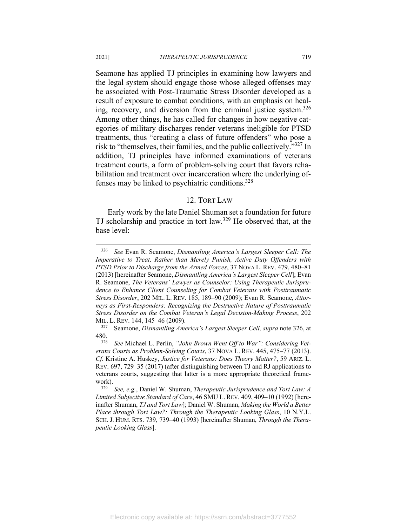Seamone has applied TJ principles in examining how lawyers and the legal system should engage those whose alleged offenses may be associated with Post-Traumatic Stress Disorder developed as a result of exposure to combat conditions, with an emphasis on healing, recovery, and diversion from the criminal justice system.<sup>326</sup> Among other things, he has called for changes in how negative categories of military discharges render veterans ineligible for PTSD treatments, thus "creating a class of future offenders" who pose a risk to "themselves, their families, and the public collectively."327 In addition, TJ principles have informed examinations of veterans treatment courts, a form of problem-solving court that favors rehabilitation and treatment over incarceration where the underlying offenses may be linked to psychiatric conditions.<sup>328</sup>

#### 12. TORT LAW

Early work by the late Daniel Shuman set a foundation for future TJ scholarship and practice in tort law.329 He observed that, at the base level:

<sup>326</sup> *See* Evan R. Seamone, *Dismantling America's Largest Sleeper Cell: The Imperative to Treat, Rather than Merely Punish, Active Duty Offenders with PTSD Prior to Discharge from the Armed Forces*, 37 NOVA L. REV. 479, 480–81 (2013) [hereinafter Seamone, *Dismantling America's Largest Sleeper Cell*]; Evan R. Seamone, *The Veterans' Lawyer as Counselor: Using Therapeutic Jurisprudence to Enhance Client Counseling for Combat Veterans with Posttraumatic Stress Disorder*, 202 MIL. L. REV. 185, 189–90 (2009); Evan R. Seamone, *Attorneys as First-Responders: Recognizing the Destructive Nature of Posttraumatic Stress Disorder on the Combat Veteran's Legal Decision-Making Process*, 202 MIL. L. REV. 144, 145–46 (2009). 327 Seamone, *Dismantling America's Largest Sleeper Cell, supra* note 326, at

<sup>480. 328</sup> *See* Michael L. Perlin, *"John Brown Went Off to War": Considering Vet-*

*erans Courts as Problem-Solving Courts*, 37 NOVA L. REV. 445, 475–77 (2013). *Cf.* Kristine A. Huskey, *Justice for Veterans: Does Theory Matter?*, 59 ARIZ. L. REV. 697, 729–35 (2017) (after distinguishing between TJ and RJ applications to veterans courts, suggesting that latter is a more appropriate theoretical framework). 329 *See, e.g.*, Daniel W. Shuman, *Therapeutic Jurisprudence and Tort Law: A* 

*Limited Subjective Standard of Care*, 46 SMU L. REV. 409, 409–10 (1992) [hereinafter Shuman, *TJ and Tort Law*]; Daniel W. Shuman, *Making the World a Better Place through Tort Law?: Through the Therapeutic Looking Glass*, 10 N.Y.L. SCH. J. HUM. RTS. 739, 739–40 (1993) [hereinafter Shuman, *Through the Therapeutic Looking Glass*].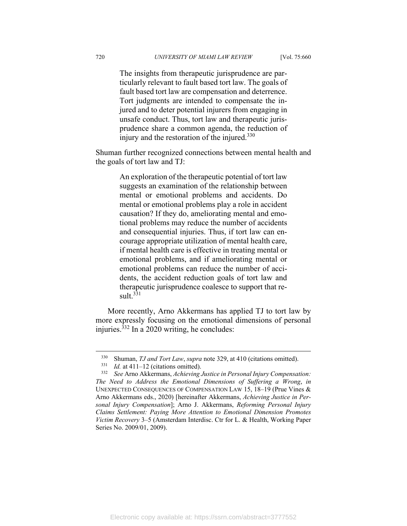The insights from therapeutic jurisprudence are particularly relevant to fault based tort law. The goals of fault based tort law are compensation and deterrence. Tort judgments are intended to compensate the injured and to deter potential injurers from engaging in unsafe conduct. Thus, tort law and therapeutic jurisprudence share a common agenda, the reduction of injury and the restoration of the injured.<sup>330</sup>

Shuman further recognized connections between mental health and the goals of tort law and TJ:

> An exploration of the therapeutic potential of tort law suggests an examination of the relationship between mental or emotional problems and accidents. Do mental or emotional problems play a role in accident causation? If they do, ameliorating mental and emotional problems may reduce the number of accidents and consequential injuries. Thus, if tort law can encourage appropriate utilization of mental health care, if mental health care is effective in treating mental or emotional problems, and if ameliorating mental or emotional problems can reduce the number of accidents, the accident reduction goals of tort law and therapeutic jurisprudence coalesce to support that re $sult.<sup>331</sup>$

More recently, Arno Akkermans has applied TJ to tort law by more expressly focusing on the emotional dimensions of personal injuries. $332$  In a 2020 writing, he concludes:

<sup>330</sup> Shuman, *TJ and Tort Law*, *supra* note 329, at 410 (citations omitted). 331 *Id.* at 411–12 (citations omitted). 332 *See* Arno Akkermans, *Achieving Justice in Personal Injury Compensation: The Need to Address the Emotional Dimensions of Suffering a Wrong*, *in* UNEXPECTED CONSEQUENCES OF COMPENSATION LAW 15, 18–19 (Prue Vines & Arno Akkermans eds., 2020) [hereinafter Akkermans, *Achieving Justice in Personal Injury Compensation*]; Arno J. Akkermans, *Reforming Personal Injury Claims Settlement: Paying More Attention to Emotional Dimension Promotes Victim Recovery* 3–5 (Amsterdam Interdisc. Ctr for L. & Health, Working Paper Series No. 2009/01, 2009).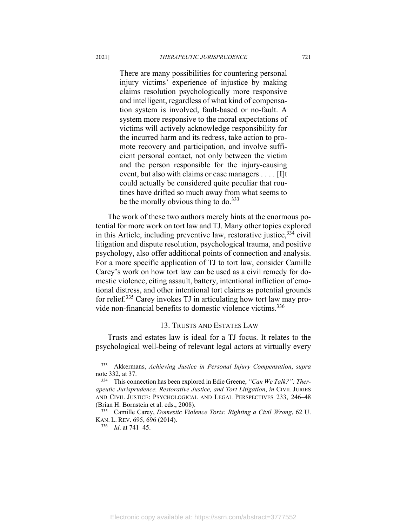There are many possibilities for countering personal injury victims' experience of injustice by making claims resolution psychologically more responsive and intelligent, regardless of what kind of compensation system is involved, fault-based or no-fault. A system more responsive to the moral expectations of victims will actively acknowledge responsibility for the incurred harm and its redress, take action to promote recovery and participation, and involve sufficient personal contact, not only between the victim and the person responsible for the injury-causing event, but also with claims or case managers . . . . [I]t could actually be considered quite peculiar that routines have drifted so much away from what seems to be the morally obvious thing to do. $333$ 

The work of these two authors merely hints at the enormous potential for more work on tort law and TJ. Many other topics explored in this Article, including preventive law, restorative justice,  $334$  civil litigation and dispute resolution, psychological trauma, and positive psychology, also offer additional points of connection and analysis. For a more specific application of TJ to tort law, consider Camille Carey's work on how tort law can be used as a civil remedy for domestic violence, citing assault, battery, intentional infliction of emotional distress, and other intentional tort claims as potential grounds for relief.335 Carey invokes TJ in articulating how tort law may provide non-financial benefits to domestic violence victims.336

#### 13. TRUSTS AND ESTATES LAW

Trusts and estates law is ideal for a TJ focus. It relates to the psychological well-being of relevant legal actors at virtually every

<sup>333</sup> Akkermans, *Achieving Justice in Personal Injury Compensation*, *supra* note 332, at 37.<br><sup>334</sup> This connection has been explored in Edie Greene, *"Can We Talk?": Ther-*

*apeutic Jurisprudence, Restorative Justice, and Tort Litigation*, *in* CIVIL JURIES AND CIVIL JUSTICE: PSYCHOLOGICAL AND LEGAL PERSPECTIVES 233, 246–48 (Brian H. Bornstein et al. eds., 2008). 335 Camille Carey, *Domestic Violence Torts: Righting a Civil Wrong*, 62 U.

KAN. L. REV. 695, 696 (2014). 336 *Id*. at 741–45.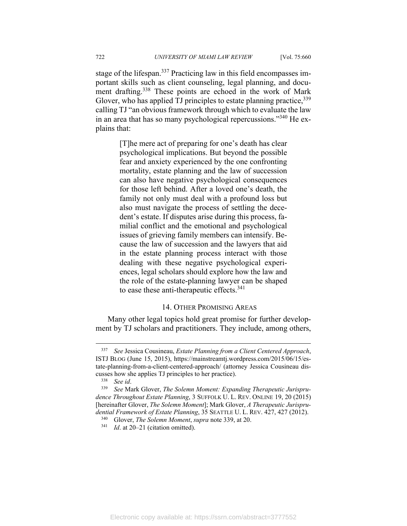stage of the lifespan.<sup>337</sup> Practicing law in this field encompasses important skills such as client counseling, legal planning, and document drafting.<sup>338</sup> These points are echoed in the work of Mark Glover, who has applied TJ principles to estate planning practice,  $339$ calling TJ "an obvious framework through which to evaluate the law in an area that has so many psychological repercussions."<sup>340</sup> He explains that:

> [T]he mere act of preparing for one's death has clear psychological implications. But beyond the possible fear and anxiety experienced by the one confronting mortality, estate planning and the law of succession can also have negative psychological consequences for those left behind. After a loved one's death, the family not only must deal with a profound loss but also must navigate the process of settling the decedent's estate. If disputes arise during this process, familial conflict and the emotional and psychological issues of grieving family members can intensify. Because the law of succession and the lawyers that aid in the estate planning process interact with those dealing with these negative psychological experiences, legal scholars should explore how the law and the role of the estate-planning lawyer can be shaped to ease these anti-therapeutic effects.<sup>341</sup>

## 14. OTHER PROMISING AREAS

Many other legal topics hold great promise for further development by TJ scholars and practitioners. They include, among others,

<sup>337</sup> *See* Jessica Cousineau, *Estate Planning from a Client Centered Approach*, ISTJ BLOG (June 15, 2015), https://mainstreamtj.wordpress.com/2015/06/15/estate-planning-from-a-client-centered-approach/ (attorney Jessica Cousineau discusses how she applies TJ principles to her practice). 338 *See id*. 339 *See* Mark Glover, *The Solemn Moment: Expanding Therapeutic Jurispru-*

*dence Throughout Estate Planning*, 3 SUFFOLK U. L. REV. ONLINE 19, 20 (2015) [hereinafter Glover, *The Solemn Moment*]; Mark Glover, *A Therapeutic Jurisprudential Framework of Estate Planning*, 35 SEATTLE U. L. REV. 427, 427 (2012). 340 Glover, *The Solemn Moment*, *supra* note 339, at 20. 341 *Id*. at 20–21 (citation omitted).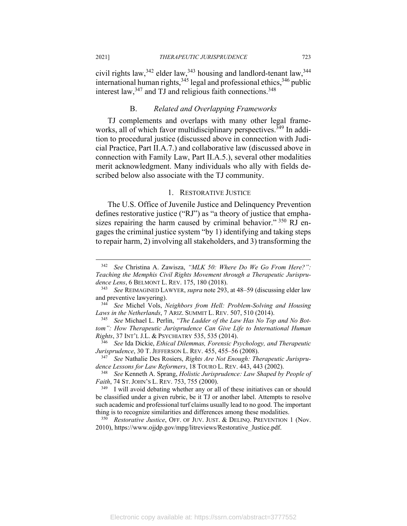civil rights law,  $342$  elder law,  $343$  housing and landlord-tenant law,  $344$ international human rights,  $345$  legal and professional ethics,  $346$  public interest law,  $347$  and TJ and religious faith connections.  $348$ 

### B. *Related and Overlapping Frameworks*

TJ complements and overlaps with many other legal frameworks, all of which favor multidisciplinary perspectives.<sup>349</sup> In addition to procedural justice (discussed above in connection with Judicial Practice, Part II.A.7.) and collaborative law (discussed above in connection with Family Law, Part II.A.5.), several other modalities merit acknowledgment. Many individuals who ally with fields described below also associate with the TJ community.

#### 1. RESTORATIVE JUSTICE

The U.S. Office of Juvenile Justice and Delinquency Prevention defines restorative justice ("RJ") as "a theory of justice that emphasizes repairing the harm caused by criminal behavior." 350 RJ engages the criminal justice system "by 1) identifying and taking steps to repair harm, 2) involving all stakeholders, and 3) transforming the

<sup>342</sup> *See* Christina A. Zawisza, *"MLK 50: Where Do We Go From Here?": Teaching the Memphis Civil Rights Movement through a Therapeutic Jurispru*dence Lens, 6 BELMONT L. REV. 175, 180 (2018).<br><sup>343</sup> See REIMAGINED LAWYER, *supra* note 293, at 48–59 (discussing elder law

and preventive lawyering). 344 *See* Michel Vols, *Neighbors from Hell: Problem-Solving and Housing* 

*Laws in the Netherlands, 7 ARIZ. SUMMIT L. REV. 507, 510 (2014).*<br><sup>345</sup> See Michael L. Perlin, *"The Ladder of the Law Has No Top and No Bot-*

*tom": How Therapeutic Jurisprudence Can Give Life to International Human* 

*Rights*, 37 INT'L J.L. & PSYCHIATRY 535, 535 (2014). 346 *See* Ida Dickie, *Ethical Dilemmas, Forensic Psychology, and Therapeutic* 

*See* Nathalie Des Rosiers, *Rights Are Not Enough: Therapeutic Jurisprudence Lessons for Law Reformers*, 18 TOURO L. REV. 443, 443 (2002). 348 *See* Kenneth A. Sprang, *Holistic Jurisprudence: Law Shaped by People of* 

*Faith*, 74 ST. JOHN'S L. REV. 753, 755 (2000).<br><sup>349</sup> I will avoid debating whether any or all of these initiatives can or should

be classified under a given rubric, be it TJ or another label. Attempts to resolve such academic and professional turf claims usually lead to no good. The important thing is to recognize similarities and differences among these modalities.<br><sup>350</sup> *Restorative Justice*, OFF. OF JUV. JUST. & DELINQ. PREVENTION 1 (Nov.

<sup>2010),</sup> https://www.ojjdp.gov/mpg/litreviews/Restorative\_Justice.pdf.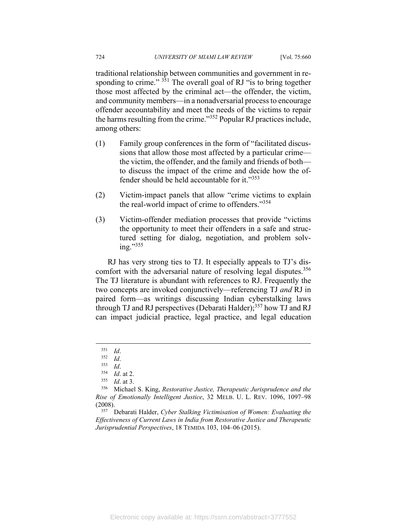traditional relationship between communities and government in responding to crime."  $351$  The overall goal of RJ "is to bring together those most affected by the criminal act—the offender, the victim, and community members—in a nonadversarial process to encourage offender accountability and meet the needs of the victims to repair the harms resulting from the crime."352 Popular RJ practices include, among others:

- (1) Family group conferences in the form of "facilitated discussions that allow those most affected by a particular crime the victim, the offender, and the family and friends of both to discuss the impact of the crime and decide how the offender should be held accountable for it."353
- (2) Victim-impact panels that allow "crime victims to explain the real-world impact of crime to offenders."354
- (3) Victim-offender mediation processes that provide "victims the opportunity to meet their offenders in a safe and structured setting for dialog, negotiation, and problem solving."<sup>355</sup>

RJ has very strong ties to TJ. It especially appeals to TJ's discomfort with the adversarial nature of resolving legal disputes.<sup>356</sup> The TJ literature is abundant with references to RJ. Frequently the two concepts are invoked conjunctively—referencing TJ *and* RJ in paired form—as writings discussing Indian cyberstalking laws through TJ and RJ perspectives (Debarati Halder);<sup>357</sup> how TJ and RJ can impact judicial practice, legal practice, and legal education

<sup>351</sup> *Id*. 352 *Id*. 353 *Id*. 354 *Id*. at 2. 355 *Id*. at 3. 356 Michael S. King, *Restorative Justice, Therapeutic Jurisprudence and the Rise of Emotionally Intelligent Justice*, 32 MELB. U. L. REV. 1096, 1097–98 (2008). 357 Debarati Halder, *Cyber Stalking Victimisation of Women: Evaluating the* 

*Effectiveness of Current Laws in India from Restorative Justice and Therapeutic Jurisprudential Perspectives*, 18 TEMIDA 103, 104–06 (2015).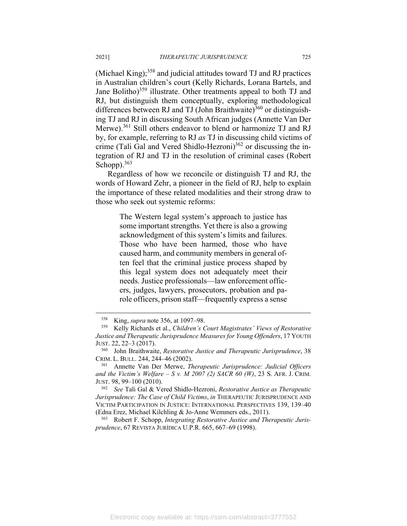(Michael King); $358$  and judicial attitudes toward TJ and RJ practices in Australian children's court (Kelly Richards, Lorana Bartels, and Jane Bolitho)<sup>359</sup> illustrate. Other treatments appeal to both TJ and RJ, but distinguish them conceptually, exploring methodological differences between RJ and TJ (John Braithwaite)<sup>360</sup> or distinguishing TJ and RJ in discussing South African judges (Annette Van Der Merwe).<sup>361</sup> Still others endeavor to blend or harmonize TJ and RJ by, for example, referring to RJ *as* TJ in discussing child victims of crime (Tali Gal and Vered Shidlo-Hezroni)<sup>362</sup> or discussing the integration of RJ and TJ in the resolution of criminal cases (Robert Schopp).<sup>363</sup>

Regardless of how we reconcile or distinguish TJ and RJ, the words of Howard Zehr, a pioneer in the field of RJ, help to explain the importance of these related modalities and their strong draw to those who seek out systemic reforms:

> The Western legal system's approach to justice has some important strengths. Yet there is also a growing acknowledgment of this system's limits and failures. Those who have been harmed, those who have caused harm, and community members in general often feel that the criminal justice process shaped by this legal system does not adequately meet their needs. Justice professionals—law enforcement officers, judges, lawyers, prosecutors, probation and parole officers, prison staff—frequently express a sense

(Edna Erez, Michael Kilchling & Jo-Anne Wemmers eds., 2011). 363 Robert F. Schopp, *Integrating Restorative Justice and Therapeutic Jurisprudence*, 67 REVISTA JURÍDICA U.P.R. 665, 667–69 (1998).

<sup>358</sup> King, *supra* note 356, at 1097–98. 359 Kelly Richards et al., *Children's Court Magistrates' Views of Restorative Justice and Therapeutic Jurisprudence Measures for Young Offenders*, 17 YOUTH JUST. 22, 22–3 (2017).<br><sup>360</sup> John Braithwaite, *Restorative Justice and Therapeutic Jurisprudence*, 38

CRIM. L. BULL. 244, 244–46 (2002). 361 Annette Van Der Merwe, *Therapeutic Jurisprudence: Judicial Officers* 

*and the Victim's Welfare – S v. M 2007 (2) SACR 60 (W)*, 23 S. AFR. J. CRIM. JUST. 98, 99–100 (2010). 362 *See* Tali Gal & Vered Shidlo-Hezroni, *Restorative Justice as Therapeutic* 

*Jurisprudence: The Case of Child Victims*, *in* THERAPEUTIC JURISPRUDENCE AND VICTIM PARTICIPATION IN JUSTICE: INTERNATIONAL PERSPECTIVES 139, 139–40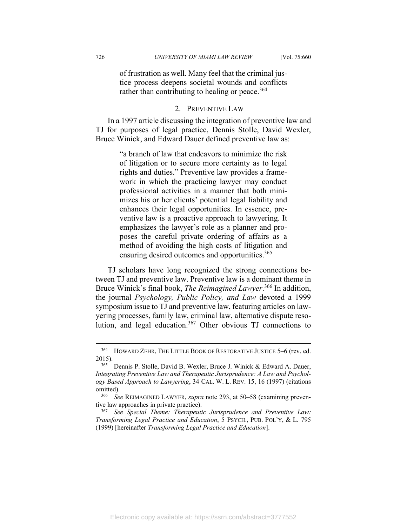of frustration as well. Many feel that the criminal justice process deepens societal wounds and conflicts rather than contributing to healing or peace.<sup>364</sup>

### 2. PREVENTIVE LAW

In a 1997 article discussing the integration of preventive law and TJ for purposes of legal practice, Dennis Stolle, David Wexler, Bruce Winick, and Edward Dauer defined preventive law as:

> "a branch of law that endeavors to minimize the risk of litigation or to secure more certainty as to legal rights and duties." Preventive law provides a framework in which the practicing lawyer may conduct professional activities in a manner that both minimizes his or her clients' potential legal liability and enhances their legal opportunities. In essence, preventive law is a proactive approach to lawyering. It emphasizes the lawyer's role as a planner and proposes the careful private ordering of affairs as a method of avoiding the high costs of litigation and ensuring desired outcomes and opportunities.<sup>365</sup>

TJ scholars have long recognized the strong connections between TJ and preventive law. Preventive law is a dominant theme in Bruce Winick's final book, *The Reimagined Lawyer*. 366 In addition, the journal *Psychology, Public Policy, and Law* devoted a 1999 symposium issue to TJ and preventive law, featuring articles on lawyering processes, family law, criminal law, alternative dispute resolution, and legal education.<sup>367</sup> Other obvious TJ connections to

<sup>364</sup> HOWARD ZEHR, THE LITTLE BOOK OF RESTORATIVE JUSTICE 5–6 (rev. ed. 2015).<br><sup>365</sup> Dennis P. Stolle, David B. Wexler, Bruce J. Winick & Edward A. Dauer,

*Integrating Preventive Law and Therapeutic Jurisprudence: A Law and Psychology Based Approach to Lawyering*, 34 CAL. W. L. REV. 15, 16 (1997) (citations omitted). 366 *See* REIMAGINED LAWYER, *supra* note 293, at 50–58 (examining preven-

tive law approaches in private practice). 367 *See Special Theme: Therapeutic Jurisprudence and Preventive Law: Transforming Legal Practice and Education*, 5 PSYCH., PUB. POL'Y, & L. 795 (1999) [hereinafter *Transforming Legal Practice and Education*].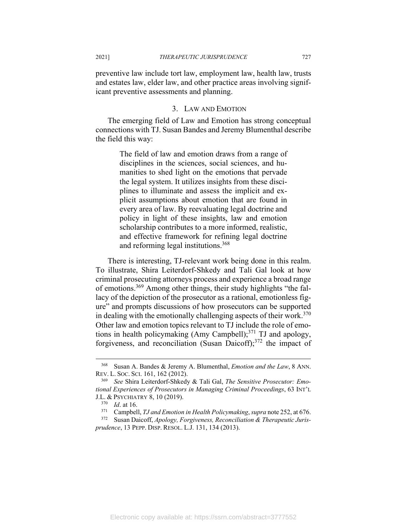preventive law include tort law, employment law, health law, trusts and estates law, elder law, and other practice areas involving significant preventive assessments and planning.

## 3. LAW AND EMOTION

The emerging field of Law and Emotion has strong conceptual connections with TJ. Susan Bandes and Jeremy Blumenthal describe the field this way:

> The field of law and emotion draws from a range of disciplines in the sciences, social sciences, and humanities to shed light on the emotions that pervade the legal system. It utilizes insights from these disciplines to illuminate and assess the implicit and explicit assumptions about emotion that are found in every area of law. By reevaluating legal doctrine and policy in light of these insights, law and emotion scholarship contributes to a more informed, realistic, and effective framework for refining legal doctrine and reforming legal institutions.368

There is interesting, TJ-relevant work being done in this realm. To illustrate, Shira Leiterdorf-Shkedy and Tali Gal look at how criminal prosecuting attorneys process and experience a broad range of emotions.369 Among other things, their study highlights "the fallacy of the depiction of the prosecutor as a rational, emotionless figure" and prompts discussions of how prosecutors can be supported in dealing with the emotionally challenging aspects of their work. $370$ Other law and emotion topics relevant to TJ include the role of emotions in health policymaking (Amy Campbell); $^{371}$  TJ and apology, forgiveness, and reconciliation (Susan Daicoff);<sup>372</sup> the impact of

<sup>368</sup> Susan A. Bandes & Jeremy A. Blumenthal, *Emotion and the Law*, 8 ANN. REV. L. SOC. SCI. 161, 162 (2012). 369 *See* Shira Leiterdorf-Shkedy & Tali Gal, *The Sensitive Prosecutor: Emo-*

*tional Experiences of Prosecutors in Managing Criminal Proceedings*, 63 INT'L J.L. & PSYCHIATRY 8, 10 (2019).<br><sup>370</sup> *Id.* at 16.<br><sup>371</sup> Campbell, *TJ and Emotion in Health Policymaking*, *supra* note 252, at 676.<br><sup>372</sup> Susan Daicoff, *Apology, Forgiveness, Reconciliation & Therapeutic Juris-*

*prudence*, 13 PEPP. DISP. RESOL. L.J. 131, 134 (2013).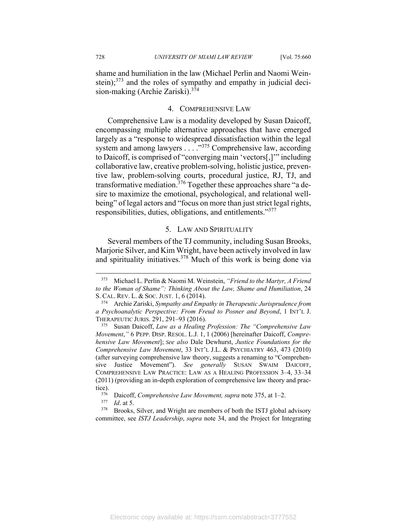shame and humiliation in the law (Michael Perlin and Naomi Weinstein);<sup>373</sup> and the roles of sympathy and empathy in judicial decision-making (Archie Zariski).374

## 4. COMPREHENSIVE LAW

Comprehensive Law is a modality developed by Susan Daicoff, encompassing multiple alternative approaches that have emerged largely as a "response to widespread dissatisfaction within the legal system and among lawyers . . . ."375 Comprehensive law, according to Daicoff, is comprised of "converging main 'vectors[,]'" including collaborative law, creative problem-solving, holistic justice, preventive law, problem-solving courts, procedural justice, RJ, TJ, and transformative mediation.<sup>376</sup> Together these approaches share "a desire to maximize the emotional, psychological, and relational wellbeing" of legal actors and "focus on more than just strict legal rights, responsibilities, duties, obligations, and entitlements."377

#### 5. LAW AND SPIRITUALITY

Several members of the TJ community, including Susan Brooks, Marjorie Silver, and Kim Wright, have been actively involved in law and spirituality initiatives.378 Much of this work is being done via

<sup>373</sup> Michael L. Perlin & Naomi M. Weinstein, *"Friend to the Martyr, A Friend to the Woman of Shame": Thinking About the Law, Shame and Humiliation*, 24 S. CAL. REV. L. & SOC. JUST. 1, 6 (2014). 374 Archie Zariski, *Sympathy and Empathy in Therapeutic Jurisprudence from* 

*a Psychoanalytic Perspective: From Freud to Posner and Beyond*, 1 INT'L J. THERAPEUTIC JURIS. 291, 291–93 (2016). 375 Susan Daicoff, *Law as a Healing Profession: The "Comprehensive Law* 

*Movement*,*"* 6 PEPP. DISP. RESOL. L.J. 1, 1 (2006) [hereinafter Daicoff, *Comprehensive Law Movement*]; *See also* Dale Dewhurst, *Justice Foundations for the Comprehensive Law Movement*, 33 INT'L J.L. & PSYCHIATRY 463, 473 (2010) (after surveying comprehensive law theory, suggests a renaming to "Comprehensive Justice Movement"). *See generally* SUSAN SWAIM DAICOFF, COMPREHENSIVE LAW PRACTICE: LAW AS A HEALING PROFESSION 3–4, 33–34 (2011) (providing an in-depth exploration of comprehensive law theory and practice).<br><sup>376</sup> Daicoff, *Comprehensive Law Movement, supra* note 375, at 1–2.<br><sup>377</sup> *Id.* at 5.<br><sup>378</sup> Brooks, Silver, and Wright are members of both the ISTJ global advisory

committee, see *ISTJ Leadership*, *supra* note 34, and the Project for Integrating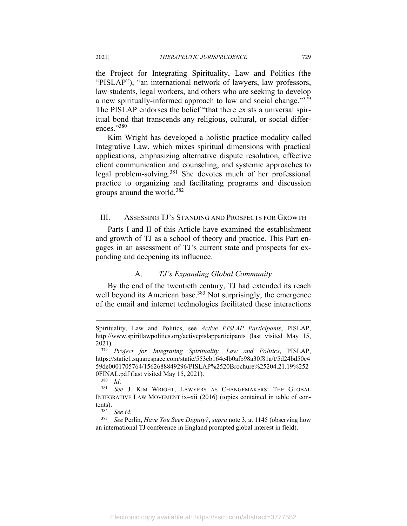the Project for Integrating Spirituality, Law and Politics (the "PISLAP"), "an international network of lawyers, law professors, law students, legal workers, and others who are seeking to develop a new spiritually-informed approach to law and social change."<sup>379</sup> The PISLAP endorses the belief "that there exists a universal spiritual bond that transcends any religious, cultural, or social differences."380

Kim Wright has developed a holistic practice modality called Integrative Law, which mixes spiritual dimensions with practical applications, emphasizing alternative dispute resolution, effective client communication and counseling, and systemic approaches to legal problem-solving.381 She devotes much of her professional practice to organizing and facilitating programs and discussion groups around the world.<sup>382</sup>

## III. ASSESSING TJ'S STANDING AND PROSPECTS FOR GROWTH

Parts I and II of this Article have examined the establishment and growth of TJ as a school of theory and practice. This Part engages in an assessment of TJ's current state and prospects for expanding and deepening its influence.

## A. *TJ's Expanding Global Community*

By the end of the twentieth century, TJ had extended its reach well beyond its American base.<sup>383</sup> Not surprisingly, the emergence of the email and internet technologies facilitated these interactions

Spirituality, Law and Politics, see *Active PISLAP Participants*, PISLAP, http://www.spiritlawpolitics.org/activepislapparticipants (last visited May 15, 2021). 379 *Project for Integrating Spirituality, Law and Politics*, PISLAP,

https://static1.squarespace.com/static/553eb164e4b0afb98a30f81a/t/5d24bd50c4 59de0001705764/1562688849296/PISLAP%2520Brochure%25204.21.19%252 0FINAL.pdf (last visited May 15, 2021).<br><sup>380</sup> *Id.* 381 *See* J. KIM WRIGHT, LAWYERS AS CHANGEMAKERS: THE GLOBAL

INTEGRATIVE LAW MOVEMENT ix–xii (2016) (topics contained in table of con-

tents). 382 *See id*. 383 *See* Perlin, *Have You Seen Dignity?*, *supra* note 3, at 1145 (observing how an international TJ conference in England prompted global interest in field).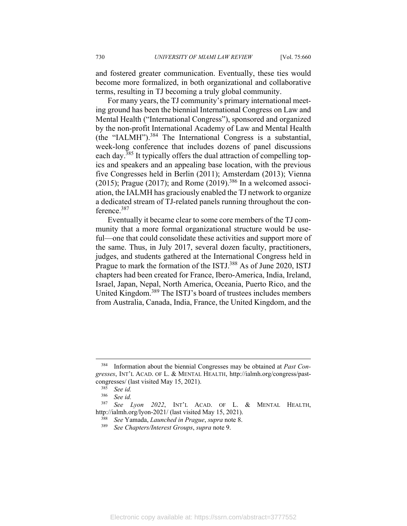and fostered greater communication. Eventually, these ties would become more formalized, in both organizational and collaborative terms, resulting in TJ becoming a truly global community.

For many years, the TJ community's primary international meeting ground has been the biennial International Congress on Law and Mental Health ("International Congress"), sponsored and organized by the non-profit International Academy of Law and Mental Health (the "IALMH"). $384$  The International Congress is a substantial, week-long conference that includes dozens of panel discussions each day.385 It typically offers the dual attraction of compelling topics and speakers and an appealing base location, with the previous five Congresses held in Berlin (2011); Amsterdam (2013); Vienna (2015); Prague (2017); and Rome (2019).<sup>386</sup> In a welcomed association, the IALMH has graciously enabled the TJ network to organize a dedicated stream of TJ-related panels running throughout the conference.387

Eventually it became clear to some core members of the TJ community that a more formal organizational structure would be useful—one that could consolidate these activities and support more of the same. Thus, in July 2017, several dozen faculty, practitioners, judges, and students gathered at the International Congress held in Prague to mark the formation of the ISTJ.<sup>388</sup> As of June 2020, ISTJ chapters had been created for France, Ibero-America, India, Ireland, Israel, Japan, Nepal, North America, Oceania, Puerto Rico, and the United Kingdom.389 The ISTJ's board of trustees includes members from Australia, Canada, India, France, the United Kingdom, and the

<sup>384</sup> Information about the biennial Congresses may be obtained at *Past Congresses*, INT'L ACAD. OF L. & MENTAL HEALTH, http://ialmh.org/congress/pastcongresses/ (last visited May 15, 2021). 385 *See id.*

<sup>386</sup> *See id.*

<sup>387</sup> *See Lyon 2022*, INT'L ACAD. OF L. & MENTAL HEALTH, http://ialmh.org/lyon-2021/ (last visited May 15, 2021). 388 *See* Yamada, *Launched in Prague*, *supra* note 8. 389 *See Chapters/Interest Groups*, *supra* note 9.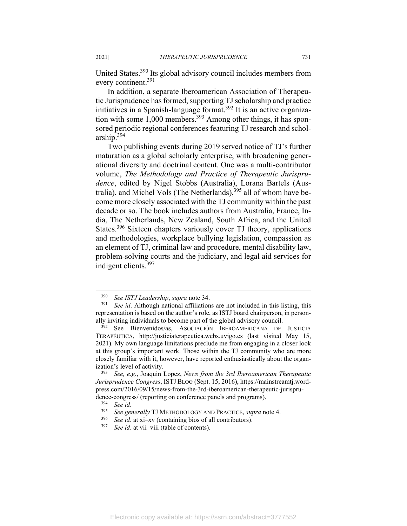United States.390 Its global advisory council includes members from every continent.<sup>391</sup>

In addition, a separate Iberoamerican Association of Therapeutic Jurisprudence has formed, supporting TJ scholarship and practice initiatives in a Spanish-language format.392 It is an active organization with some  $1,000$  members.<sup>393</sup> Among other things, it has sponsored periodic regional conferences featuring TJ research and scholarship.394

Two publishing events during 2019 served notice of TJ's further maturation as a global scholarly enterprise, with broadening generational diversity and doctrinal content. One was a multi-contributor volume, *The Methodology and Practice of Therapeutic Jurisprudence*, edited by Nigel Stobbs (Australia), Lorana Bartels (Australia), and Michel Vols (The Netherlands),<sup>395</sup> all of whom have become more closely associated with the TJ community within the past decade or so. The book includes authors from Australia, France, India, The Netherlands, New Zealand, South Africa, and the United States.<sup>396</sup> Sixteen chapters variously cover TJ theory, applications and methodologies, workplace bullying legislation, compassion as an element of TJ, criminal law and procedure, mental disability law, problem-solving courts and the judiciary, and legal aid services for indigent clients.397

<sup>390</sup> *See ISTJ Leadership*, *supra* note 34. 391 *See id*. Although national affiliations are not included in this listing, this representation is based on the author's role, as ISTJ board chairperson, in person-

ally inviting individuals to become part of the global advisory council. 392 See Bienvenidos/as, ASOCIACIÓN IBEROAMERICANA DE JUSTICIA TERAPÉUTICA, http://justiciaterapeutica.webs.uvigo.es (last visited May 15, 2021). My own language limitations preclude me from engaging in a closer look at this group's important work. Those within the TJ community who are more closely familiar with it, however, have reported enthusiastically about the organization's level of activity.

<sup>393</sup> *See, e.g.*, Joaquin Lopez, *News from the 3rd Iberoamerican Therapeutic Jurisprudence Congress*, ISTJ BLOG (Sept. 15, 2016), https://mainstreamtj.wordpress.com/2016/09/15/news-from-the-3rd-iberoamerican-therapeutic-jurisprudence-congress/ (reporting on conference panels and programs).<br><sup>394</sup> See id.<br><sup>395</sup> See generally TJ METHODOLOGY AND PRACTICE, *supra* note 4.<br><sup>396</sup> See id. at xi-xv (containing bios of all contributors).<br><sup>397</sup> See id. at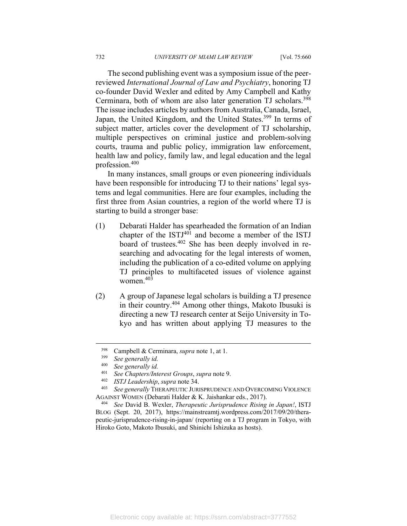The second publishing event was a symposium issue of the peerreviewed *International Journal of Law and Psychiatry*, honoring TJ co-founder David Wexler and edited by Amy Campbell and Kathy Cerminara, both of whom are also later generation TJ scholars.<sup>398</sup> The issue includes articles by authors from Australia, Canada, Israel, Japan, the United Kingdom, and the United States.<sup>399</sup> In terms of subject matter, articles cover the development of TJ scholarship, multiple perspectives on criminal justice and problem-solving courts, trauma and public policy, immigration law enforcement, health law and policy, family law, and legal education and the legal profession.400

In many instances, small groups or even pioneering individuals have been responsible for introducing TJ to their nations' legal systems and legal communities. Here are four examples, including the first three from Asian countries, a region of the world where TJ is starting to build a stronger base:

- (1) Debarati Halder has spearheaded the formation of an Indian chapter of the  $ISTJ<sup>401</sup>$  and become a member of the ISTJ board of trustees.402 She has been deeply involved in researching and advocating for the legal interests of women, including the publication of a co-edited volume on applying TJ principles to multifaceted issues of violence against women.403
- (2) A group of Japanese legal scholars is building a TJ presence in their country.404 Among other things, Makoto Ibusuki is directing a new TJ research center at Seijo University in Tokyo and has written about applying TJ measures to the

<sup>398</sup> Campbell & Cerminara, *supra* note 1, at 1. 399 *See generally id.*

See generally *id.* 

<sup>401</sup> *See Chapters/Interest Groups*, *supra* note 9. 402 *ISTJ Leadership*, *supra* note 34. 403 *See generally* THERAPEUTIC JURISPRUDENCE AND OVERCOMING VIOLENCE AGAINST WOMEN (Debarati Halder & K. Jaishankar eds., 2017). 404 *See* David B. Wexler, *Therapeutic Jurisprudence Rising in Japan!*, ISTJ

BLOG (Sept. 20, 2017), https://mainstreamtj.wordpress.com/2017/09/20/therapeutic-jurisprudence-rising-in-japan/ (reporting on a TJ program in Tokyo, with Hiroko Goto, Makoto Ibusuki, and Shinichi Ishizuka as hosts).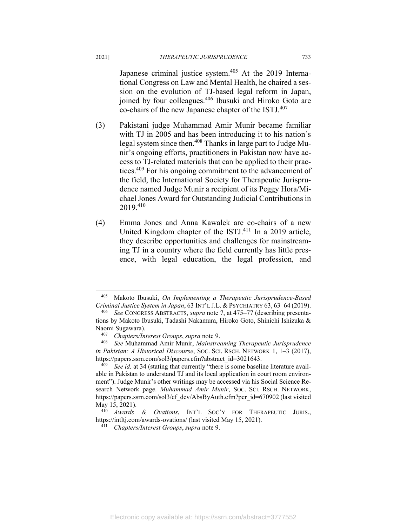Japanese criminal justice system.<sup>405</sup> At the 2019 International Congress on Law and Mental Health, he chaired a session on the evolution of TJ-based legal reform in Japan, joined by four colleagues.<sup>406</sup> Ibusuki and Hiroko Goto are co-chairs of the new Japanese chapter of the ISTJ.407

- (3) Pakistani judge Muhammad Amir Munir became familiar with TJ in 2005 and has been introducing it to his nation's legal system since then.408 Thanks in large part to Judge Munir's ongoing efforts, practitioners in Pakistan now have access to TJ-related materials that can be applied to their practices.<sup>409</sup> For his ongoing commitment to the advancement of the field, the International Society for Therapeutic Jurisprudence named Judge Munir a recipient of its Peggy Hora/Michael Jones Award for Outstanding Judicial Contributions in 2019.410
- (4) Emma Jones and Anna Kawalek are co-chairs of a new United Kingdom chapter of the ISTJ.<sup>411</sup> In a 2019 article, they describe opportunities and challenges for mainstreaming TJ in a country where the field currently has little presence, with legal education, the legal profession, and

<sup>405</sup> Makoto Ibusuki, *On Implementing a Therapeutic Jurisprudence-Based Criminal Justice System in Japan*, 63 INT'L J.L. & PSYCHIATRY 63, 63–64 (2019). 406 *See* CONGRESS ABSTRACTS, *supra* note 7, at 475–77 (describing presenta-

tions by Makoto Ibusuki, Tadashi Nakamura, Hiroko Goto, Shinichi Ishizuka & Naomi Sugawara). 407 *Chapters/Interest Groups*, *supra* note 9. 408 *See* Muhammad Amir Munir, *Mainstreaming Therapeutic Jurisprudence* 

*in Pakistan: A Historical Discourse*, SOC. SCI. RSCH. NETWORK 1, 1–3 (2017),

https://papers.ssrn.com/sol3/papers.cfm?abstract\_id=3021643. 409 *See id.* at 34 (stating that currently "there is some baseline literature available in Pakistan to understand TJ and its local application in court room environment"). Judge Munir's other writings may be accessed via his Social Science Research Network page. *Muhammad Amir Munir*, SOC. SCI. RSCH. NETWORK, https://papers.ssrn.com/sol3/cf\_dev/AbsByAuth.cfm?per\_id=670902 (last visited

May 15, 2021). 410 *Awards & Ovations*, INT'L SOC'Y FOR THERAPEUTIC JURIS., https://intltj.com/awards-ovations/ (last visited May 15, 2021). 411 *Chapters/Interest Groups*, *supra* note 9.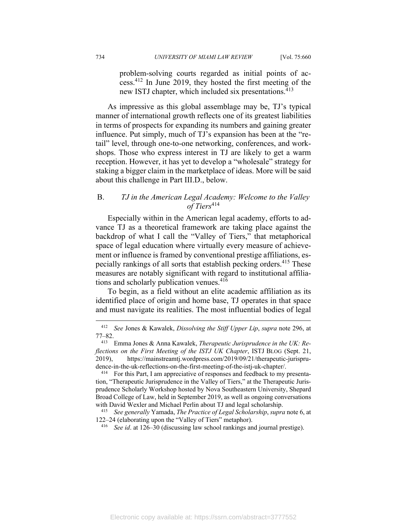problem-solving courts regarded as initial points of access.412 In June 2019, they hosted the first meeting of the new ISTJ chapter, which included six presentations.<sup>413</sup>

As impressive as this global assemblage may be, TJ's typical manner of international growth reflects one of its greatest liabilities in terms of prospects for expanding its numbers and gaining greater influence. Put simply, much of TJ's expansion has been at the "retail" level, through one-to-one networking, conferences, and workshops. Those who express interest in TJ are likely to get a warm reception. However, it has yet to develop a "wholesale" strategy for staking a bigger claim in the marketplace of ideas. More will be said about this challenge in Part III.D., below.

# B. *TJ in the American Legal Academy: Welcome to the Valley of Tiers*<sup>414</sup>

Especially within in the American legal academy, efforts to advance TJ as a theoretical framework are taking place against the backdrop of what I call the "Valley of Tiers," that metaphorical space of legal education where virtually every measure of achievement or influence is framed by conventional prestige affiliations, especially rankings of all sorts that establish pecking orders.415 These measures are notably significant with regard to institutional affiliations and scholarly publication venues.<sup>416</sup>

To begin, as a field without an elite academic affiliation as its identified place of origin and home base, TJ operates in that space and must navigate its realities. The most influential bodies of legal

<sup>412</sup> *See* Jones & Kawalek, *Dissolving the Stiff Upper Lip*, *supra* note 296, at 77–82. 413 Emma Jones & Anna Kawalek, *Therapeutic Jurisprudence in the UK: Re-*

*flections on the First Meeting of the ISTJ UK Chapter*, ISTJ BLOG (Sept. 21, 2019), https://mainstreamtj.wordpress.com/2019/09/21/therapeutic-jurisprudence-in-the-uk-reflections-on-the-first-meeting-of-the-istj-uk-chapter/.<br><sup>414</sup> For this Part, I am appreciative of responses and feedback to my presenta-

tion, "Therapeutic Jurisprudence in the Valley of Tiers," at the Therapeutic Jurisprudence Scholarly Workshop hosted by Nova Southeastern University, Shepard Broad College of Law, held in September 2019, as well as ongoing conversations with David Wexler and Michael Perlin about TJ and legal scholarship. 415 *See generally* Yamada, *The Practice of Legal Scholarship*, *supra* note 6, at

<sup>122–24 (</sup>elaborating upon the "Valley of Tiers" metaphor). 416 *See id*. at 126–30 (discussing law school rankings and journal prestige).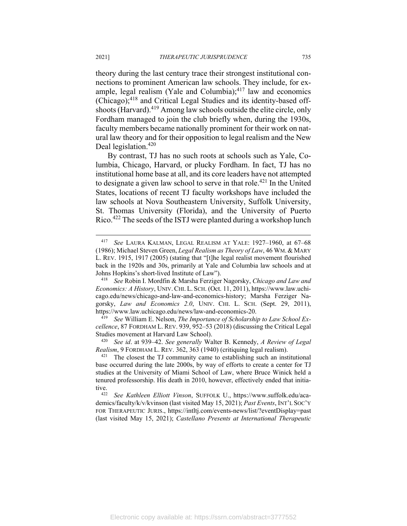theory during the last century trace their strongest institutional connections to prominent American law schools. They include, for example, legal realism (Yale and Columbia); $417$  law and economics (Chicago);418 and Critical Legal Studies and its identity-based offshoots (Harvard).<sup>419</sup> Among law schools outside the elite circle, only Fordham managed to join the club briefly when, during the 1930s, faculty members became nationally prominent for their work on natural law theory and for their opposition to legal realism and the New Deal legislation.<sup>420</sup>

By contrast, TJ has no such roots at schools such as Yale, Columbia, Chicago, Harvard, or plucky Fordham. In fact, TJ has no institutional home base at all, and its core leaders have not attempted to designate a given law school to serve in that role.<sup>421</sup> In the United States, locations of recent TJ faculty workshops have included the law schools at Nova Southeastern University, Suffolk University, St. Thomas University (Florida), and the University of Puerto Rico.422 The seeds of the ISTJ were planted during a workshop lunch

<sup>417</sup> *See* LAURA KALMAN, LEGAL REALISM AT YALE: 1927–1960, at 67–68 (1986); Michael Steven Green, *Legal Realism as Theory of Law*, 46 WM. & MARY L. REV. 1915, 1917 (2005) (stating that "[t]he legal realist movement flourished back in the 1920s and 30s, primarily at Yale and Columbia law schools and at Johns Hopkins's short-lived Institute of Law"). 418 *See* Robin I. Mordfin & Marsha Ferziger Nagorsky, *Chicago and Law and* 

*Economics: A History*, UNIV. CHI. L. SCH. (Oct. 11, 2011), https://www.law.uchicago.edu/news/chicago-and-law-and-economics-history; Marsha Ferziger Nagorsky, *Law and Economics 2.0*, UNIV. CHI. L. SCH. (Sept. 29, 2011), https://www.law.uchicago.edu/news/law-and-economics-20. 419 *See* William E. Nelson, *The Importance of Scholarship to Law School Ex-*

*cellence*, 87 FORDHAM L. REV. 939, 952–53 (2018) (discussing the Critical Legal Studies movement at Harvard Law School). 420 *See id*. at 939–42. *See generally* Walter B. Kennedy, *A Review of Legal* 

*Realism*, 9 FORDHAM L. REV. 362, 363 (1940) (critiquing legal realism).<br><sup>421</sup> The closest the TJ community came to establishing such an institutional

base occurred during the late 2000s, by way of efforts to create a center for TJ studies at the University of Miami School of Law, where Bruce Winick held a tenured professorship. His death in 2010, however, effectively ended that initiative. 422 *See Kathleen Elliott Vinson*, SUFFOLK U., https://www.suffolk.edu/aca-

demics/faculty/k/v/kvinson (last visited May 15, 2021); *Past Events*, INT'L SOC'Y FOR THERAPEUTIC JURIS., https://intltj.com/events-news/list/?eventDisplay=past (last visited May 15, 2021); *Castellano Presents at International Therapeutic*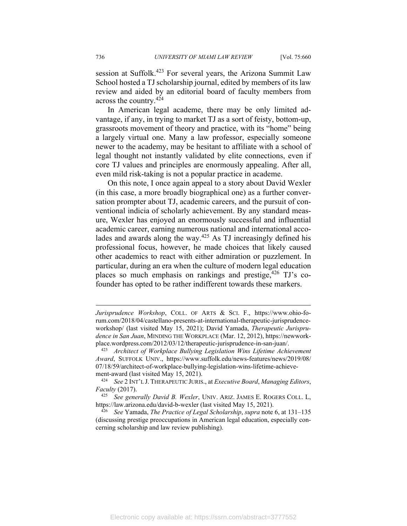session at Suffolk.<sup>423</sup> For several years, the Arizona Summit Law School hosted a TJ scholarship journal, edited by members of its law review and aided by an editorial board of faculty members from across the country.424

In American legal academe, there may be only limited advantage, if any, in trying to market TJ as a sort of feisty, bottom-up, grassroots movement of theory and practice, with its "home" being a largely virtual one. Many a law professor, especially someone newer to the academy, may be hesitant to affiliate with a school of legal thought not instantly validated by elite connections, even if core TJ values and principles are enormously appealing. After all, even mild risk-taking is not a popular practice in academe.

On this note, I once again appeal to a story about David Wexler (in this case, a more broadly biographical one) as a further conversation prompter about TJ, academic careers, and the pursuit of conventional indicia of scholarly achievement. By any standard measure, Wexler has enjoyed an enormously successful and influential academic career, earning numerous national and international accolades and awards along the way.<sup>425</sup> As TJ increasingly defined his professional focus, however, he made choices that likely caused other academics to react with either admiration or puzzlement. In particular, during an era when the culture of modern legal education places so much emphasis on rankings and prestige,  $426$  TJ's cofounder has opted to be rather indifferent towards these markers.

*Jurisprudence Workshop*, COLL. OF ARTS & SCI. F., https://www.ohio-forum.com/2018/04/castellano-presents-at-international-therapeutic-jurisprudenceworkshop/ (last visited May 15, 2021); David Yamada, *Therapeutic Jurisprudence in San Juan*, MINDING THE WORKPLACE (Mar. 12, 2012), https://newworkplace.wordpress.com/2012/03/12/therapeutic-jurisprudence-in-san-juan/. 423 *Architect of Workplace Bullying Legislation Wins Lifetime Achievement* 

*Award*, SUFFOLK UNIV., https://www.suffolk.edu/news-features/news/2019/08/ 07/18/59/architect-of-workplace-bullying-legislation-wins-lifetime-achieve-

ment-award (last visited May 15, 2021). 424 *See* 2 INT'L J. THERAPEUTIC JURIS., at *Executive Board*, *Managing Editors*, *Faculty* (2017). 425 *See generally David B. Wexler*, UNIV. ARIZ. JAMES E. ROGERS COLL. L,

https://law.arizona.edu/david-b-wexler (last visited May 15, 2021). 426 *See* Yamada, *The Practice of Legal Scholarship*, *supra* note 6, at 131–135

<sup>(</sup>discussing prestige preoccupations in American legal education, especially concerning scholarship and law review publishing).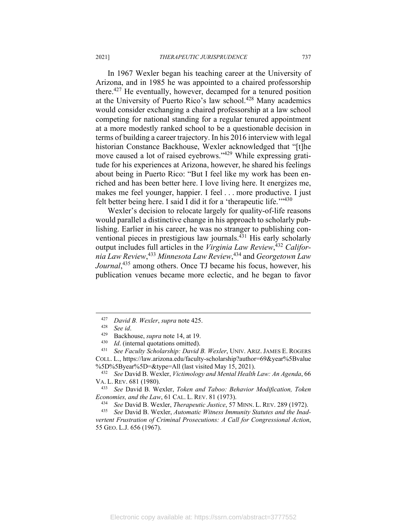In 1967 Wexler began his teaching career at the University of Arizona, and in 1985 he was appointed to a chaired professorship there.<sup>427</sup> He eventually, however, decamped for a tenured position at the University of Puerto Rico's law school.<sup>428</sup> Many academics would consider exchanging a chaired professorship at a law school competing for national standing for a regular tenured appointment at a more modestly ranked school to be a questionable decision in terms of building a career trajectory. In his 2016 interview with legal historian Constance Backhouse, Wexler acknowledged that "[t]he move caused a lot of raised eyebrows."429 While expressing gratitude for his experiences at Arizona, however, he shared his feelings about being in Puerto Rico: "But I feel like my work has been enriched and has been better here. I love living here. It energizes me, makes me feel younger, happier. I feel . . . more productive. I just felt better being here. I said I did it for a 'therapeutic life.'"430

Wexler's decision to relocate largely for quality-of-life reasons would parallel a distinctive change in his approach to scholarly publishing. Earlier in his career, he was no stranger to publishing conventional pieces in prestigious law journals.<sup>431</sup> His early scholarly output includes full articles in the *Virginia Law Review*, <sup>432</sup> *California Law Review*, <sup>433</sup> *Minnesota Law Review*, 434 and *Georgetown Law Journal*, 435 among others. Once TJ became his focus, however, his publication venues became more eclectic, and he began to favor

<sup>&</sup>lt;sup>427</sup> David B. Wexler, supra note 425.<br>
<sup>428</sup> See id.<br>
<sup>429</sup> Backhouse, *supra* note 14, at 19.<br>
<sup>430</sup> Id. (internal quotations omitted).<br>
<sup>431</sup> See Faculty Scholarship: David B. Wexler, UNIV. ARIZ. JAMES E. ROGERS COLL. L., https://law.arizona.edu/faculty-scholarship?author=69&year%5Bvalue

<sup>%5</sup>D%5Byear%5D=&type=All (last visited May 15, 2021). 432 *See* David B. Wexler, *Victimology and Mental Health Law: An Agenda*, 66

VA. L. REV. 681 (1980). 433 *See* David B. Wexler, *Token and Taboo: Behavior Modification, Token*  Economies, and the Law, 61 CAL. L. REV. 81 (1973).<br><sup>434</sup> See David B. Wexler, *Therapeutic Justice*, 57 MINN. L. REV. 289 (1972).<br><sup>435</sup> See David B. Wexler, *Automatic Witness Immunity Statutes and the Inad-*

*vertent Frustration of Criminal Prosecutions: A Call for Congressional Action*, 55 GEO. L.J. 656 (1967).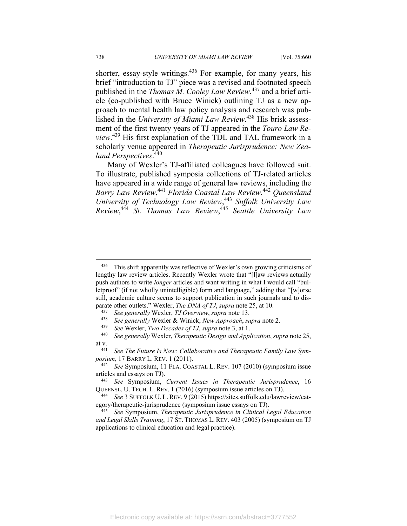shorter, essay-style writings.<sup>436</sup> For example, for many years, his brief "introduction to TJ" piece was a revised and footnoted speech published in the *Thomas M. Cooley Law Review*, 437 and a brief article (co-published with Bruce Winick) outlining TJ as a new approach to mental health law policy analysis and research was published in the *University of Miami Law Review*. 438 His brisk assessment of the first twenty years of TJ appeared in the *Touro Law Review*. 439 His first explanation of the TDL and TAL framework in a scholarly venue appeared in *Therapeutic Jurisprudence: New Zealand Perspectives*. 440

Many of Wexler's TJ-affiliated colleagues have followed suit. To illustrate, published symposia collections of TJ-related articles have appeared in a wide range of general law reviews, including the *Barry Law Review*, <sup>441</sup> *Florida Coastal Law Review*, <sup>442</sup> *Queensland University of Technology Law Review*, <sup>443</sup> *Suffolk University Law Review*, <sup>444</sup> *St. Thomas Law Review*, <sup>445</sup> *Seattle University Law* 

<sup>436</sup> This shift apparently was reflective of Wexler's own growing criticisms of lengthy law review articles. Recently Wexler wrote that "[l]aw reviews actually push authors to write *longer* articles and want writing in what I would call "bulletproof" (if not wholly unintelligible) form and language," adding that "[w]orse still, academic culture seems to support publication in such journals and to disparate other outlets." Wexler, *The DNA of TJ*, *supra* note 25, at 10.<br>
<sup>437</sup> See generally Wexler, *TJ Overview*, *supra* note 13.<br>
<sup>438</sup> See generally Wexler & Winick, *New Approach*, *supra* note 2.<br>
<sup>439</sup> See Wexler,

at v. 441 *See The Future Is Now: Collaborative and Therapeutic Family Law Sym-*

*posium*, 17 BARRY L. REV. 1 (2011). 442 *See* Symposium, 11 FLA. COASTAL L. REV. 107 (2010) (symposium issue

articles and essays on TJ). 443 *See* Symposium, *Current Issues in Therapeutic Jurisprudence*, 16

QUEENSL. U. TECH. L. REV. 1 (2016) (symposium issue articles on TJ). 444 *See* 3 SUFFOLK U. L. REV. 9 (2015) https://sites.suffolk.edu/lawreview/cat-

egory/therapeutic-jurisprudence (symposium issue essays on TJ). 445 *See* Symposium, *Therapeutic Jurisprudence in Clinical Legal Education* 

*and Legal Skills Training*, 17 ST. THOMAS L. REV. 403 (2005) (symposium on TJ applications to clinical education and legal practice).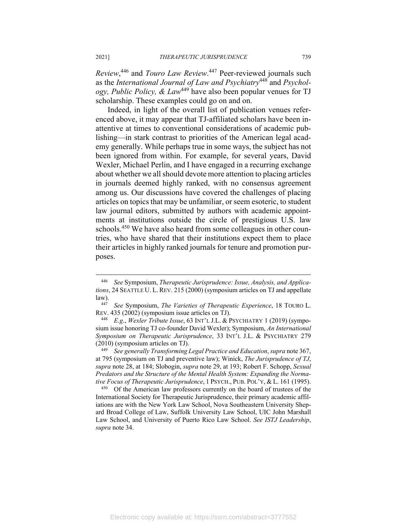*Review*, 446 and *Touro Law Review*. 447 Peer-reviewed journals such as the *International Journal of Law and Psychiatry*448 and *Psychology, Public Policy, & Law*449 have also been popular venues for TJ scholarship. These examples could go on and on.

Indeed, in light of the overall list of publication venues referenced above, it may appear that TJ-affiliated scholars have been inattentive at times to conventional considerations of academic publishing—in stark contrast to priorities of the American legal academy generally. While perhaps true in some ways, the subject has not been ignored from within. For example, for several years, David Wexler, Michael Perlin, and I have engaged in a recurring exchange about whether we all should devote more attention to placing articles in journals deemed highly ranked, with no consensus agreement among us. Our discussions have covered the challenges of placing articles on topics that may be unfamiliar, or seem esoteric, to student law journal editors, submitted by authors with academic appointments at institutions outside the circle of prestigious U.S. law schools.<sup>450</sup> We have also heard from some colleagues in other countries, who have shared that their institutions expect them to place their articles in highly ranked journals for tenure and promotion purposes.

<sup>446</sup> *See* Symposium, *Therapeutic Jurisprudence: Issue, Analysis, and Applications*, 24 SEATTLE U. L. REV. 215 (2000) (symposium articles on TJ and appellate

law). 447 *See* Symposium, *The Varieties of Therapeutic Experience*, 18 TOURO L. REV. 435 (2002) (symposium issue articles on TJ). 448 *E.g*., *Wexler Tribute Issue*, 63 INT'L J.L. & PSYCHIATRY 1 (2019) (sympo-

sium issue honoring TJ co-founder David Wexler); Symposium, *An International Symposium on Therapeutic Jurisprudence*, 33 INT'L J.L. & PSYCHIATRY 279 (2010) (symposium articles on TJ). 449 *See generally Transforming Legal Practice and Education*, *supra* note 367,

at 795 (symposium on TJ and preventive law); Winick, *The Jurisprudence of TJ*, *supra* note 28, at 184; Slobogin, *supra* note 29, at 193; Robert F. Schopp, *Sexual Predators and the Structure of the Mental Health System: Expanding the Normative Focus of Therapeutic Jurisprudence*, 1 PSYCH., PUB. POL'Y, & L. 161 (1995).<br><sup>450</sup> Of the American law professors currently on the board of trustees of the

International Society for Therapeutic Jurisprudence, their primary academic affiliations are with the New York Law School, Nova Southeastern University Shepard Broad College of Law, Suffolk University Law School, UIC John Marshall Law School, and University of Puerto Rico Law School. *See ISTJ Leadership*, *supra* note 34.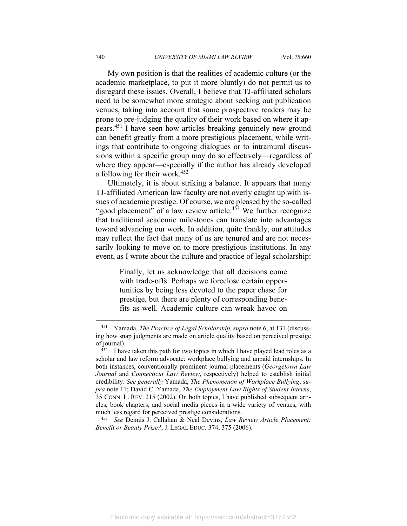My own position is that the realities of academic culture (or the academic marketplace, to put it more bluntly) do not permit us to disregard these issues. Overall, I believe that TJ-affiliated scholars need to be somewhat more strategic about seeking out publication venues, taking into account that some prospective readers may be prone to pre-judging the quality of their work based on where it appears.451 I have seen how articles breaking genuinely new ground can benefit greatly from a more prestigious placement, while writings that contribute to ongoing dialogues or to intramural discussions within a specific group may do so effectively—regardless of where they appear—especially if the author has already developed a following for their work.452

Ultimately, it is about striking a balance. It appears that many TJ-affiliated American law faculty are not overly caught up with issues of academic prestige. Of course, we are pleased by the so-called "good placement" of a law review article.<sup>453</sup> We further recognize that traditional academic milestones can translate into advantages toward advancing our work. In addition, quite frankly, our attitudes may reflect the fact that many of us are tenured and are not necessarily looking to move on to more prestigious institutions. In any event, as I wrote about the culture and practice of legal scholarship:

> Finally, let us acknowledge that all decisions come with trade-offs. Perhaps we foreclose certain opportunities by being less devoted to the paper chase for prestige, but there are plenty of corresponding benefits as well. Academic culture can wreak havoc on

*Benefit or Beauty Prize?*, J. LEGAL EDUC. 374, 375 (2006).

<sup>451</sup> Yamada, *The Practice of Legal Scholarship*, *supra* note 6, at 131 (discussing how snap judgments are made on article quality based on perceived prestige of journal).<br> $452$  I have taken this path for two topics in which I have played lead roles as a

scholar and law reform advocate: workplace bullying and unpaid internships. In both instances, conventionally prominent journal placements (*Georgetown Law Journal* and *Connecticut Law Review*, respectively) helped to establish initial credibility. *See generally* Yamada, *The Phenomenon of Workplace Bullying*, *supra* note 11; David C. Yamada, *The Employment Law Rights of Student Interns*, 35 CONN. L. REV. 215 (2002). On both topics, I have published subsequent articles, book chapters, and social media pieces in a wide variety of venues, with much less regard for perceived prestige considerations. 453 *See* Dennis J. Callahan & Neal Devins, *Law Review Article Placement:*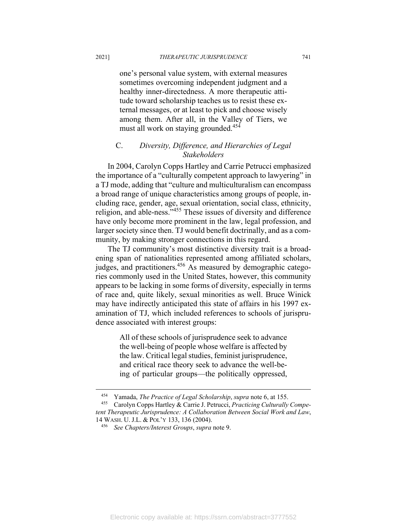one's personal value system, with external measures sometimes overcoming independent judgment and a healthy inner-directedness. A more therapeutic attitude toward scholarship teaches us to resist these external messages, or at least to pick and choose wisely among them. After all, in the Valley of Tiers, we must all work on staying grounded.<sup>454</sup>

# C. *Diversity, Difference, and Hierarchies of Legal Stakeholders*

In 2004, Carolyn Copps Hartley and Carrie Petrucci emphasized the importance of a "culturally competent approach to lawyering" in a TJ mode, adding that "culture and multiculturalism can encompass a broad range of unique characteristics among groups of people, including race, gender, age, sexual orientation, social class, ethnicity, religion, and able-ness."455 These issues of diversity and difference have only become more prominent in the law, legal profession, and larger society since then. TJ would benefit doctrinally, and as a community, by making stronger connections in this regard.

The TJ community's most distinctive diversity trait is a broadening span of nationalities represented among affiliated scholars, judges, and practitioners.<sup>456</sup> As measured by demographic categories commonly used in the United States, however, this community appears to be lacking in some forms of diversity, especially in terms of race and, quite likely, sexual minorities as well. Bruce Winick may have indirectly anticipated this state of affairs in his 1997 examination of TJ, which included references to schools of jurisprudence associated with interest groups:

> All of these schools of jurisprudence seek to advance the well-being of people whose welfare is affected by the law. Critical legal studies, feminist jurisprudence, and critical race theory seek to advance the well-being of particular groups—the politically oppressed,

<sup>454</sup> Yamada, *The Practice of Legal Scholarship*, *supra* note 6, at 155. 455 Carolyn Copps Hartley & Carrie J. Petrucci, *Practicing Culturally Compe-*

*tent Therapeutic Jurisprudence: A Collaboration Between Social Work and Law*, 14 WASH. U. J.L. & POL'Y 133, 136 (2004). 456 *See Chapters/Interest Groups*, *supra* note 9.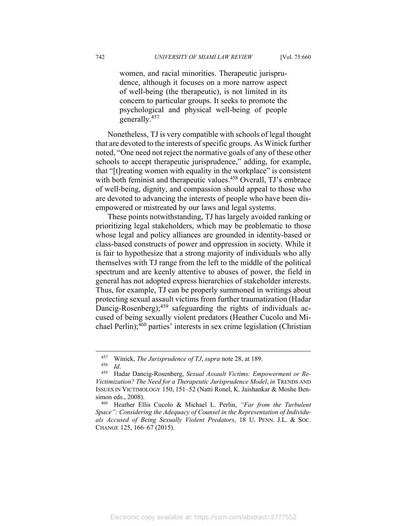women, and racial minorities. Therapeutic jurisprudence, although it focuses on a more narrow aspect of well-being (the therapeutic), is not limited in its concern to particular groups. It seeks to promote the psychological and physical well-being of people generally.457

Nonetheless, TJ is very compatible with schools of legal thought that are devoted to the interests of specific groups. As Winick further noted, "One need not reject the normative goals of any of these other schools to accept therapeutic jurisprudence," adding, for example, that "[t]reating women with equality in the workplace" is consistent with both feminist and therapeutic values.<sup>458</sup> Overall, TJ's embrace of well-being, dignity, and compassion should appeal to those who are devoted to advancing the interests of people who have been disempowered or mistreated by our laws and legal systems.

These points notwithstanding, TJ has largely avoided ranking or prioritizing legal stakeholders, which may be problematic to those whose legal and policy alliances are grounded in identity-based or class-based constructs of power and oppression in society. While it is fair to hypothesize that a strong majority of individuals who ally themselves with TJ range from the left to the middle of the political spectrum and are keenly attentive to abuses of power, the field in general has not adopted express hierarchies of stakeholder interests. Thus, for example, TJ can be properly summoned in writings about protecting sexual assault victims from further traumatization (Hadar Dancig-Rosenberg);<sup>459</sup> safeguarding the rights of individuals accused of being sexually violent predators (Heather Cucolo and Michael Perlin); $460$  parties' interests in sex crime legislation (Christian

<sup>457</sup> Winick, *The Jurisprudence of TJ*, *supra* note 28, at 189. 458 *Id*. 459 Hadar Dancig-Rosenberg, *Sexual Assault Victims: Empowerment or Re-Victimization? The Need for a Therapeutic Jurisprudence Model*, *in* TRENDS AND ISSUES IN VICTIMOLOGY 150, 151–52 (Natti Ronel, K. Jaishankar & Moshe Bensimon eds., 2008).

<sup>460</sup> Heather Ellis Cucolo & Michael L. Perlin, *"Far from the Turbulent Space": Considering the Adequacy of Counsel in the Representation of Individuals Accused of Being Sexually Violent Predators*, 18 U. PENN. J.L. & SOC. CHANGE 125, 166–67 (2015).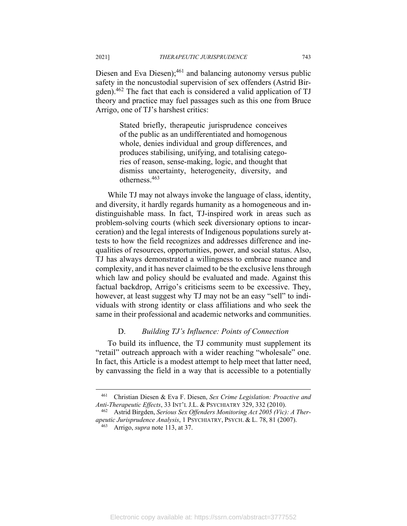Diesen and Eva Diesen); $^{461}$  and balancing autonomy versus public safety in the noncustodial supervision of sex offenders (Astrid Birgden).462 The fact that each is considered a valid application of TJ theory and practice may fuel passages such as this one from Bruce Arrigo, one of TJ's harshest critics:

> Stated briefly, therapeutic jurisprudence conceives of the public as an undifferentiated and homogenous whole, denies individual and group differences, and produces stabilising, unifying, and totalising categories of reason, sense-making, logic, and thought that dismiss uncertainty, heterogeneity, diversity, and otherness.463

While TJ may not always invoke the language of class, identity, and diversity, it hardly regards humanity as a homogeneous and indistinguishable mass. In fact, TJ-inspired work in areas such as problem-solving courts (which seek diversionary options to incarceration) and the legal interests of Indigenous populations surely attests to how the field recognizes and addresses difference and inequalities of resources, opportunities, power, and social status. Also, TJ has always demonstrated a willingness to embrace nuance and complexity, and it has never claimed to be the exclusive lens through which law and policy should be evaluated and made. Against this factual backdrop, Arrigo's criticisms seem to be excessive. They, however, at least suggest why TJ may not be an easy "sell" to individuals with strong identity or class affiliations and who seek the same in their professional and academic networks and communities.

# D. *Building TJ's Influence: Points of Connection*

To build its influence, the TJ community must supplement its "retail" outreach approach with a wider reaching "wholesale" one. In fact, this Article is a modest attempt to help meet that latter need, by canvassing the field in a way that is accessible to a potentially

<sup>461</sup> Christian Diesen & Eva F. Diesen, *Sex Crime Legislation: Proactive and Anti-Therapeutic Effects*, 33 INT'L J.L. & PSYCHIATRY 329, 332 (2010).<br><sup>462</sup> Astrid Birgden, *Serious Sex Offenders Monitoring Act 2005 (Vic): A Ther-*

*apeutic Jurisprudence Analysis*, 1 PSYCHIATRY, PSYCH. & L. 78, 81 (2007). 463 Arrigo, *supra* note 113, at 37.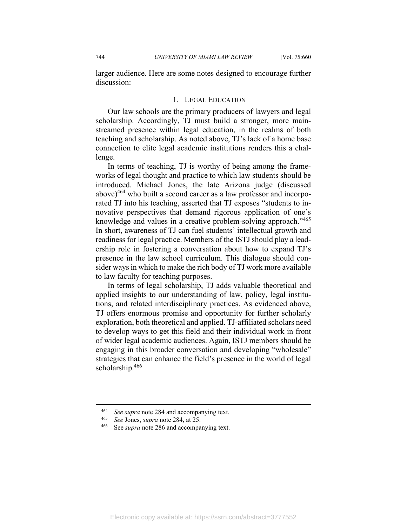larger audience. Here are some notes designed to encourage further discussion:

#### 1. LEGAL EDUCATION

Our law schools are the primary producers of lawyers and legal scholarship. Accordingly, TJ must build a stronger, more mainstreamed presence within legal education, in the realms of both teaching and scholarship. As noted above, TJ's lack of a home base connection to elite legal academic institutions renders this a challenge.

In terms of teaching, TJ is worthy of being among the frameworks of legal thought and practice to which law students should be introduced. Michael Jones, the late Arizona judge (discussed above) $464$  who built a second career as a law professor and incorporated TJ into his teaching, asserted that TJ exposes "students to innovative perspectives that demand rigorous application of one's knowledge and values in a creative problem-solving approach."<sup>465</sup> In short, awareness of TJ can fuel students' intellectual growth and readiness for legal practice. Members of the ISTJ should play a leadership role in fostering a conversation about how to expand TJ's presence in the law school curriculum. This dialogue should consider ways in which to make the rich body of TJ work more available to law faculty for teaching purposes.

In terms of legal scholarship, TJ adds valuable theoretical and applied insights to our understanding of law, policy, legal institutions, and related interdisciplinary practices. As evidenced above, TJ offers enormous promise and opportunity for further scholarly exploration, both theoretical and applied. TJ-affiliated scholars need to develop ways to get this field and their individual work in front of wider legal academic audiences. Again, ISTJ members should be engaging in this broader conversation and developing "wholesale" strategies that can enhance the field's presence in the world of legal scholarship.<sup>466</sup>

<sup>464</sup> *See supra* note 284 and accompanying text. 465 *See* Jones, *supra* note 284, at 25. 466 See *supra* note 286 and accompanying text.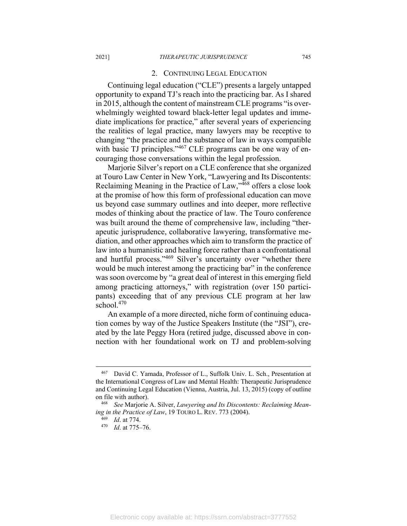#### 2. CONTINUING LEGAL EDUCATION

Continuing legal education ("CLE") presents a largely untapped opportunity to expand TJ's reach into the practicing bar. As I shared in 2015, although the content of mainstream CLE programs "is overwhelmingly weighted toward black-letter legal updates and immediate implications for practice," after several years of experiencing the realities of legal practice, many lawyers may be receptive to changing "the practice and the substance of law in ways compatible with basic TJ principles." $467$  CLE programs can be one way of encouraging those conversations within the legal profession.

Marjorie Silver's report on a CLE conference that she organized at Touro Law Center in New York, "Lawyering and Its Discontents: Reclaiming Meaning in the Practice of Law,"468 offers a close look at the promise of how this form of professional education can move us beyond case summary outlines and into deeper, more reflective modes of thinking about the practice of law. The Touro conference was built around the theme of comprehensive law, including "therapeutic jurisprudence, collaborative lawyering, transformative mediation, and other approaches which aim to transform the practice of law into a humanistic and healing force rather than a confrontational and hurtful process."<sup>469</sup> Silver's uncertainty over "whether there would be much interest among the practicing bar" in the conference was soon overcome by "a great deal of interest in this emerging field among practicing attorneys," with registration (over 150 participants) exceeding that of any previous CLE program at her law school. $470$ 

An example of a more directed, niche form of continuing education comes by way of the Justice Speakers Institute (the "JSI"), created by the late Peggy Hora (retired judge, discussed above in connection with her foundational work on TJ and problem-solving

<sup>467</sup> David C. Yamada, Professor of L., Suffolk Univ. L. Sch., Presentation at the International Congress of Law and Mental Health: Therapeutic Jurisprudence and Continuing Legal Education (Vienna, Austria, Jul. 13, 2015) (copy of outline on file with author). 468 *See* Marjorie A. Silver, *Lawyering and Its Discontents: Reclaiming Mean-*

*ing in the Practice of Law*, 19 TOURO L. REV. 773 (2004). 469 *Id*. at 774. 470 *Id*. at 775–76.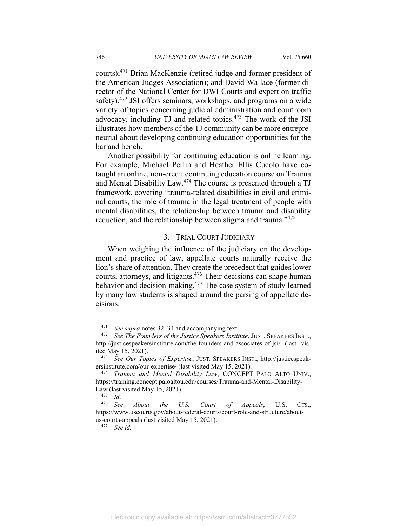courts);471 Brian MacKenzie (retired judge and former president of the American Judges Association); and David Wallace (former director of the National Center for DWI Courts and expert on traffic safety).<sup>472</sup> JSI offers seminars, workshops, and programs on a wide variety of topics concerning judicial administration and courtroom advocacy, including TJ and related topics.473 The work of the JSI illustrates how members of the TJ community can be more entrepreneurial about developing continuing education opportunities for the bar and bench.

Another possibility for continuing education is online learning. For example, Michael Perlin and Heather Ellis Cucolo have cotaught an online, non-credit continuing education course on Trauma and Mental Disability Law.<sup>474</sup> The course is presented through a TJ framework, covering "trauma-related disabilities in civil and criminal courts, the role of trauma in the legal treatment of people with mental disabilities, the relationship between trauma and disability reduction, and the relationship between stigma and trauma."<sup>475</sup>

### 3. TRIAL COURT JUDICIARY

When weighing the influence of the judiciary on the development and practice of law, appellate courts naturally receive the lion's share of attention. They create the precedent that guides lower courts, attorneys, and litigants.<sup>476</sup> Their decisions can shape human behavior and decision-making.<sup>477</sup> The case system of study learned by many law students is shaped around the parsing of appellate decisions.

<sup>471</sup> *See supra* notes 32–34 and accompanying text. 472 *See The Founders of the Justice Speakers Institute*, JUST. SPEAKERS INST., http://justicespeakersinstitute.com/the-founders-and-associates-of-jsi/ (last visited May 15, 2021). 473 *See Our Topics of Expertise*, JUST. SPEAKERS INST., http://justicespeak-

ersinstitute.com/our-expertise/ (last visited May 15, 2021). 474 *Trauma and Mental Disability Law*, CONCEPT PALO ALTO UNIV.,

https://training.concept.paloaltou.edu/courses/Trauma-and-Mental-Disability-Law (last visited May 15, 2021). 475 *Id*. 476 *See About the U.S. Court of Appeals*, U.S. CTS.,

https://www.uscourts.gov/about-federal-courts/court-role-and-structure/aboutus-courts-appeals (last visited May 15, 2021). 477 *See id.*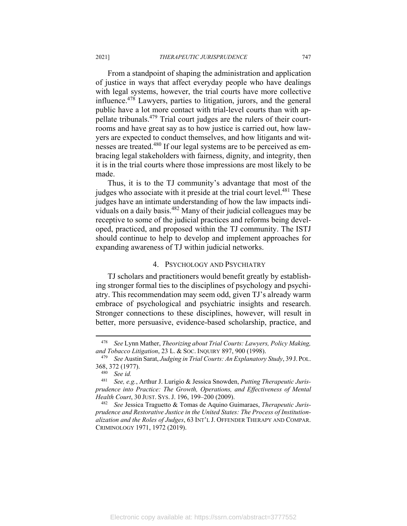From a standpoint of shaping the administration and application of justice in ways that affect everyday people who have dealings with legal systems, however, the trial courts have more collective influence.478 Lawyers, parties to litigation, jurors, and the general public have a lot more contact with trial-level courts than with appellate tribunals.479 Trial court judges are the rulers of their courtrooms and have great say as to how justice is carried out, how lawyers are expected to conduct themselves, and how litigants and witnesses are treated.480 If our legal systems are to be perceived as embracing legal stakeholders with fairness, dignity, and integrity, then it is in the trial courts where those impressions are most likely to be made.

Thus, it is to the TJ community's advantage that most of the judges who associate with it preside at the trial court level.<sup>481</sup> These judges have an intimate understanding of how the law impacts individuals on a daily basis.482 Many of their judicial colleagues may be receptive to some of the judicial practices and reforms being developed, practiced, and proposed within the TJ community. The ISTJ should continue to help to develop and implement approaches for expanding awareness of TJ within judicial networks.

### 4. PSYCHOLOGY AND PSYCHIATRY

TJ scholars and practitioners would benefit greatly by establishing stronger formal ties to the disciplines of psychology and psychiatry. This recommendation may seem odd, given TJ's already warm embrace of psychological and psychiatric insights and research. Stronger connections to these disciplines, however, will result in better, more persuasive, evidence-based scholarship, practice, and

<sup>478</sup> *See* Lynn Mather, *Theorizing about Trial Courts: Lawyers, Policy Making, and Tobacco Litigation*, 23 L. & SOC. INQUIRY 897, 900 (1998). 479 *See* Austin Sarat, *Judging in Trial Courts: An Explanatory Study*, 39 J. POL.

<sup>368, 372 (1977). 480</sup> *See id.*

<sup>481</sup> *See, e.g.*, Arthur J. Lurigio & Jessica Snowden, *Putting Therapeutic Jurisprudence into Practice: The Growth, Operations, and Effectiveness of Mental Health Court*, 30 JUST. SYS. J. 196, 199–200 (2009).<br><sup>482</sup> See Jessica Traguetto & Tomas de Aquino Guimaraes, *Therapeutic Juris-*

*prudence and Restorative Justice in the United States: The Process of Institutionalization and the Roles of Judges*, 63 INT'L J. OFFENDER THERAPY AND COMPAR. CRIMINOLOGY 1971, 1972 (2019).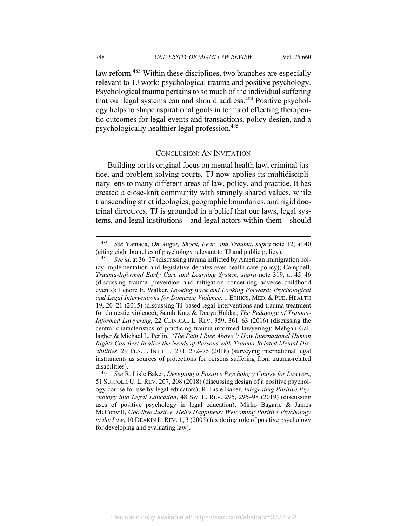law reform.<sup>483</sup> Within these disciplines, two branches are especially relevant to TJ work: psychological trauma and positive psychology. Psychological trauma pertains to so much of the individual suffering that our legal systems can and should address.<sup>484</sup> Positive psychology helps to shape aspirational goals in terms of effecting therapeutic outcomes for legal events and transactions, policy design, and a psychologically healthier legal profession.485

### CONCLUSION: AN INVITATION

Building on its original focus on mental health law, criminal justice, and problem-solving courts, TJ now applies its multidisciplinary lens to many different areas of law, policy, and practice. It has created a close-knit community with strongly shared values, while transcending strict ideologies, geographic boundaries, and rigid doctrinal directives. TJ is grounded in a belief that our laws, legal systems, and legal institutions—and legal actors within them—should

<sup>483</sup> *See* Yamada, *On Anger, Shock, Fear, and Trauma*, *supra* note 12, at 40 (citing eight branches of psychology relevant to TJ and public policy). 484 *See id*. at 36–37 (discussing trauma inflicted by American immigration pol-

icy implementation and legislative debates over health care policy); Campbell, *Trauma-Informed Early Care and Learning System*, *supra* note 319, at 45–46 (discussing trauma prevention and mitigation concerning adverse childhood events); Lenore E. Walker, *Looking Back and Looking Forward: Psychological and Legal Interventions for Domestic Violence*, 1 ETHICS, MED. & PUB. HEALTH 19, 20–21 (2015) (discussing TJ-based legal interventions and trauma treatment for domestic violence); Sarah Katz & Deeya Haldar, *The Pedagogy of Trauma-Informed Lawyering*, 22 CLINICAL L. REV. 359, 361–63 (2016) (discussing the central characteristics of practicing trauma-informed lawyering); Mehgan Gallagher & Michael L. Perlin, *"The Pain I Rise Above": How International Human Rights Can Best Realize the Needs of Persons with Trauma-Related Mental Disabilities*, 29 FLA. J. INT'L L. 271, 272–75 (2018) (surveying international legal instruments as sources of protections for persons suffering from trauma-related disabilities).

<sup>485</sup> *See* R. Lisle Baker, *Designing a Positive Psychology Course for Lawyers*, 51 SUFFOLK U. L. REV. 207, 208 (2018) (discussing design of a positive psychology course for use by legal educators); R. Lisle Baker, *Integrating Positive Psychology into Legal Education*, 48 SW. L. REV. 295, 295–98 (2019) (discussing uses of positive psychology in legal education); Mirko Bagaric & James McConvill, *Goodbye Justice, Hello Happiness: Welcoming Positive Psychology to the Law*, 10 DEAKIN L. REV. 1, 3 (2005) (exploring role of positive psychology for developing and evaluating law).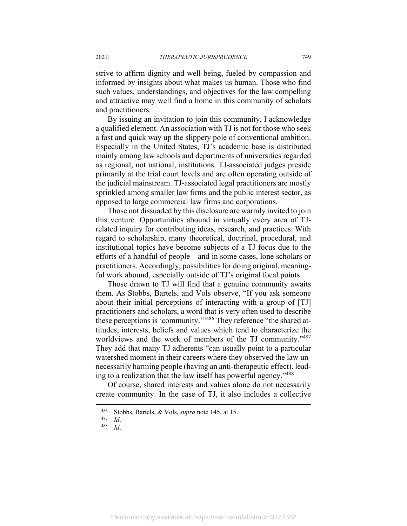strive to affirm dignity and well-being, fueled by compassion and informed by insights about what makes us human. Those who find such values, understandings, and objectives for the law compelling and attractive may well find a home in this community of scholars and practitioners.

By issuing an invitation to join this community, I acknowledge a qualified element. An association with TJ is not for those who seek a fast and quick way up the slippery pole of conventional ambition. Especially in the United States, TJ's academic base is distributed mainly among law schools and departments of universities regarded as regional, not national, institutions. TJ-associated judges preside primarily at the trial court levels and are often operating outside of the judicial mainstream. TJ-associated legal practitioners are mostly sprinkled among smaller law firms and the public interest sector, as opposed to large commercial law firms and corporations.

Those not dissuaded by this disclosure are warmly invited to join this venture. Opportunities abound in virtually every area of TJrelated inquiry for contributing ideas, research, and practices. With regard to scholarship, many theoretical, doctrinal, procedural, and institutional topics have become subjects of a TJ focus due to the efforts of a handful of people—and in some cases, lone scholars or practitioners. Accordingly, possibilities for doing original, meaningful work abound, especially outside of TJ's original focal points.

Those drawn to TJ will find that a genuine community awaits them. As Stobbs, Bartels, and Vols observe, "If you ask someone about their initial perceptions of interacting with a group of [TJ] practitioners and scholars, a word that is very often used to describe these perceptions is 'community.'"486 They reference "the shared attitudes, interests, beliefs and values which tend to characterize the worldviews and the work of members of the TJ community."<sup>487</sup> They add that many TJ adherents "can usually point to a particular watershed moment in their careers where they observed the law unnecessarily harming people (having an anti-therapeutic effect), leading to a realization that the law itself has powerful agency."488

Of course, shared interests and values alone do not necessarily create community. In the case of TJ, it also includes a collective

<sup>486</sup> Stobbs, Bartels, & Vols, *supra* note 145, at 15. 487 *Id*. 488 *Id*.